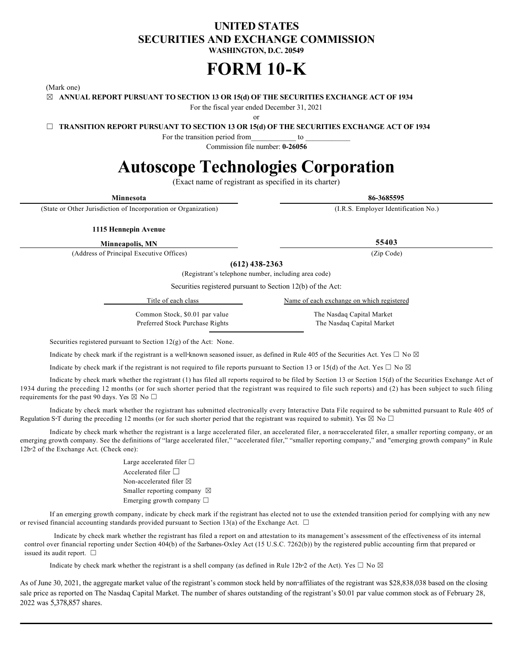# **UNITED STATES SECURITIES AND EXCHANGE COMMISSION**

**WASHINGTON, D.C. 20549**

# **FORM 10-K**

(Mark one)

#### ☒ **ANNUAL REPORT PURSUANT TO SECTION 13 OR 15(d) OF THE SECURITIES EXCHANGE ACT OF 1934**

For the fiscal year ended December 31, 2021

or

☐ **TRANSITION REPORT PURSUANT TO SECTION 13 OR 15(d) OF THE SECURITIES EXCHANGE ACT OF 1934**

For the transition period from to  $\sim$ 

Commission file number: **0-26056**

# **Autoscope Technologies Corporation**

(Exact name of registrant as specified in its charter)

**Minnesota 86-3685595**

(State or Other Jurisdiction of Incorporation or Organization) (I.R.S. Employer Identification No.)

**1115 Hennepin Avenue**

**Minneapolis, MN 55403**

(Address of Principal Executive Offices) (Zip Code)

**(612) 438-2363**

(Registrant's telephone number, including area code)

Securities registered pursuant to Section 12(b) of the Act:

Title of each class Name of each exchange on which registered

Common Stock, \$0.01 par value The Nasdaq Capital Market Preferred Stock Purchase Rights The Nasdaq Capital Market

Securities registered pursuant to Section 12(g) of the Act: None.

Indicate by check mark if the registrant is a well-known seasoned issuer, as defined in Rule 405 of the Securities Act. Yes  $\Box$  No  $\boxtimes$ 

Indicate by check mark if the registrant is not required to file reports pursuant to Section 13 or 15(d) of the Act. Yes  $\Box$  No  $\boxtimes$ 

Indicate by check mark whether the registrant (1) has filed all reports required to be filed by Section 13 or Section 15(d) of the Securities Exchange Act of 1934 during the preceding 12 months (or for such shorter period that the registrant was required to file such reports) and (2) has been subject to such filing requirements for the past 90 days. Yes  $\boxtimes$  No  $\Box$ 

Indicate by check mark whether the registrant has submitted electronically every Interactive Data File required to be submitted pursuant to Rule 405 of Regulation S<sup>-T</sup> during the preceding 12 months (or for such shorter period that the registrant was required to submit). Yes  $\boxtimes$  No  $\Box$ 

Indicate by check mark whether the registrant is a large accelerated filer, an accelerated filer, a non-accelerated filer, a smaller reporting company, or an emerging growth company. See the definitions of "large accelerated filer," "accelerated filer," "smaller reporting company," and "emerging growth company" in Rule 12b-2 of the Exchange Act. (Check one):

> Large accelerated filer  $□$ Accelerated filer  $□$ Non-accelerated filer  $\boxtimes$ Smaller reporting company  $\boxtimes$ Emerging growth company  $\square$

If an emerging growth company, indicate by check mark if the registrant has elected not to use the extended transition period for complying with any new or revised financial accounting standards provided pursuant to Section 13(a) of the Exchange Act.  $\Box$ 

Indicate by check mark whether the registrant has filed a report on and attestation to its management's assessment of the effectiveness of its internal control over financial reporting under Section 404(b) of the Sarbanes-Oxley Act (15 U.S.C. 7262(b)) by the registered public accounting firm that prepared or issued its audit report.  $\Box$ 

Indicate by check mark whether the registrant is a shell company (as defined in Rule 12b<sup>-2</sup> of the Act). Yes  $\Box$  No  $\boxtimes$ 

As of June 30, 2021, the aggregate market value of the registrant's common stock held by non-affiliates of the registrant was \$28,838,038 based on the closing sale price as reported on The Nasdaq Capital Market. The number of shares outstanding of the registrant's \$0.01 par value common stock as of February 28, 2022 was 5,378,857 shares.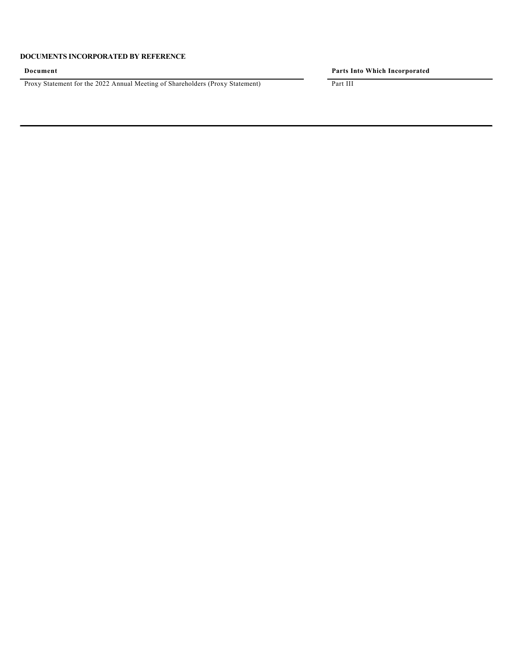# **DOCUMENTS INCORPORATED BY REFERENCE**

Proxy Statement for the 2022 Annual Meeting of Shareholders (Proxy Statement) Part III

**Document Parts Into Which Incorporated**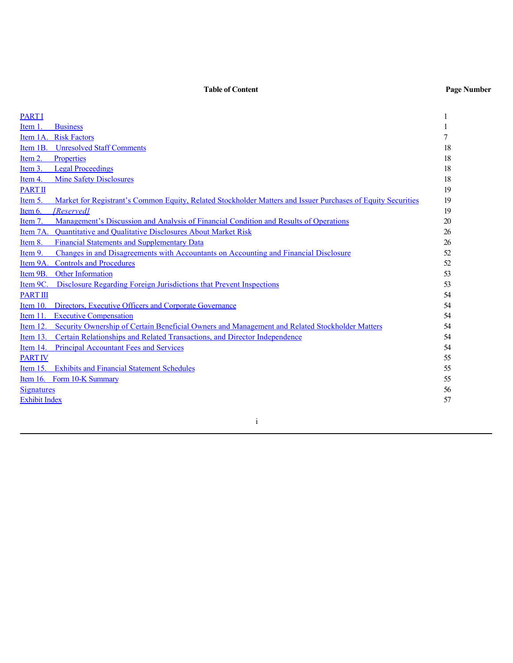**Table of Content Page Number** 

| <b>PARTI</b>         |                                                                                                              | 1      |
|----------------------|--------------------------------------------------------------------------------------------------------------|--------|
| Item 1.              | <b>Business</b>                                                                                              | 1      |
| Item 1A.             | <b>Risk Factors</b>                                                                                          | $\tau$ |
| Item 1B.             | <b>Unresolved Staff Comments</b>                                                                             | 18     |
| Item 2.              | Properties                                                                                                   | 18     |
| Item 3.              | <b>Legal Proceedings</b>                                                                                     | 18     |
| Item 4.              | <b>Mine Safety Disclosures</b>                                                                               | 18     |
| <b>PART II</b>       |                                                                                                              | 19     |
| Item 5.              | Market for Registrant's Common Equity, Related Stockholder Matters and Issuer Purchases of Equity Securities | 19     |
| Item $6.$            | [Reserved]                                                                                                   | 19     |
| Item 7.              | <u>Management's Discussion and Analysis of Financial Condition and Results of Operations</u>                 | 20     |
| Item 7A.             | Quantitative and Qualitative Disclosures About Market Risk                                                   | 26     |
| Item 8.              | <b>Financial Statements and Supplementary Data</b>                                                           | 26     |
| Item 9.              | Changes in and Disagreements with Accountants on Accounting and Financial Disclosure                         | 52     |
| Item 9A.             | <b>Controls and Procedures</b>                                                                               | 52     |
| Item 9B.             | Other Information                                                                                            | 53     |
| Item 9C.             | Disclosure Regarding Foreign Jurisdictions that Prevent Inspections                                          | 53     |
| <b>PART III</b>      |                                                                                                              | 54     |
| Item 10.             | Directors, Executive Officers and Corporate Governance                                                       | 54     |
| Item 11.             | <b>Executive Compensation</b>                                                                                | 54     |
| Item $12$ .          | Security Ownership of Certain Beneficial Owners and Management and Related Stockholder Matters               | 54     |
| Item $13$ .          | Certain Relationships and Related Transactions, and Director Independence                                    | 54     |
| <u>Item 14.</u>      | <b>Principal Accountant Fees and Services</b>                                                                | 54     |
| <b>PARTIV</b>        |                                                                                                              | 55     |
| Item 15.             | <b>Exhibits and Financial Statement Schedules</b>                                                            | 55     |
|                      | Item 16. Form 10-K Summary                                                                                   | 55     |
| <b>Signatures</b>    |                                                                                                              | 56     |
| <b>Exhibit Index</b> |                                                                                                              | 57     |
|                      |                                                                                                              |        |

i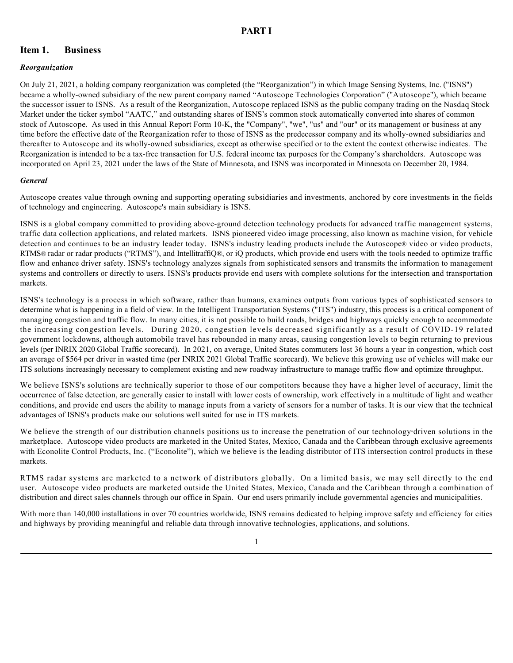# <span id="page-3-0"></span>**[PART I](#TOC)**

#### <span id="page-3-1"></span>**[Item 1. Business](file:///C:/BackGroundJobs/LiveBackgroundServices/PublishPkgNEW/App_Data/HTML/1e1f32b4-53b6-44a4-b414-231e3a02ea6c/Main.htm#)**

#### *Reorganization*

On July 21, 2021, a holding company reorganization was completed (the "Reorganization") in which Image Sensing Systems, Inc. ("ISNS") became a wholly-owned subsidiary of the new parent company named "Autoscope Technologies Corporation" ("Autoscope"), which became the successor issuer to ISNS. As a result of the Reorganization, Autoscope replaced ISNS as the public company trading on the Nasdaq Stock Market under the ticker symbol "AATC," and outstanding shares of ISNS's common stock automatically converted into shares of common stock of Autoscope. As used in this Annual Report Form 10-K, the "Company", "we", "us" and "our" or its management or business at any time before the effective date of the Reorganization refer to those of ISNS as the predecessor company and its wholly-owned subsidiaries and thereafter to Autoscope and its wholly-owned subsidiaries, except as otherwise specified or to the extent the context otherwise indicates. The Reorganization is intended to be a tax-free transaction for U.S. federal income tax purposes for the Company's shareholders. Autoscope was incorporated on April 23, 2021 under the laws of the State of Minnesota, and ISNS was incorporated in Minnesota on December 20, 1984.

#### *General*

Autoscope creates value through owning and supporting operating subsidiaries and investments, anchored by core investments in the fields of technology and engineering. Autoscope's main subsidiary is ISNS.

ISNS is a global company committed to providing above-ground detection technology products for advanced traffic management systems, traffic data collection applications, and related markets. ISNS pioneered video image processing, also known as machine vision, for vehicle detection and continues to be an industry leader today. ISNS's industry leading products include the Autoscope® video or video products, RTMS® radar or radar products ("RTMS"), and IntellitraffiQ®, or iQ products, which provide end users with the tools needed to optimize traffic flow and enhance driver safety. ISNS's technology analyzes signals from sophisticated sensors and transmits the information to management systems and controllers or directly to users. ISNS's products provide end users with complete solutions for the intersection and transportation markets.

ISNS's technology is a process in which software, rather than humans, examines outputs from various types of sophisticated sensors to determine what is happening in a field of view. In the Intelligent Transportation Systems ("ITS") industry, this process is a critical component of managing congestion and traffic flow. In many cities, it is not possible to build roads, bridges and highways quickly enough to accommodate the increasing congestion levels. During 2020, congestion levels decreased significantly as a result of COVID-19 related government lockdowns, although automobile travel has rebounded in many areas, causing congestion levels to begin returning to previous levels (per INRIX 2020 Global Traffic scorecard). In 2021, on average, United States commuters lost 36 hours a year in congestion, which cost an average of \$564 per driver in wasted time (per INRIX 2021 Global Traffic scorecard). We believe this growing use of vehicles will make our ITS solutions increasingly necessary to complement existing and new roadway infrastructure to manage traffic flow and optimize throughput.

We believe ISNS's solutions are technically superior to those of our competitors because they have a higher level of accuracy, limit the occurrence of false detection, are generally easier to install with lower costs of ownership, work effectively in a multitude of light and weather conditions, and provide end users the ability to manage inputs from a variety of sensors for a number of tasks. It is our view that the technical advantages of ISNS's products make our solutions well suited for use in ITS markets.

We believe the strength of our distribution channels positions us to increase the penetration of our technology-driven solutions in the marketplace. Autoscope video products are marketed in the United States, Mexico, Canada and the Caribbean through exclusive agreements with Econolite Control Products, Inc. ("Econolite"), which we believe is the leading distributor of ITS intersection control products in these markets.

RTMS radar systems are marketed to a network of distributors globally. On a limited basis, we may sell directly to the end user. Autoscope video products are marketed outside the United States, Mexico, Canada and the Caribbean through a combination of distribution and direct sales channels through our office in Spain. Our end users primarily include governmental agencies and municipalities.

With more than 140,000 installations in over 70 countries worldwide, ISNS remains dedicated to helping improve safety and efficiency for cities and highways by providing meaningful and reliable data through innovative technologies, applications, and solutions.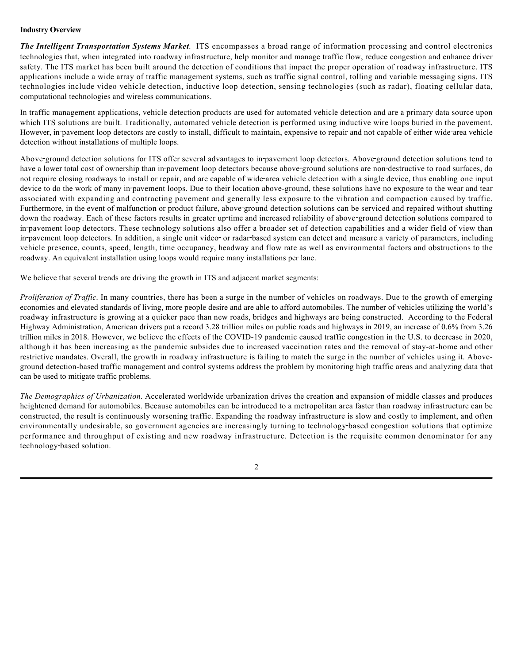#### **Industry Overview**

*The Intelligent Transportation Systems Market*. ITS encompasses a broad range of information processing and control electronics technologies that, when integrated into roadway infrastructure, help monitor and manage traffic flow, reduce congestion and enhance driver safety. The ITS market has been built around the detection of conditions that impact the proper operation of roadway infrastructure. ITS applications include a wide array of traffic management systems, such as traffic signal control, tolling and variable messaging signs. ITS technologies include video vehicle detection, inductive loop detection, sensing technologies (such as radar), floating cellular data, computational technologies and wireless communications.

In traffic management applications, vehicle detection products are used for automated vehicle detection and are a primary data source upon which ITS solutions are built. Traditionally, automated vehicle detection is performed using inductive wire loops buried in the pavement. However, in-pavement loop detectors are costly to install, difficult to maintain, expensive to repair and not capable of either wide-area vehicle detection without installations of multiple loops.

Above-ground detection solutions for ITS offer several advantages to in-pavement loop detectors. Above-ground detection solutions tend to have a lower total cost of ownership than in-pavement loop detectors because above-ground solutions are non-destructive to road surfaces, do not require closing roadways to install or repair, and are capable of wide-area vehicle detection with a single device, thus enabling one input device to do the work of many in-pavement loops. Due to their location above-ground, these solutions have no exposure to the wear and tear associated with expanding and contracting pavement and generally less exposure to the vibration and compaction caused by traffic. Furthermore, in the event of malfunction or product failure, above-ground detection solutions can be serviced and repaired without shutting down the roadway. Each of these factors results in greater up-time and increased reliability of above-ground detection solutions compared to in-pavement loop detectors. These technology solutions also offer a broader set of detection capabilities and a wider field of view than in-pavement loop detectors. In addition, a single unit video- or radar-based system can detect and measure a variety of parameters, including vehicle presence, counts, speed, length, time occupancy, headway and flow rate as well as environmental factors and obstructions to the roadway. An equivalent installation using loops would require many installations per lane.

We believe that several trends are driving the growth in ITS and adjacent market segments:

*Proliferation of Traffic*. In many countries, there has been a surge in the number of vehicles on roadways. Due to the growth of emerging economies and elevated standards of living, more people desire and are able to afford automobiles. The number of vehicles utilizing the world's roadway infrastructure is growing at a quicker pace than new roads, bridges and highways are being constructed. According to the Federal Highway Administration, American drivers put a record 3.28 trillion miles on public roads and highways in 2019, an increase of 0.6% from 3.26 trillion miles in 2018. However, we believe the effects of the COVID-19 pandemic caused traffic congestion in the U.S. to decrease in 2020, although it has been increasing as the pandemic subsides due to increased vaccination rates and the removal of stay-at-home and other restrictive mandates. Overall, the growth in roadway infrastructure is failing to match the surge in the number of vehicles using it. Aboveground detection-based traffic management and control systems address the problem by monitoring high traffic areas and analyzing data that can be used to mitigate traffic problems.

*The Demographics of Urbanization*. Accelerated worldwide urbanization drives the creation and expansion of middle classes and produces heightened demand for automobiles. Because automobiles can be introduced to a metropolitan area faster than roadway infrastructure can be constructed, the result is continuously worsening traffic. Expanding the roadway infrastructure is slow and costly to implement, and often environmentally undesirable, so government agencies are increasingly turning to technology-based congestion solutions that optimize performance and throughput of existing and new roadway infrastructure. Detection is the requisite common denominator for any technology‑based solution.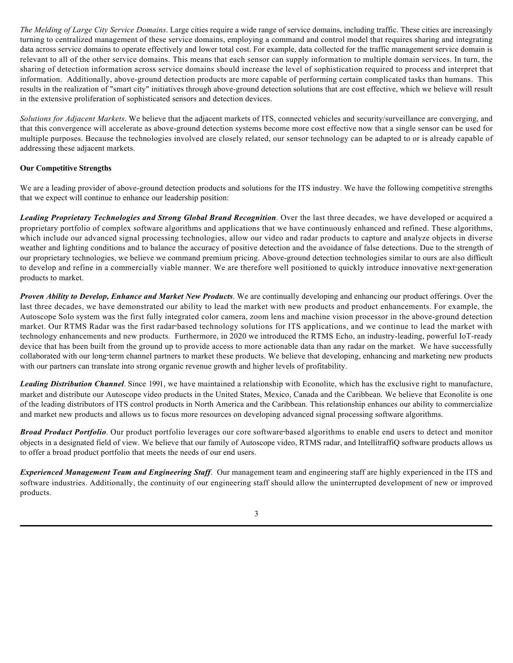*The Melding of Large City Service Domains*. Large cities require a wide range of service domains, including traffic. These cities are increasingly turning to centralized management of these service domains, employing a command and control model that requires sharing and integrating data across service domains to operate effectively and lower total cost. For example, data collected for the traffic management service domain is relevant to all of the other service domains. This means that each sensor can supply information to multiple domain services. In turn, the sharing of detection information across service domains should increase the level of sophistication required to process and interpret that information. Additionally, above-ground detection products are more capable of performing certain complicated tasks than humans. This results in the realization of "smart city" initiatives through above-ground detection solutions that are cost effective, which we believe will result in the extensive proliferation of sophisticated sensors and detection devices.

*Solutions for Adjacent Markets*. We believe that the adjacent markets of ITS, connected vehicles and security/surveillance are converging, and that this convergence will accelerate as above-ground detection systems become more cost effective now that a single sensor can be used for multiple purposes. Because the technologies involved are closely related, our sensor technology can be adapted to or is already capable of addressing these adjacent markets.

#### **Our Competitive Strengths**

We are a leading provider of above-ground detection products and solutions for the ITS industry. We have the following competitive strengths that we expect will continue to enhance our leadership position:

*Leading Proprietary Technologies and Strong Global Brand Recognition*. Over the last three decades, we have developed or acquired a proprietary portfolio of complex software algorithms and applications that we have continuously enhanced and refined. These algorithms, which include our advanced signal processing technologies, allow our video and radar products to capture and analyze objects in diverse weather and lighting conditions and to balance the accuracy of positive detection and the avoidance of false detections. Due to the strength of our proprietary technologies, we believe we command premium pricing. Above-ground detection technologies similar to ours are also difficult to develop and refine in a commercially viable manner. We are therefore well positioned to quickly introduce innovative next-generation products to market.

*Proven Ability to Develop, Enhance and Market New Products*. We are continually developing and enhancing our product offerings. Over the last three decades, we have demonstrated our ability to lead the market with new products and product enhancements. For example, the Autoscope Solo system was the first fully integrated color camera, zoom lens and machine vision processor in the above-ground detection market. Our RTMS Radar was the first radar-based technology solutions for ITS applications, and we continue to lead the market with technology enhancements and new products. Furthermore, in 2020 we introduced the RTMS Echo, an industry-leading, powerful IoT-ready device that has been built from the ground up to provide access to more actionable data than any radar on the market. We have successfully collaborated with our long‑term channel partners to market these products. We believe that developing, enhancing and marketing new products with our partners can translate into strong organic revenue growth and higher levels of profitability.

*Leading Distribution Channel*. Since 1991, we have maintained a relationship with Econolite, which has the exclusive right to manufacture, market and distribute our Autoscope video products in the United States, Mexico, Canada and the Caribbean. We believe that Econolite is one of the leading distributors of ITS control products in North America and the Caribbean. This relationship enhances our ability to commercialize and market new products and allows us to focus more resources on developing advanced signal processing software algorithms.

*Broad Product Portfolio*. Our product portfolio leverages our core software‑based algorithms to enable end users to detect and monitor objects in a designated field of view. We believe that our family of Autoscope video, RTMS radar, and IntellitraffiQ software products allows us to offer a broad product portfolio that meets the needs of our end users.

*Experienced Management Team and Engineering Staff*. Our management team and engineering staff are highly experienced in the ITS and software industries. Additionally, the continuity of our engineering staff should allow the uninterrupted development of new or improved products.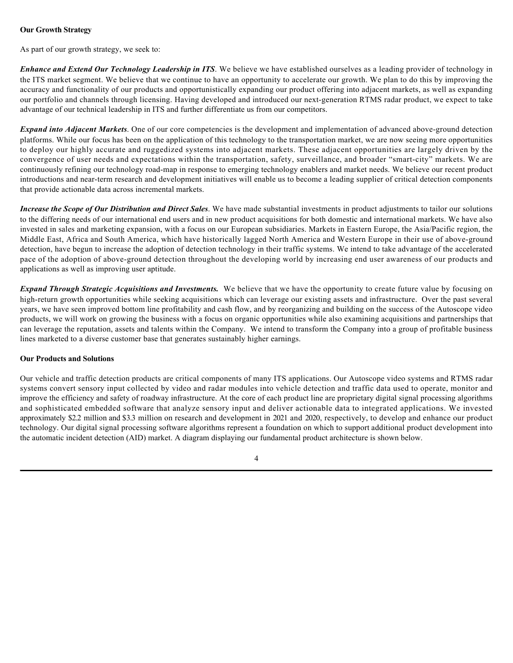#### **Our Growth Strategy**

As part of our growth strategy, we seek to:

*Enhance and Extend Our Technology Leadership in ITS*. We believe we have established ourselves as a leading provider of technology in the ITS market segment. We believe that we continue to have an opportunity to accelerate our growth. We plan to do this by improving the accuracy and functionality of our products and opportunistically expanding our product offering into adjacent markets, as well as expanding our portfolio and channels through licensing. Having developed and introduced our next-generation RTMS radar product, we expect to take advantage of our technical leadership in ITS and further differentiate us from our competitors.

*Expand into Adjacent Markets*. One of our core competencies is the development and implementation of advanced above-ground detection platforms. While our focus has been on the application of this technology to the transportation market, we are now seeing more opportunities to deploy our highly accurate and ruggedized systems into adjacent markets. These adjacent opportunities are largely driven by the convergence of user needs and expectations within the transportation, safety, surveillance, and broader "smart-city" markets. We are continuously refining our technology road-map in response to emerging technology enablers and market needs. We believe our recent product introductions and near-term research and development initiatives will enable us to become a leading supplier of critical detection components that provide actionable data across incremental markets.

*Increase the Scope of Our Distribution and Direct Sales*. We have made substantial investments in product adjustments to tailor our solutions to the differing needs of our international end users and in new product acquisitions for both domestic and international markets. We have also invested in sales and marketing expansion, with a focus on our European subsidiaries. Markets in Eastern Europe, the Asia/Pacific region, the Middle East, Africa and South America, which have historically lagged North America and Western Europe in their use of above-ground detection, have begun to increase the adoption of detection technology in their traffic systems. We intend to take advantage of the accelerated pace of the adoption of above-ground detection throughout the developing world by increasing end user awareness of our products and applications as well as improving user aptitude.

*Expand Through Strategic Acquisitions and Investments.* We believe that we have the opportunity to create future value by focusing on high-return growth opportunities while seeking acquisitions which can leverage our existing assets and infrastructure. Over the past several years, we have seen improved bottom line profitability and cash flow, and by reorganizing and building on the success of the Autoscope video products, we will work on growing the business with a focus on organic opportunities while also examining acquisitions and partnerships that can leverage the reputation, assets and talents within the Company. We intend to transform the Company into a group of profitable business lines marketed to a diverse customer base that generates sustainably higher earnings.

#### **Our Products and Solutions**

Our vehicle and traffic detection products are critical components of many ITS applications. Our Autoscope video systems and RTMS radar systems convert sensory input collected by video and radar modules into vehicle detection and traffic data used to operate, monitor and improve the efficiency and safety of roadway infrastructure. At the core of each product line are proprietary digital signal processing algorithms and sophisticated embedded software that analyze sensory input and deliver actionable data to integrated applications. We invested approximately \$2.2 million and \$3.3 million on research and development in 2021 and 2020, respectively, to develop and enhance our product technology. Our digital signal processing software algorithms represent a foundation on which to support additional product development into the automatic incident detection (AID) market. A diagram displaying our fundamental product architecture is shown below.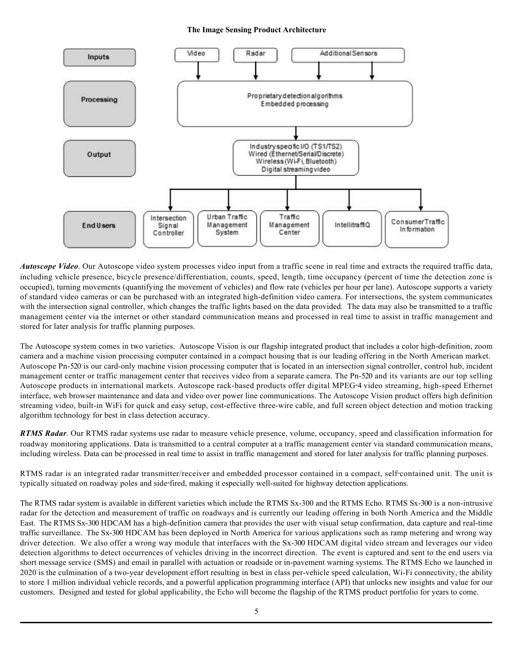#### **The Image Sensing Product Architecture**



*Autoscope Video*. Our Autoscope video system processes video input from a traffic scene in real time and extracts the required traffic data, including vehicle presence, bicycle presence/differentiation, counts, speed, length, time occupancy (percent of time the detection zone is occupied), turning movements (quantifying the movement of vehicles) and flow rate (vehicles per hour per lane). Autoscope supports a variety of standard video cameras or can be purchased with an integrated high-definition video camera. For intersections, the system communicates with the intersection signal controller, which changes the traffic lights based on the data provided. The data may also be transmitted to a traffic management center via the internet or other standard communication means and processed in real time to assist in traffic management and stored for later analysis for traffic planning purposes.

The Autoscope system comes in two varieties. Autoscope Vision is our flagship integrated product that includes a color high-definition, zoom camera and a machine vision processing computer contained in a compact housing that is our leading offering in the North American market. Autoscope Pn-520 is our card-only machine vision processing computer that is located in an intersection signal controller, control hub, incident management center or traffic management center that receives video from a separate camera. The Pn-520 and its variants are our top selling Autoscope products in international markets. Autoscope rack-based products offer digital MPEG‑4 video streaming, high-speed Ethernet interface, web browser maintenance and data and video over power line communications. The Autoscope Vision product offers high definition streaming video, built-in WiFi for quick and easy setup, cost-effective three-wire cable, and full screen object detection and motion tracking algorithm technology for best in class detection accuracy.

*RTMS Radar*. Our RTMS radar systems use radar to measure vehicle presence, volume, occupancy, speed and classification information for roadway monitoring applications. Data is transmitted to a central computer at a traffic management center via standard communication means, including wireless. Data can be processed in real time to assist in traffic management and stored for later analysis for traffic planning purposes.

RTMS radar is an integrated radar transmitter/receiver and embedded processor contained in a compact, self-contained unit. The unit is typically situated on roadway poles and side-fired, making it especially well-suited for highway detection applications.

The RTMS radar system is available in different varieties which include the RTMS Sx-300 and the RTMS Echo. RTMS Sx-300 is a non-intrusive radar for the detection and measurement of traffic on roadways and is currently our leading offering in both North America and the Middle East. The RTMS Sx-300 HDCAM has a high-definition camera that provides the user with visual setup confirmation, data capture and real-time traffic surveillance. The Sx-300 HDCAM has been deployed in North America for various applications such as ramp metering and wrong way driver detection. We also offer a wrong way module that interfaces with the Sx-300 HDCAM digital video stream and leverages our video detection algorithms to detect occurrences of vehicles driving in the incorrect direction. The event is captured and sent to the end users via short message service (SMS) and email in parallel with actuation or roadside or in-pavement warning systems. The RTMS Echo we launched in 2020 is the culmination of a two-year development effort resulting in best in class per-vehicle speed calculation, Wi-Fi connectivity, the ability to store 1 million individual vehicle records, and a powerful application programming interface (API) that unlocks new insights and value for our customers. Designed and tested for global applicability, the Echo will become the flagship of the RTMS product portfolio for years to come.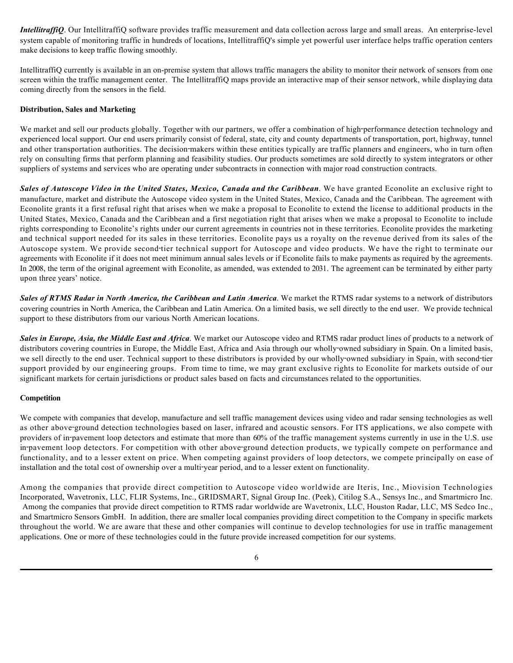*IntellitraffiQ*. Our IntellitraffiQ software provides traffic measurement and data collection across large and small areas. An enterprise-level system capable of monitoring traffic in hundreds of locations, IntellitraffiQ's simple yet powerful user interface helps traffic operation centers make decisions to keep traffic flowing smoothly.

IntellitraffiQ currently is available in an on-premise system that allows traffic managers the ability to monitor their network of sensors from one screen within the traffic management center. The IntellitraffiQ maps provide an interactive map of their sensor network, while displaying data coming directly from the sensors in the field.

#### **Distribution, Sales and Marketing**

We market and sell our products globally. Together with our partners, we offer a combination of high-performance detection technology and experienced local support. Our end users primarily consist of federal, state, city and county departments of transportation, port, highway, tunnel and other transportation authorities. The decision-makers within these entities typically are traffic planners and engineers, who in turn often rely on consulting firms that perform planning and feasibility studies. Our products sometimes are sold directly to system integrators or other suppliers of systems and services who are operating under subcontracts in connection with major road construction contracts.

*Sales of Autoscope Video in the United States, Mexico, Canada and the Caribbean*. We have granted Econolite an exclusive right to manufacture, market and distribute the Autoscope video system in the United States, Mexico, Canada and the Caribbean. The agreement with Econolite grants it a first refusal right that arises when we make a proposal to Econolite to extend the license to additional products in the United States, Mexico, Canada and the Caribbean and a first negotiation right that arises when we make a proposal to Econolite to include rights corresponding to Econolite's rights under our current agreements in countries not in these territories. Econolite provides the marketing and technical support needed for its sales in these territories. Econolite pays us a royalty on the revenue derived from its sales of the Autoscope system. We provide second-tier technical support for Autoscope and video products. We have the right to terminate our agreements with Econolite if it does not meet minimum annual sales levels or if Econolite fails to make payments as required by the agreements. In 2008, the term of the original agreement with Econolite, as amended, was extended to 2031. The agreement can be terminated by either party upon three years' notice.

*Sales of RTMS Radar in North America, the Caribbean and Latin America*. We market the RTMS radar systems to a network of distributors covering countries in North America, the Caribbean and Latin America. On a limited basis, we sell directly to the end user. We provide technical support to these distributors from our various North American locations.

*Sales in Europe, Asia, the Middle East and Africa*. We market our Autoscope video and RTMS radar product lines of products to a network of distributors covering countries in Europe, the Middle East, Africa and Asia through our wholly-owned subsidiary in Spain. On a limited basis, we sell directly to the end user. Technical support to these distributors is provided by our wholly-owned subsidiary in Spain, with second-tier support provided by our engineering groups. From time to time, we may grant exclusive rights to Econolite for markets outside of our significant markets for certain jurisdictions or product sales based on facts and circumstances related to the opportunities.

#### **Competition**

We compete with companies that develop, manufacture and sell traffic management devices using video and radar sensing technologies as well as other above-ground detection technologies based on laser, infrared and acoustic sensors. For ITS applications, we also compete with providers of in-pavement loop detectors and estimate that more than 60% of the traffic management systems currently in use in the U.S. use in-pavement loop detectors. For competition with other above-ground detection products, we typically compete on performance and functionality, and to a lesser extent on price. When competing against providers of loop detectors, we compete principally on ease of installation and the total cost of ownership over a multi-year period, and to a lesser extent on functionality.

Among the companies that provide direct competition to Autoscope video worldwide are Iteris, Inc., Miovision Technologies Incorporated, Wavetronix, LLC, FLIR Systems, Inc., GRIDSMART, Signal Group Inc. (Peek), Citilog S.A., Sensys Inc., and Smartmicro Inc. Among the companies that provide direct competition to RTMS radar worldwide are Wavetronix, LLC, Houston Radar, LLC, MS Sedco Inc., and Smartmicro Sensors GmbH. In addition, there are smaller local companies providing direct competition to the Company in specific markets throughout the world. We are aware that these and other companies will continue to develop technologies for use in traffic management applications. One or more of these technologies could in the future provide increased competition for our systems.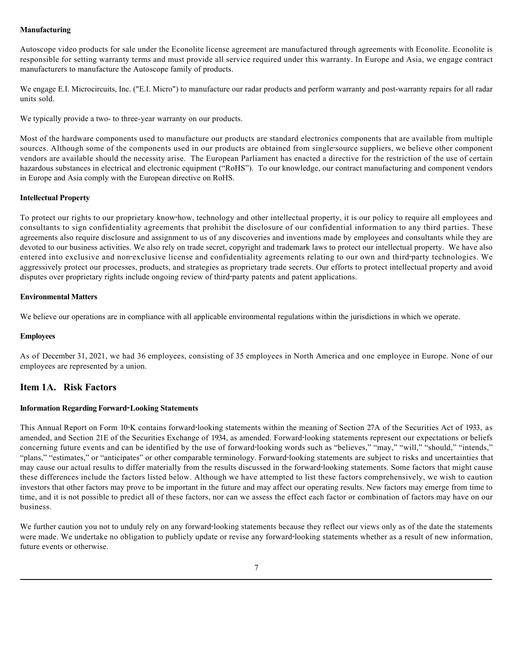#### **Manufacturing**

Autoscope video products for sale under the Econolite license agreement are manufactured through agreements with Econolite. Econolite is responsible for setting warranty terms and must provide all service required under this warranty. In Europe and Asia, we engage contract manufacturers to manufacture the Autoscope family of products.

We engage E.I. Microcircuits, Inc. ("E.I. Micro") to manufacture our radar products and perform warranty and post-warranty repairs for all radar units sold.

We typically provide a two- to three-year warranty on our products.

Most of the hardware components used to manufacture our products are standard electronics components that are available from multiple sources. Although some of the components used in our products are obtained from single-source suppliers, we believe other component vendors are available should the necessity arise. The European Parliament has enacted a directive for the restriction of the use of certain hazardous substances in electrical and electronic equipment ("RoHS"). To our knowledge, our contract manufacturing and component vendors in Europe and Asia comply with the European directive on RoHS.

#### **Intellectual Property**

To protect our rights to our proprietary know-how, technology and other intellectual property, it is our policy to require all employees and consultants to sign confidentiality agreements that prohibit the disclosure of our confidential information to any third parties. These agreements also require disclosure and assignment to us of any discoveries and inventions made by employees and consultants while they are devoted to our business activities. We also rely on trade secret, copyright and trademark laws to protect our intellectual property. We have also entered into exclusive and non-exclusive license and confidentiality agreements relating to our own and third-party technologies. We aggressively protect our processes, products, and strategies as proprietary trade secrets. Our efforts to protect intellectual property and avoid disputes over proprietary rights include ongoing review of third-party patents and patent applications.

#### **Environmental Matters**

We believe our operations are in compliance with all applicable environmental regulations within the jurisdictions in which we operate.

#### **Employees**

As of December 31, 2021, we had 36 employees, consisting of 35 employees in North America and one employee in Europe. None of our employees are represented by a union.

#### <span id="page-9-0"></span>**[Item 1A. Risk Factors](file:///C:/BackGroundJobs/LiveBackgroundServices/PublishPkgNEW/App_Data/HTML/1e1f32b4-53b6-44a4-b414-231e3a02ea6c/Main.htm#)**

#### **Information Regarding Forward**‑**Looking Statements**

This Annual Report on Form 10‑K contains forward‑looking statements within the meaning of Section 27A of the Securities Act of 1933, as amended, and Section 21E of the Securities Exchange of 1934, as amended. Forward-looking statements represent our expectations or beliefs concerning future events and can be identified by the use of forward-looking words such as "believes," "may," "will," "should," "intends," "plans," "estimates," or "anticipates" or other comparable terminology. Forward‑looking statements are subject to risks and uncertainties that may cause our actual results to differ materially from the results discussed in the forward‑looking statements. Some factors that might cause these differences include the factors listed below. Although we have attempted to list these factors comprehensively, we wish to caution investors that other factors may prove to be important in the future and may affect our operating results. New factors may emerge from time to time, and it is not possible to predict all of these factors, nor can we assess the effect each factor or combination of factors may have on our business.

We further caution you not to unduly rely on any forward-looking statements because they reflect our views only as of the date the statements were made. We undertake no obligation to publicly update or revise any forward-looking statements whether as a result of new information, future events or otherwise.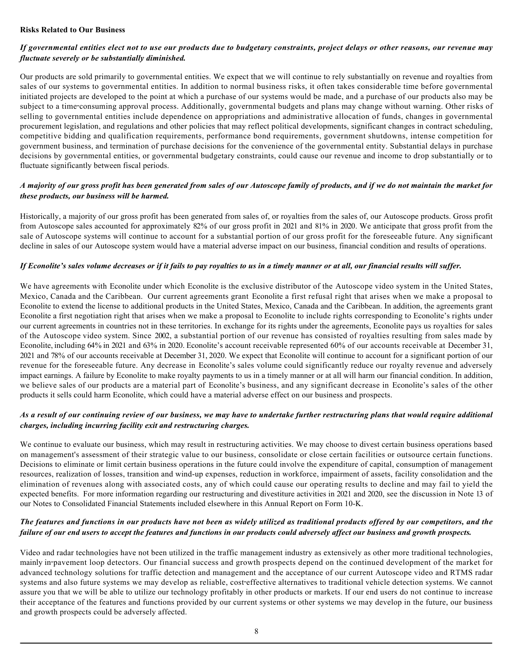#### **Risks Related to Our Business**

### *If governmental entities elect not to use our products due to budgetary constraints, project delays or other reasons, our revenue may fluctuate severely or be substantially diminished.*

Our products are sold primarily to governmental entities. We expect that we will continue to rely substantially on revenue and royalties from sales of our systems to governmental entities. In addition to normal business risks, it often takes considerable time before governmental initiated projects are developed to the point at which a purchase of our systems would be made, and a purchase of our products also may be subject to a time‑consuming approval process. Additionally, governmental budgets and plans may change without warning. Other risks of selling to governmental entities include dependence on appropriations and administrative allocation of funds, changes in governmental procurement legislation, and regulations and other policies that may reflect political developments, significant changes in contract scheduling, competitive bidding and qualification requirements, performance bond requirements, government shutdowns, intense competition for government business, and termination of purchase decisions for the convenience of the governmental entity. Substantial delays in purchase decisions by governmental entities, or governmental budgetary constraints, could cause our revenue and income to drop substantially or to fluctuate significantly between fiscal periods.

#### *A majority of our gross profit has been generated from sales of our Autoscope family of products, and if we do not maintain the market for these products, our business will be harmed.*

Historically, a majority of our gross profit has been generated from sales of, or royalties from the sales of, our Autoscope products. Gross profit from Autoscope sales accounted for approximately 82% of our gross profit in 2021 and 81% in 2020. We anticipate that gross profit from the sale of Autoscope systems will continue to account for a substantial portion of our gross profit for the foreseeable future. Any significant decline in sales of our Autoscope system would have a material adverse impact on our business, financial condition and results of operations.

#### *If Econolite's sales volume decreases or if it fails to pay royalties to us in a timely manner or at all, our financial results will suffer.*

We have agreements with Econolite under which Econolite is the exclusive distributor of the Autoscope video system in the United States, Mexico, Canada and the Caribbean. Our current agreements grant Econolite a first refusal right that arises when we make a proposal to Econolite to extend the license to additional products in the United States, Mexico, Canada and the Caribbean. In addition, the agreements grant Econolite a first negotiation right that arises when we make a proposal to Econolite to include rights corresponding to Econolite's rights under our current agreements in countries not in these territories. In exchange for its rights under the agreements, Econolite pays us royalties for sales of the Autoscope video system. Since 2002, a substantial portion of our revenue has consisted of royalties resulting from sales made by Econolite, including 64% in 2021 and 63% in 2020. Econolite's account receivable represented 60% of our accounts receivable at December 31, 2021 and 78% of our accounts receivable at December 31, 2020. We expect that Econolite will continue to account for a significant portion of our revenue for the foreseeable future. Any decrease in Econolite's sales volume could significantly reduce our royalty revenue and adversely impact earnings. A failure by Econolite to make royalty payments to us in a timely manner or at all will harm our financial condition. In addition, we believe sales of our products are a material part of Econolite's business, and any significant decrease in Econolite's sales of the other products it sells could harm Econolite, which could have a material adverse effect on our business and prospects.

#### *As a result of our continuing review of our business, we may have to undertake further restructuring plans that would require additional charges, including incurring facility exit and restructuring charges.*

We continue to evaluate our business, which may result in restructuring activities. We may choose to divest certain business operations based on management's assessment of their strategic value to our business, consolidate or close certain facilities or outsource certain functions. Decisions to eliminate or limit certain business operations in the future could involve the expenditure of capital, consumption of management resources, realization of losses, transition and wind-up expenses, reduction in workforce, impairment of assets, facility consolidation and the elimination of revenues along with associated costs, any of which could cause our operating results to decline and may fail to yield the expected benefits. For more information regarding our restructuring and divestiture activities in 2021 and 2020, see the discussion in Note 13 of our Notes to Consolidated Financial Statements included elsewhere in this Annual Report on Form 10-K.

#### *The features and functions in our products have not been as widely utilized as traditional products offered by our competitors, and the failure of our end users to accept the features and functions in our products could adversely affect our business and growth prospects.*

Video and radar technologies have not been utilized in the traffic management industry as extensively as other more traditional technologies, mainly in-pavement loop detectors. Our financial success and growth prospects depend on the continued development of the market for advanced technology solutions for traffic detection and management and the acceptance of our current Autoscope video and RTMS radar systems and also future systems we may develop as reliable, cost-effective alternatives to traditional vehicle detection systems. We cannot assure you that we will be able to utilize our technology profitably in other products or markets. If our end users do not continue to increase their acceptance of the features and functions provided by our current systems or other systems we may develop in the future, our business and growth prospects could be adversely affected.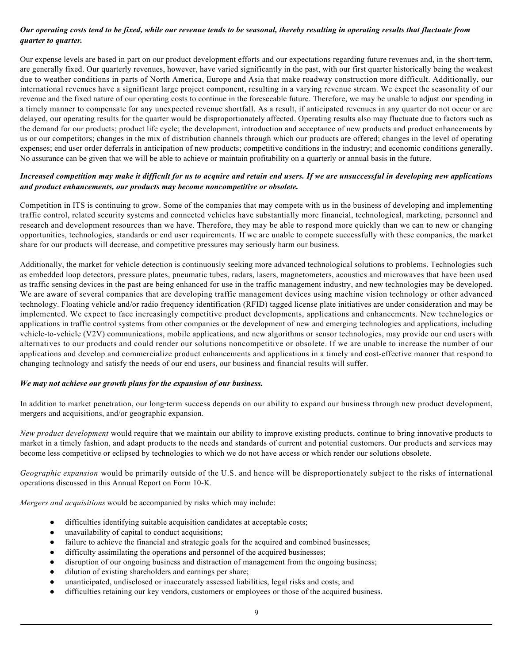#### *Our operating costs tend to be fixed, while our revenue tends to be seasonal, thereby resulting in operating results that fluctuate from quarter to quarter.*

Our expense levels are based in part on our product development efforts and our expectations regarding future revenues and, in the short-term, are generally fixed. Our quarterly revenues, however, have varied significantly in the past, with our first quarter historically being the weakest due to weather conditions in parts of North America, Europe and Asia that make roadway construction more difficult. Additionally, our international revenues have a significant large project component, resulting in a varying revenue stream. We expect the seasonality of our revenue and the fixed nature of our operating costs to continue in the foreseeable future. Therefore, we may be unable to adjust our spending in a timely manner to compensate for any unexpected revenue shortfall. As a result, if anticipated revenues in any quarter do not occur or are delayed, our operating results for the quarter would be disproportionately affected. Operating results also may fluctuate due to factors such as the demand for our products; product life cycle; the development, introduction and acceptance of new products and product enhancements by us or our competitors; changes in the mix of distribution channels through which our products are offered; changes in the level of operating expenses; end user order deferrals in anticipation of new products; competitive conditions in the industry; and economic conditions generally. No assurance can be given that we will be able to achieve or maintain profitability on a quarterly or annual basis in the future.

#### *Increased competition may make it difficult for us to acquire and retain end users. If we are unsuccessful in developing new applications and product enhancements, our products may become noncompetitive or obsolete.*

Competition in ITS is continuing to grow. Some of the companies that may compete with us in the business of developing and implementing traffic control, related security systems and connected vehicles have substantially more financial, technological, marketing, personnel and research and development resources than we have. Therefore, they may be able to respond more quickly than we can to new or changing opportunities, technologies, standards or end user requirements. If we are unable to compete successfully with these companies, the market share for our products will decrease, and competitive pressures may seriously harm our business.

Additionally, the market for vehicle detection is continuously seeking more advanced technological solutions to problems. Technologies such as embedded loop detectors, pressure plates, pneumatic tubes, radars, lasers, magnetometers, acoustics and microwaves that have been used as traffic sensing devices in the past are being enhanced for use in the traffic management industry, and new technologies may be developed. We are aware of several companies that are developing traffic management devices using machine vision technology or other advanced technology. Floating vehicle and/or radio frequency identification (RFID) tagged license plate initiatives are under consideration and may be implemented. We expect to face increasingly competitive product developments, applications and enhancements. New technologies or applications in traffic control systems from other companies or the development of new and emerging technologies and applications, including vehicle-to-vehicle (V2V) communications, mobile applications, and new algorithms or sensor technologies, may provide our end users with alternatives to our products and could render our solutions noncompetitive or obsolete. If we are unable to increase the number of our applications and develop and commercialize product enhancements and applications in a timely and cost-effective manner that respond to changing technology and satisfy the needs of our end users, our business and financial results will suffer.

#### *We may not achieve our growth plans for the expansion of our business.*

In addition to market penetration, our long-term success depends on our ability to expand our business through new product development, mergers and acquisitions, and/or geographic expansion.

*New product development* would require that we maintain our ability to improve existing products, continue to bring innovative products to market in a timely fashion, and adapt products to the needs and standards of current and potential customers. Our products and services may become less competitive or eclipsed by technologies to which we do not have access or which render our solutions obsolete.

*Geographic expansion* would be primarily outside of the U.S. and hence will be disproportionately subject to the risks of international operations discussed in this Annual Report on Form 10-K.

*Mergers and acquisitions* would be accompanied by risks which may include:

- difficulties identifying suitable acquisition candidates at acceptable costs;
- unavailability of capital to conduct acquisitions;
- failure to achieve the financial and strategic goals for the acquired and combined businesses;
- difficulty assimilating the operations and personnel of the acquired businesses;
- disruption of our ongoing business and distraction of management from the ongoing business;
- dilution of existing shareholders and earnings per share;
- unanticipated, undisclosed or inaccurately assessed liabilities, legal risks and costs; and
- difficulties retaining our key vendors, customers or employees or those of the acquired business.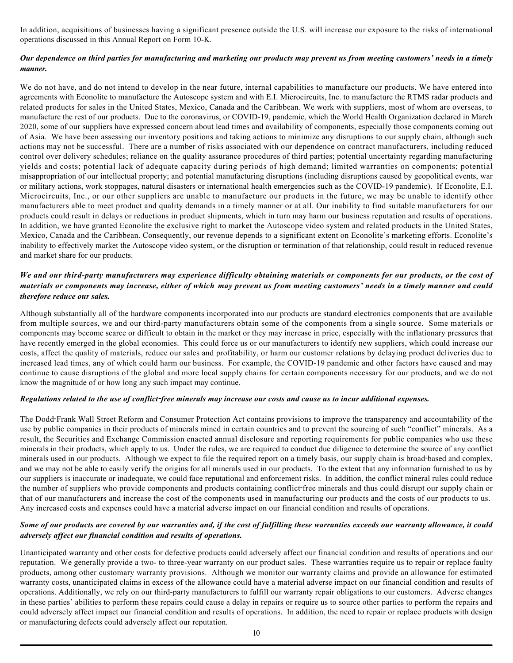In addition, acquisitions of businesses having a significant presence outside the U.S. will increase our exposure to the risks of international operations discussed in this Annual Report on Form 10-K.

#### *Our dependence on third parties for manufacturing and marketing our products may prevent us from meeting customers' needs in a timely manner.*

We do not have, and do not intend to develop in the near future, internal capabilities to manufacture our products. We have entered into agreements with Econolite to manufacture the Autoscope system and with E.I. Microcircuits, Inc. to manufacture the RTMS radar products and related products for sales in the United States, Mexico, Canada and the Caribbean. We work with suppliers, most of whom are overseas, to manufacture the rest of our products. Due to the coronavirus, or COVID-19, pandemic, which the World Health Organization declared in March 2020, some of our suppliers have expressed concern about lead times and availability of components, especially those components coming out of Asia. We have been assessing our inventory positions and taking actions to minimize any disruptions to our supply chain, although such actions may not be successful. There are a number of risks associated with our dependence on contract manufacturers, including reduced control over delivery schedules; reliance on the quality assurance procedures of third parties; potential uncertainty regarding manufacturing yields and costs; potential lack of adequate capacity during periods of high demand; limited warranties on components; potential misappropriation of our intellectual property; and potential manufacturing disruptions (including disruptions caused by geopolitical events, war or military actions, work stoppages, natural disasters or international health emergencies such as the COVID-19 pandemic). If Econolite, E.I. Microcircuits, Inc., or our other suppliers are unable to manufacture our products in the future, we may be unable to identify other manufacturers able to meet product and quality demands in a timely manner or at all. Our inability to find suitable manufacturers for our products could result in delays or reductions in product shipments, which in turn may harm our business reputation and results of operations. In addition, we have granted Econolite the exclusive right to market the Autoscope video system and related products in the United States, Mexico, Canada and the Caribbean. Consequently, our revenue depends to a significant extent on Econolite's marketing efforts. Econolite's inability to effectively market the Autoscope video system, or the disruption or termination of that relationship, could result in reduced revenue and market share for our products.

## *We and our third-party manufacturers may experience difficulty obtaining materials or components for our products, or the cost of materials or components may increase, either of which may prevent us from meeting customers' needs in a timely manner and could therefore reduce our sales.*

Although substantially all of the hardware components incorporated into our products are standard electronics components that are available from multiple sources, we and our third-party manufacturers obtain some of the components from a single source. Some materials or components may become scarce or difficult to obtain in the market or they may increase in price, especially with the inflationary pressures that have recently emerged in the global economies. This could force us or our manufacturers to identify new suppliers, which could increase our costs, affect the quality of materials, reduce our sales and profitability, or harm our customer relations by delaying product deliveries due to increased lead times, any of which could harm our business. For example, the COVID-19 pandemic and other factors have caused and may continue to cause disruptions of the global and more local supply chains for certain components necessary for our products, and we do not know the magnitude of or how long any such impact may continue.

#### *Regulations related to the use of conflict*‑*free minerals may increase our costs and cause us to incur additional expenses.*

The Dodd-Frank Wall Street Reform and Consumer Protection Act contains provisions to improve the transparency and accountability of the use by public companies in their products of minerals mined in certain countries and to prevent the sourcing of such "conflict" minerals. As a result, the Securities and Exchange Commission enacted annual disclosure and reporting requirements for public companies who use these minerals in their products, which apply to us. Under the rules, we are required to conduct due diligence to determine the source of any conflict minerals used in our products. Although we expect to file the required report on a timely basis, our supply chain is broad-based and complex, and we may not be able to easily verify the origins for all minerals used in our products. To the extent that any information furnished to us by our suppliers is inaccurate or inadequate, we could face reputational and enforcement risks. In addition, the conflict mineral rules could reduce the number of suppliers who provide components and products containing conflict-free minerals and thus could disrupt our supply chain or that of our manufacturers and increase the cost of the components used in manufacturing our products and the costs of our products to us. Any increased costs and expenses could have a material adverse impact on our financial condition and results of operations.

#### *Some of our products are covered by our warranties and, if the cost of fulfilling these warranties exceeds our warranty allowance, it could adversely affect our financial condition and results of operations.*

Unanticipated warranty and other costs for defective products could adversely affect our financial condition and results of operations and our reputation. We generally provide a two- to three-year warranty on our product sales. These warranties require us to repair or replace faulty products, among other customary warranty provisions. Although we monitor our warranty claims and provide an allowance for estimated warranty costs, unanticipated claims in excess of the allowance could have a material adverse impact on our financial condition and results of operations. Additionally, we rely on our third-party manufacturers to fulfill our warranty repair obligations to our customers. Adverse changes in these parties' abilities to perform these repairs could cause a delay in repairs or require us to source other parties to perform the repairs and could adversely affect impact our financial condition and results of operations. In addition, the need to repair or replace products with design or manufacturing defects could adversely affect our reputation.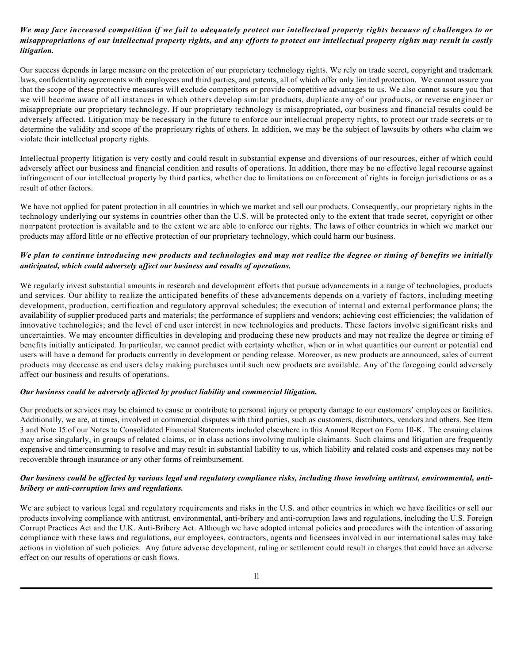### *We may face increased competition if we fail to adequately protect our intellectual property rights because of challenges to or misappropriations of our intellectual property rights, and any efforts to protect our intellectual property rights may result in costly litigation.*

Our success depends in large measure on the protection of our proprietary technology rights. We rely on trade secret, copyright and trademark laws, confidentiality agreements with employees and third parties, and patents, all of which offer only limited protection. We cannot assure you that the scope of these protective measures will exclude competitors or provide competitive advantages to us. We also cannot assure you that we will become aware of all instances in which others develop similar products, duplicate any of our products, or reverse engineer or misappropriate our proprietary technology. If our proprietary technology is misappropriated, our business and financial results could be adversely affected. Litigation may be necessary in the future to enforce our intellectual property rights, to protect our trade secrets or to determine the validity and scope of the proprietary rights of others. In addition, we may be the subject of lawsuits by others who claim we violate their intellectual property rights.

Intellectual property litigation is very costly and could result in substantial expense and diversions of our resources, either of which could adversely affect our business and financial condition and results of operations. In addition, there may be no effective legal recourse against infringement of our intellectual property by third parties, whether due to limitations on enforcement of rights in foreign jurisdictions or as a result of other factors.

We have not applied for patent protection in all countries in which we market and sell our products. Consequently, our proprietary rights in the technology underlying our systems in countries other than the U.S. will be protected only to the extent that trade secret, copyright or other non‑patent protection is available and to the extent we are able to enforce our rights. The laws of other countries in which we market our products may afford little or no effective protection of our proprietary technology, which could harm our business.

#### *We plan to continue introducing new products and technologies and may not realize the degree or timing of benefits we initially anticipated, which could adversely affect our business and results of operations.*

We regularly invest substantial amounts in research and development efforts that pursue advancements in a range of technologies, products and services. Our ability to realize the anticipated benefits of these advancements depends on a variety of factors, including meeting development, production, certification and regulatory approval schedules; the execution of internal and external performance plans; the availability of supplier-produced parts and materials; the performance of suppliers and vendors; achieving cost efficiencies; the validation of innovative technologies; and the level of end user interest in new technologies and products. These factors involve significant risks and uncertainties. We may encounter difficulties in developing and producing these new products and may not realize the degree or timing of benefits initially anticipated. In particular, we cannot predict with certainty whether, when or in what quantities our current or potential end users will have a demand for products currently in development or pending release. Moreover, as new products are announced, sales of current products may decrease as end users delay making purchases until such new products are available. Any of the foregoing could adversely affect our business and results of operations.

#### *Our business could be adversely affected by product liability and commercial litigation.*

Our products or services may be claimed to cause or contribute to personal injury or property damage to our customers' employees or facilities. Additionally, we are, at times, involved in commercial disputes with third parties, such as customers, distributors, vendors and others. See Item 3 and Note 15 of our Notes to Consolidated Financial Statements included elsewhere in this Annual Report on Form 10-K. The ensuing claims may arise singularly, in groups of related claims, or in class actions involving multiple claimants. Such claims and litigation are frequently expensive and time-consuming to resolve and may result in substantial liability to us, which liability and related costs and expenses may not be recoverable through insurance or any other forms of reimbursement.

#### *Our business could be affected by various legal and regulatory compliance risks, including those involving antitrust, environmental, antibribery or anti-corruption laws and regulations.*

We are subject to various legal and regulatory requirements and risks in the U.S. and other countries in which we have facilities or sell our products involving compliance with antitrust, environmental, anti-bribery and anti-corruption laws and regulations, including the U.S. Foreign Corrupt Practices Act and the U.K. Anti-Bribery Act. Although we have adopted internal policies and procedures with the intention of assuring compliance with these laws and regulations, our employees, contractors, agents and licensees involved in our international sales may take actions in violation of such policies. Any future adverse development, ruling or settlement could result in charges that could have an adverse effect on our results of operations or cash flows.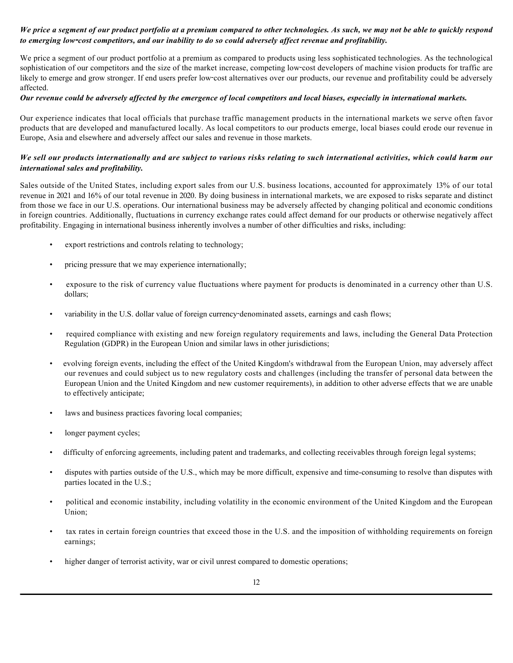#### *We price a segment of our product portfolio at a premium compared to other technologies. As such, we may not be able to quickly respond to emerging low*‑*cost competitors, and our inability to do so could adversely affect revenue and profitability.*

We price a segment of our product portfolio at a premium as compared to products using less sophisticated technologies. As the technological sophistication of our competitors and the size of the market increase, competing low‑cost developers of machine vision products for traffic are likely to emerge and grow stronger. If end users prefer low‑cost alternatives over our products, our revenue and profitability could be adversely affected.

#### *Our revenue could be adversely affected by the emergence of local competitors and local biases, especially in international markets.*

Our experience indicates that local officials that purchase traffic management products in the international markets we serve often favor products that are developed and manufactured locally. As local competitors to our products emerge, local biases could erode our revenue in Europe, Asia and elsewhere and adversely affect our sales and revenue in those markets.

#### *We sell our products internationally and are subject to various risks relating to such international activities, which could harm our international sales and profitability.*

Sales outside of the United States, including export sales from our U.S. business locations, accounted for approximately 13% of our total revenue in 2021 and 16% of our total revenue in 2020. By doing business in international markets, we are exposed to risks separate and distinct from those we face in our U.S. operations. Our international business may be adversely affected by changing political and economic conditions in foreign countries. Additionally, fluctuations in currency exchange rates could affect demand for our products or otherwise negatively affect profitability. Engaging in international business inherently involves a number of other difficulties and risks, including:

- export restrictions and controls relating to technology;
- pricing pressure that we may experience internationally;
- exposure to the risk of currency value fluctuations where payment for products is denominated in a currency other than U.S. dollars;
- variability in the U.S. dollar value of foreign currency-denominated assets, earnings and cash flows;
- required compliance with existing and new foreign regulatory requirements and laws, including the General Data Protection Regulation (GDPR) in the European Union and similar laws in other jurisdictions;
- evolving foreign events, including the effect of the United Kingdom's withdrawal from the European Union, may adversely affect our revenues and could subject us to new regulatory costs and challenges (including the transfer of personal data between the European Union and the United Kingdom and new customer requirements), in addition to other adverse effects that we are unable to effectively anticipate;
- laws and business practices favoring local companies;
- longer payment cycles;
- difficulty of enforcing agreements, including patent and trademarks, and collecting receivables through foreign legal systems;
- disputes with parties outside of the U.S., which may be more difficult, expensive and time-consuming to resolve than disputes with parties located in the U.S.;
- political and economic instability, including volatility in the economic environment of the United Kingdom and the European Union;
- tax rates in certain foreign countries that exceed those in the U.S. and the imposition of withholding requirements on foreign earnings;
- higher danger of terrorist activity, war or civil unrest compared to domestic operations;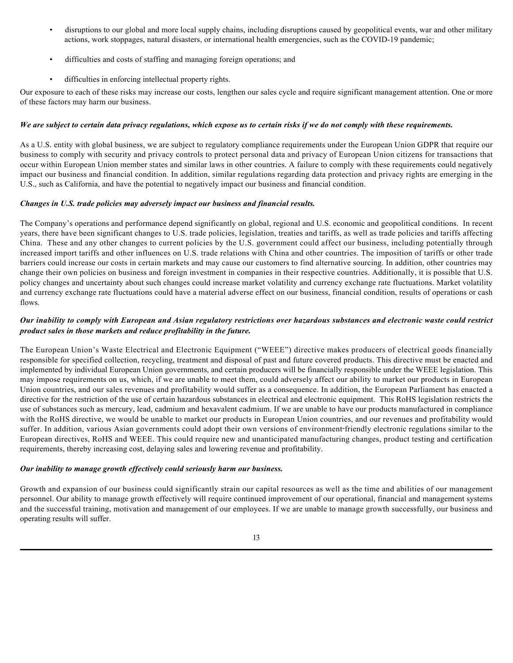- disruptions to our global and more local supply chains, including disruptions caused by geopolitical events, war and other military actions, work stoppages, natural disasters, or international health emergencies, such as the COVID-19 pandemic;
- difficulties and costs of staffing and managing foreign operations; and
- difficulties in enforcing intellectual property rights.

Our exposure to each of these risks may increase our costs, lengthen our sales cycle and require significant management attention. One or more of these factors may harm our business.

#### *We are subject to certain data privacy regulations, which expose us to certain risks if we do not comply with these requirements.*

As a U.S. entity with global business, we are subject to regulatory compliance requirements under the European Union GDPR that require our business to comply with security and privacy controls to protect personal data and privacy of European Union citizens for transactions that occur within European Union member states and similar laws in other countries. A failure to comply with these requirements could negatively impact our business and financial condition. In addition, similar regulations regarding data protection and privacy rights are emerging in the U.S., such as California, and have the potential to negatively impact our business and financial condition.

#### *Changes in U.S. trade policies may adversely impact our business and financial results.*

The Company's operations and performance depend significantly on global, regional and U.S. economic and geopolitical conditions. In recent years, there have been significant changes to U.S. trade policies, legislation, treaties and tariffs, as well as trade policies and tariffs affecting China. These and any other changes to current policies by the U.S. government could affect our business, including potentially through increased import tariffs and other influences on U.S. trade relations with China and other countries. The imposition of tariffs or other trade barriers could increase our costs in certain markets and may cause our customers to find alternative sourcing. In addition, other countries may change their own policies on business and foreign investment in companies in their respective countries. Additionally, it is possible that U.S. policy changes and uncertainty about such changes could increase market volatility and currency exchange rate fluctuations. Market volatility and currency exchange rate fluctuations could have a material adverse effect on our business, financial condition, results of operations or cash flows.

## *Our inability to comply with European and Asian regulatory restrictions over hazardous substances and electronic waste could restrict product sales in those markets and reduce profitability in the future.*

The European Union's Waste Electrical and Electronic Equipment ("WEEE") directive makes producers of electrical goods financially responsible for specified collection, recycling, treatment and disposal of past and future covered products. This directive must be enacted and implemented by individual European Union governments, and certain producers will be financially responsible under the WEEE legislation. This may impose requirements on us, which, if we are unable to meet them, could adversely affect our ability to market our products in European Union countries, and our sales revenues and profitability would suffer as a consequence. In addition, the European Parliament has enacted a directive for the restriction of the use of certain hazardous substances in electrical and electronic equipment. This RoHS legislation restricts the use of substances such as mercury, lead, cadmium and hexavalent cadmium. If we are unable to have our products manufactured in compliance with the RoHS directive, we would be unable to market our products in European Union countries, and our revenues and profitability would suffer. In addition, various Asian governments could adopt their own versions of environment-friendly electronic regulations similar to the European directives, RoHS and WEEE. This could require new and unanticipated manufacturing changes, product testing and certification requirements, thereby increasing cost, delaying sales and lowering revenue and profitability.

#### *Our inability to manage growth effectively could seriously harm our business.*

Growth and expansion of our business could significantly strain our capital resources as well as the time and abilities of our management personnel. Our ability to manage growth effectively will require continued improvement of our operational, financial and management systems and the successful training, motivation and management of our employees. If we are unable to manage growth successfully, our business and operating results will suffer.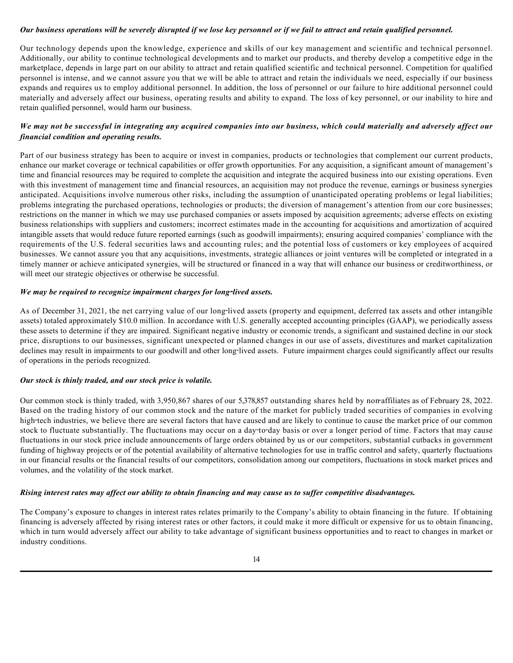#### *Our business operations will be severely disrupted if we lose key personnel or if we fail to attract and retain qualified personnel.*

Our technology depends upon the knowledge, experience and skills of our key management and scientific and technical personnel. Additionally, our ability to continue technological developments and to market our products, and thereby develop a competitive edge in the marketplace, depends in large part on our ability to attract and retain qualified scientific and technical personnel. Competition for qualified personnel is intense, and we cannot assure you that we will be able to attract and retain the individuals we need, especially if our business expands and requires us to employ additional personnel. In addition, the loss of personnel or our failure to hire additional personnel could materially and adversely affect our business, operating results and ability to expand. The loss of key personnel, or our inability to hire and retain qualified personnel, would harm our business.

#### *We may not be successful in integrating any acquired companies into our business, which could materially and adversely affect our financial condition and operating results.*

Part of our business strategy has been to acquire or invest in companies, products or technologies that complement our current products, enhance our market coverage or technical capabilities or offer growth opportunities. For any acquisition, a significant amount of management's time and financial resources may be required to complete the acquisition and integrate the acquired business into our existing operations. Even with this investment of management time and financial resources, an acquisition may not produce the revenue, earnings or business synergies anticipated. Acquisitions involve numerous other risks, including the assumption of unanticipated operating problems or legal liabilities; problems integrating the purchased operations, technologies or products; the diversion of management's attention from our core businesses; restrictions on the manner in which we may use purchased companies or assets imposed by acquisition agreements; adverse effects on existing business relationships with suppliers and customers; incorrect estimates made in the accounting for acquisitions and amortization of acquired intangible assets that would reduce future reported earnings (such as goodwill impairments); ensuring acquired companies' compliance with the requirements of the U.S. federal securities laws and accounting rules; and the potential loss of customers or key employees of acquired businesses. We cannot assure you that any acquisitions, investments, strategic alliances or joint ventures will be completed or integrated in a timely manner or achieve anticipated synergies, will be structured or financed in a way that will enhance our business or creditworthiness, or will meet our strategic objectives or otherwise be successful.

#### *We may be required to recognize impairment charges for long*‑*lived assets.*

As of December 31, 2021, the net carrying value of our long-lived assets (property and equipment, deferred tax assets and other intangible assets) totaled approximately \$10.0 million. In accordance with U.S. generally accepted accounting principles (GAAP), we periodically assess these assets to determine if they are impaired. Significant negative industry or economic trends, a significant and sustained decline in our stock price, disruptions to our businesses, significant unexpected or planned changes in our use of assets, divestitures and market capitalization declines may result in impairments to our goodwill and other long-lived assets. Future impairment charges could significantly affect our results of operations in the periods recognized.

#### *Our stock is thinly traded, and our stock price is volatile.*

Our common stock is thinly traded, with 3,950,867 shares of our 5,378,857 outstanding shares held by non-affiliates as of February 28, 2022. Based on the trading history of our common stock and the nature of the market for publicly traded securities of companies in evolving high-tech industries, we believe there are several factors that have caused and are likely to continue to cause the market price of our common stock to fluctuate substantially. The fluctuations may occur on a day-to-day basis or over a longer period of time. Factors that may cause fluctuations in our stock price include announcements of large orders obtained by us or our competitors, substantial cutbacks in government funding of highway projects or of the potential availability of alternative technologies for use in traffic control and safety, quarterly fluctuations in our financial results or the financial results of our competitors, consolidation among our competitors, fluctuations in stock market prices and volumes, and the volatility of the stock market.

#### *Rising interest rates may affect our ability to obtain financing and may cause us to suffer competitive disadvantages.*

The Company's exposure to changes in interest rates relates primarily to the Company's ability to obtain financing in the future. If obtaining financing is adversely affected by rising interest rates or other factors, it could make it more difficult or expensive for us to obtain financing, which in turn would adversely affect our ability to take advantage of significant business opportunities and to react to changes in market or industry conditions.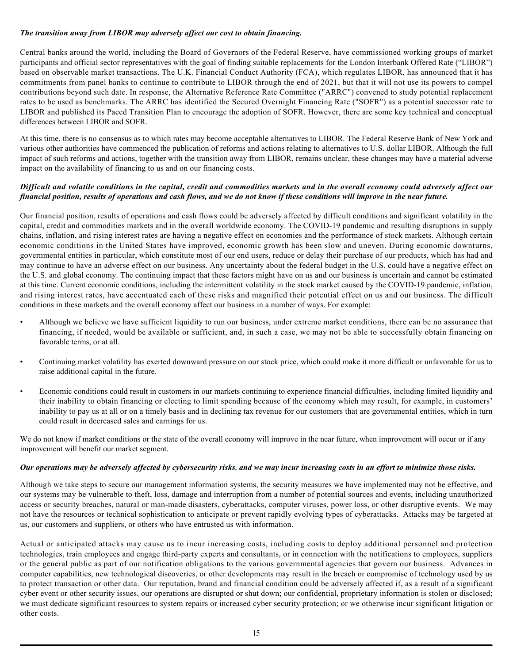#### *The transition away from LIBOR may adversely affect our cost to obtain financing.*

Central banks around the world, including the Board of Governors of the Federal Reserve, have commissioned working groups of market participants and official sector representatives with the goal of finding suitable replacements for the London Interbank Offered Rate ("LIBOR") based on observable market transactions. The U.K. Financial Conduct Authority (FCA), which regulates LIBOR, has announced that it has commitments from panel banks to continue to contribute to LIBOR through the end of 2021, but that it will not use its powers to compel contributions beyond such date. In response, the Alternative Reference Rate Committee ("ARRC") convened to study potential replacement rates to be used as benchmarks. The ARRC has identified the Secured Overnight Financing Rate ("SOFR") as a potential successor rate to LIBOR and published its Paced Transition Plan to encourage the adoption of SOFR. However, there are some key technical and conceptual differences between LIBOR and SOFR.

At this time, there is no consensus as to which rates may become acceptable alternatives to LIBOR. The Federal Reserve Bank of New York and various other authorities have commenced the publication of reforms and actions relating to alternatives to U.S. dollar LIBOR. Although the full impact of such reforms and actions, together with the transition away from LIBOR, remains unclear, these changes may have a material adverse impact on the availability of financing to us and on our financing costs.

#### *Difficult and volatile conditions in the capital, credit and commodities markets and in the overall economy could adversely affect our financial position, results of operations and cash flows, and we do not know if these conditions will improve in the near future.*

Our financial position, results of operations and cash flows could be adversely affected by difficult conditions and significant volatility in the capital, credit and commodities markets and in the overall worldwide economy. The COVID-19 pandemic and resulting disruptions in supply chains, inflation, and rising interest rates are having a negative effect on economies and the performance of stock markets. Although certain economic conditions in the United States have improved, economic growth has been slow and uneven. During economic downturns, governmental entities in particular, which constitute most of our end users, reduce or delay their purchase of our products, which has had and may continue to have an adverse effect on our business. Any uncertainty about the federal budget in the U.S. could have a negative effect on the U.S. and global economy. The continuing impact that these factors might have on us and our business is uncertain and cannot be estimated at this time. Current economic conditions, including the intermittent volatility in the stock market caused by the COVID-19 pandemic, inflation, and rising interest rates, have accentuated each of these risks and magnified their potential effect on us and our business. The difficult conditions in these markets and the overall economy affect our business in a number of ways. For example:

- Although we believe we have sufficient liquidity to run our business, under extreme market conditions, there can be no assurance that financing, if needed, would be available or sufficient, and, in such a case, we may not be able to successfully obtain financing on favorable terms, or at all.
- Continuing market volatility has exerted downward pressure on our stock price, which could make it more difficult or unfavorable for us to raise additional capital in the future.
- Economic conditions could result in customers in our markets continuing to experience financial difficulties, including limited liquidity and their inability to obtain financing or electing to limit spending because of the economy which may result, for example, in customers' inability to pay us at all or on a timely basis and in declining tax revenue for our customers that are governmental entities, which in turn could result in decreased sales and earnings for us.

We do not know if market conditions or the state of the overall economy will improve in the near future, when improvement will occur or if any improvement will benefit our market segment.

#### *Our operations may be adversely affected by cybersecurity risks, and we may incur increasing costs in an effort to minimize those risks.*

Although we take steps to secure our management information systems, the security measures we have implemented may not be effective, and our systems may be vulnerable to theft, loss, damage and interruption from a number of potential sources and events, including unauthorized access or security breaches, natural or man-made disasters, cyberattacks, computer viruses, power loss, or other disruptive events. We may not have the resources or technical sophistication to anticipate or prevent rapidly evolving types of cyberattacks. Attacks may be targeted at us, our customers and suppliers, or others who have entrusted us with information.

Actual or anticipated attacks may cause us to incur increasing costs, including costs to deploy additional personnel and protection technologies, train employees and engage third-party experts and consultants, or in connection with the notifications to employees, suppliers or the general public as part of our notification obligations to the various governmental agencies that govern our business. Advances in computer capabilities, new technological discoveries, or other developments may result in the breach or compromise of technology used by us to protect transaction or other data. Our reputation, brand and financial condition could be adversely affected if, as a result of a significant cyber event or other security issues, our operations are disrupted or shut down; our confidential, proprietary information is stolen or disclosed; we must dedicate significant resources to system repairs or increased cyber security protection; or we otherwise incur significant litigation or other costs.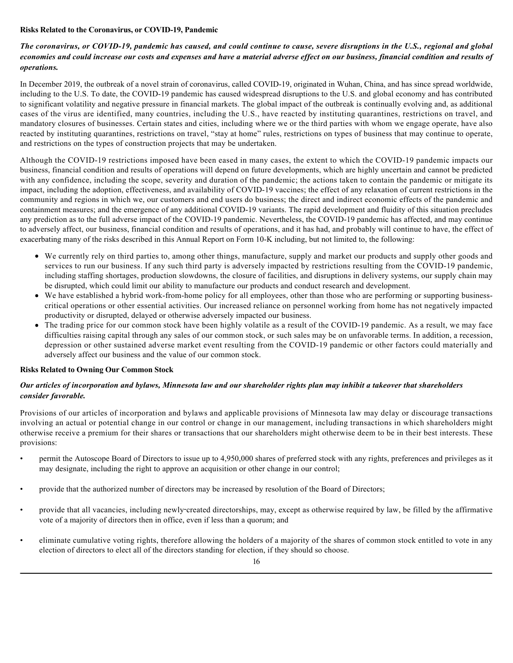#### **Risks Related to the Coronavirus, or COVID-19, Pandemic**

### *The coronavirus, or COVID-19, pandemic has caused, and could continue to cause, severe disruptions in the U.S., regional and global economies and could increase our costs and expenses and have a material adverse effect on our business, financial condition and results of operations.*

In December 2019, the outbreak of a novel strain of coronavirus, called COVID-19, originated in Wuhan, China, and has since spread worldwide, including to the U.S. To date, the COVID-19 pandemic has caused widespread disruptions to the U.S. and global economy and has contributed to significant volatility and negative pressure in financial markets. The global impact of the outbreak is continually evolving and, as additional cases of the virus are identified, many countries, including the U.S., have reacted by instituting quarantines, restrictions on travel, and mandatory closures of businesses. Certain states and cities, including where we or the third parties with whom we engage operate, have also reacted by instituting quarantines, restrictions on travel, "stay at home" rules, restrictions on types of business that may continue to operate, and restrictions on the types of construction projects that may be undertaken.

Although the COVID-19 restrictions imposed have been eased in many cases, the extent to which the COVID-19 pandemic impacts our business, financial condition and results of operations will depend on future developments, which are highly uncertain and cannot be predicted with any confidence, including the scope, severity and duration of the pandemic; the actions taken to contain the pandemic or mitigate its impact, including the adoption, effectiveness, and availability of COVID-19 vaccines; the effect of any relaxation of current restrictions in the community and regions in which we, our customers and end users do business; the direct and indirect economic effects of the pandemic and containment measures; and the emergence of any additional COVID-19 variants. The rapid development and fluidity of this situation precludes any prediction as to the full adverse impact of the COVID-19 pandemic. Nevertheless, the COVID-19 pandemic has affected, and may continue to adversely affect, our business, financial condition and results of operations, and it has had, and probably will continue to have, the effect of exacerbating many of the risks described in this Annual Report on Form 10-K including, but not limited to, the following:

- We currently rely on third parties to, among other things, manufacture, supply and market our products and supply other goods and services to run our business. If any such third party is adversely impacted by restrictions resulting from the COVID-19 pandemic, including staffing shortages, production slowdowns, the closure of facilities, and disruptions in delivery systems, our supply chain may be disrupted, which could limit our ability to manufacture our products and conduct research and development.
- We have established a hybrid work-from-home policy for all employees, other than those who are performing or supporting businesscritical operations or other essential activities. Our increased reliance on personnel working from home has not negatively impacted productivity or disrupted, delayed or otherwise adversely impacted our business.
- The trading price for our common stock have been highly volatile as a result of the COVID-19 pandemic. As a result, we may face difficulties raising capital through any sales of our common stock, or such sales may be on unfavorable terms. In addition, a recession, depression or other sustained adverse market event resulting from the COVID-19 pandemic or other factors could materially and adversely affect our business and the value of our common stock.

#### **Risks Related to Owning Our Common Stock**

#### *Our articles of incorporation and bylaws, Minnesota law and our shareholder rights plan may inhibit a takeover that shareholders consider favorable.*

Provisions of our articles of incorporation and bylaws and applicable provisions of Minnesota law may delay or discourage transactions involving an actual or potential change in our control or change in our management, including transactions in which shareholders might otherwise receive a premium for their shares or transactions that our shareholders might otherwise deem to be in their best interests. These provisions:

- permit the Autoscope Board of Directors to issue up to 4,950,000 shares of preferred stock with any rights, preferences and privileges as it may designate, including the right to approve an acquisition or other change in our control;
- provide that the authorized number of directors may be increased by resolution of the Board of Directors;
- provide that all vacancies, including newly‑created directorships, may, except as otherwise required by law, be filled by the affirmative vote of a majority of directors then in office, even if less than a quorum; and
- eliminate cumulative voting rights, therefore allowing the holders of a majority of the shares of common stock entitled to vote in any election of directors to elect all of the directors standing for election, if they should so choose.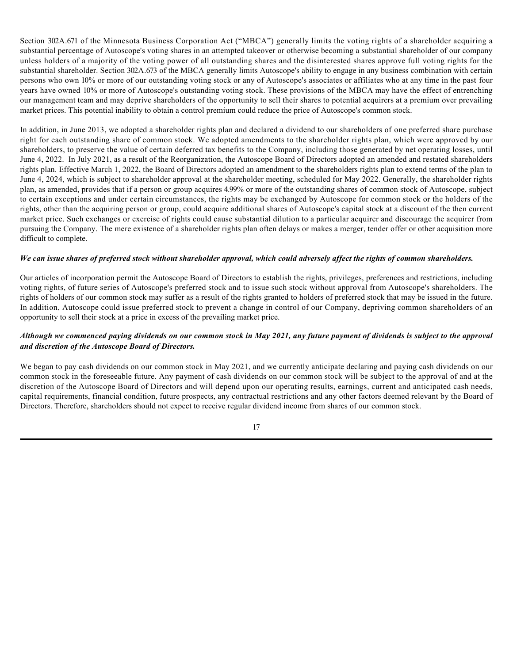Section 302A.671 of the Minnesota Business Corporation Act ("MBCA") generally limits the voting rights of a shareholder acquiring a substantial percentage of Autoscope's voting shares in an attempted takeover or otherwise becoming a substantial shareholder of our company unless holders of a majority of the voting power of all outstanding shares and the disinterested shares approve full voting rights for the substantial shareholder. Section 302A.673 of the MBCA generally limits Autoscope's ability to engage in any business combination with certain persons who own 10% or more of our outstanding voting stock or any of Autoscope's associates or affiliates who at any time in the past four years have owned 10% or more of Autoscope's outstanding voting stock. These provisions of the MBCA may have the effect of entrenching our management team and may deprive shareholders of the opportunity to sell their shares to potential acquirers at a premium over prevailing market prices. This potential inability to obtain a control premium could reduce the price of Autoscope's common stock.

In addition, in June 2013, we adopted a shareholder rights plan and declared a dividend to our shareholders of one preferred share purchase right for each outstanding share of common stock. We adopted amendments to the shareholder rights plan, which were approved by our shareholders, to preserve the value of certain deferred tax benefits to the Company, including those generated by net operating losses, until June 4, 2022. In July 2021, as a result of the Reorganization, the Autoscope Board of Directors adopted an amended and restated shareholders rights plan. Effective March 1, 2022, the Board of Directors adopted an amendment to the shareholders rights plan to extend terms of the plan to June 4, 2024, which is subject to shareholder approval at the shareholder meeting, scheduled for May 2022. Generally, the shareholder rights plan, as amended, provides that if a person or group acquires 4.99% or more of the outstanding shares of common stock of Autoscope, subject to certain exceptions and under certain circumstances, the rights may be exchanged by Autoscope for common stock or the holders of the rights, other than the acquiring person or group, could acquire additional shares of Autoscope's capital stock at a discount of the then current market price. Such exchanges or exercise of rights could cause substantial dilution to a particular acquirer and discourage the acquirer from pursuing the Company. The mere existence of a shareholder rights plan often delays or makes a merger, tender offer or other acquisition more difficult to complete.

#### *We can issue shares of preferred stock without shareholder approval, which could adversely affect the rights of common shareholders.*

Our articles of incorporation permit the Autoscope Board of Directors to establish the rights, privileges, preferences and restrictions, including voting rights, of future series of Autoscope's preferred stock and to issue such stock without approval from Autoscope's shareholders. The rights of holders of our common stock may suffer as a result of the rights granted to holders of preferred stock that may be issued in the future. In addition, Autoscope could issue preferred stock to prevent a change in control of our Company, depriving common shareholders of an opportunity to sell their stock at a price in excess of the prevailing market price.

### *Although we commenced paying dividends on our common stock in May 2021, any future payment of dividends is subject to the approval and discretion of the Autoscope Board of Directors.*

We began to pay cash dividends on our common stock in May 2021, and we currently anticipate declaring and paying cash dividends on our common stock in the foreseeable future. Any payment of cash dividends on our common stock will be subject to the approval of and at the discretion of the Autoscope Board of Directors and will depend upon our operating results, earnings, current and anticipated cash needs, capital requirements, financial condition, future prospects, any contractual restrictions and any other factors deemed relevant by the Board of Directors. Therefore, shareholders should not expect to receive regular dividend income from shares of our common stock.

#### 17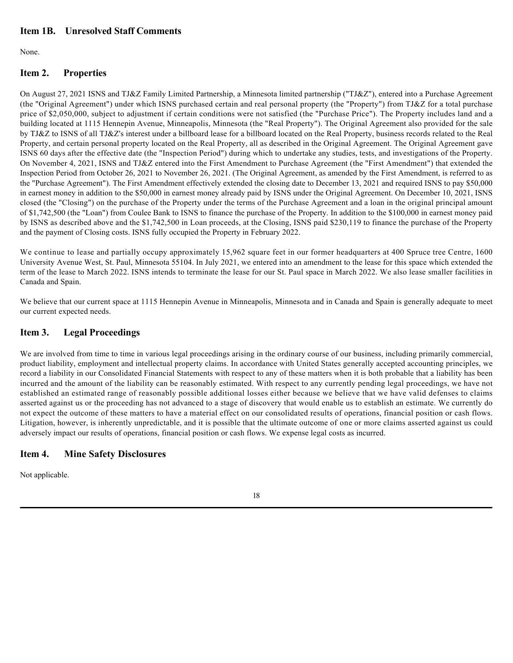<span id="page-20-0"></span>None.

# <span id="page-20-1"></span>**[Item 2. Properties](file:///C:/BackGroundJobs/LiveBackgroundServices/PublishPkgNEW/App_Data/HTML/1e1f32b4-53b6-44a4-b414-231e3a02ea6c/Main.htm#)**

On August 27, 2021 ISNS and TJ&Z Family Limited Partnership, a Minnesota limited partnership ("TJ&Z"), entered into a Purchase Agreement (the "Original Agreement") under which ISNS purchased certain and real personal property (the "Property") from TJ&Z for a total purchase price of \$2,050,000, subject to adjustment if certain conditions were not satisfied (the "Purchase Price"). The Property includes land and a building located at 1115 Hennepin Avenue, Minneapolis, Minnesota (the "Real Property"). The Original Agreement also provided for the sale by TJ&Z to ISNS of all TJ&Z's interest under a billboard lease for a billboard located on the Real Property, business records related to the Real Property, and certain personal property located on the Real Property, all as described in the Original Agreement. The Original Agreement gave ISNS 60 days after the effective date (the "Inspection Period") during which to undertake any studies, tests, and investigations of the Property. On November 4, 2021, ISNS and TJ&Z entered into the First Amendment to Purchase Agreement (the "First Amendment") that extended the Inspection Period from October 26, 2021 to November 26, 2021. (The Original Agreement, as amended by the First Amendment, is referred to as the "Purchase Agreement"). The First Amendment effectively extended the closing date to December 13, 2021 and required ISNS to pay \$50,000 in earnest money in addition to the \$50,000 in earnest money already paid by ISNS under the Original Agreement. On December 10, 2021, ISNS closed (the "Closing") on the purchase of the Property under the terms of the Purchase Agreement and a loan in the original principal amount of \$1,742,500 (the "Loan") from Coulee Bank to ISNS to finance the purchase of the Property. In addition to the \$100,000 in earnest money paid by ISNS as described above and the \$1,742,500 in Loan proceeds, at the Closing, ISNS paid \$230,119 to finance the purchase of the Property and the payment of Closing costs. ISNS fully occupied the Property in February 2022.

We continue to lease and partially occupy approximately 15,962 square feet in our former headquarters at 400 Spruce tree Centre, 1600 University Avenue West, St. Paul, Minnesota 55104. In July 2021, we entered into an amendment to the lease for this space which extended the term of the lease to March 2022. ISNS intends to terminate the lease for our St. Paul space in March 2022. We also lease smaller facilities in Canada and Spain.

We believe that our current space at 1115 Hennepin Avenue in Minneapolis, Minnesota and in Canada and Spain is generally adequate to meet our current expected needs.

# <span id="page-20-2"></span>**[Item 3. Legal Proceedings](file:///C:/BackGroundJobs/LiveBackgroundServices/PublishPkgNEW/App_Data/HTML/1e1f32b4-53b6-44a4-b414-231e3a02ea6c/Main.htm#)**

We are involved from time to time in various legal proceedings arising in the ordinary course of our business, including primarily commercial, product liability, employment and intellectual property claims. In accordance with United States generally accepted accounting principles, we record a liability in our Consolidated Financial Statements with respect to any of these matters when it is both probable that a liability has been incurred and the amount of the liability can be reasonably estimated. With respect to any currently pending legal proceedings, we have not established an estimated range of reasonably possible additional losses either because we believe that we have valid defenses to claims asserted against us or the proceeding has not advanced to a stage of discovery that would enable us to establish an estimate. We currently do not expect the outcome of these matters to have a material effect on our consolidated results of operations, financial position or cash flows. Litigation, however, is inherently unpredictable, and it is possible that the ultimate outcome of one or more claims asserted against us could adversely impact our results of operations, financial position or cash flows. We expense legal costs as incurred.

# <span id="page-20-3"></span>**[Item 4. Mine Safety Disclosures](file:///C:/BackGroundJobs/LiveBackgroundServices/PublishPkgNEW/App_Data/HTML/1e1f32b4-53b6-44a4-b414-231e3a02ea6c/Main.htm#)**

Not applicable.

18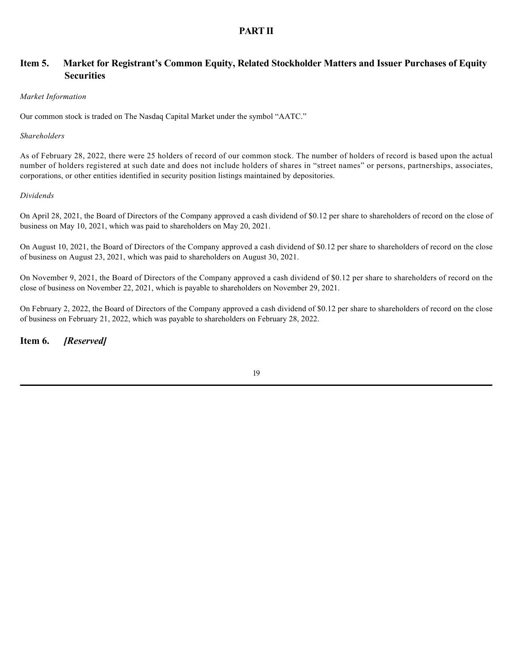# <span id="page-21-0"></span>**[PART II](file:///C:/BackGroundJobs/LiveBackgroundServices/PublishPkgNEW/App_Data/HTML/1e1f32b4-53b6-44a4-b414-231e3a02ea6c/Main.htm#)**

# <span id="page-21-1"></span>**[Item 5. Market for Registrant's Common Equity, Related Stockholder Matters and Issuer Purchases of Equity](file:///C:/BackGroundJobs/LiveBackgroundServices/PublishPkgNEW/App_Data/HTML/1e1f32b4-53b6-44a4-b414-231e3a02ea6c/Main.htm#) Securities**

#### *Market Information*

Our common stock is traded on The Nasdaq Capital Market under the symbol "AATC."

#### *Shareholders*

As of February 28, 2022, there were 25 holders of record of our common stock. The number of holders of record is based upon the actual number of holders registered at such date and does not include holders of shares in "street names" or persons, partnerships, associates, corporations, or other entities identified in security position listings maintained by depositories.

#### *Dividends*

On April 28, 2021, the Board of Directors of the Company approved a cash dividend of \$0.12 per share to shareholders of record on the close of business on May 10, 2021, which was paid to shareholders on May 20, 2021.

On August 10, 2021, the Board of Directors of the Company approved a cash dividend of \$0.12 per share to shareholders of record on the close of business on August 23, 2021, which was paid to shareholders on August 30, 2021.

On November 9, 2021, the Board of Directors of the Company approved a cash dividend of \$0.12 per share to shareholders of record on the close of business on November 22, 2021, which is payable to shareholders on November 29, 2021.

On February 2, 2022, the Board of Directors of the Company approved a cash dividend of \$0.12 per share to shareholders of record on the close of business on February 21, 2022, which was payable to shareholders on February 28, 2022.

### <span id="page-21-2"></span>**Item 6.** *[\[Reserved\]](file:///C:/BackGroundJobs/LiveBackgroundServices/PublishPkgNEW/App_Data/HTML/1e1f32b4-53b6-44a4-b414-231e3a02ea6c/Main.htm#)*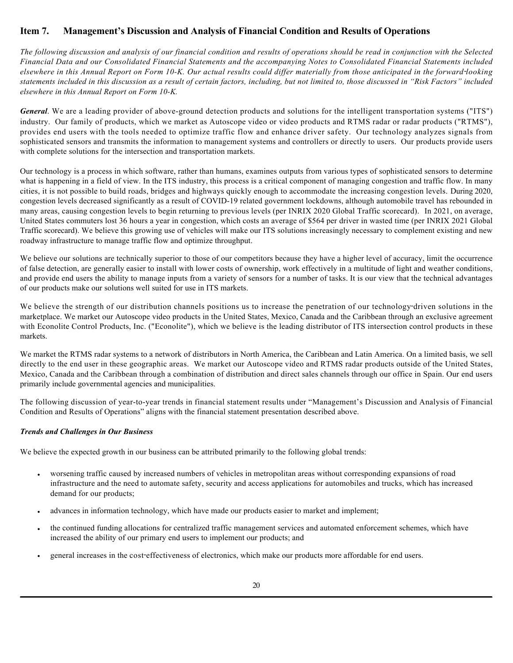# <span id="page-22-0"></span>**[Item 7. Management's Discussion and Analysis of Financial Condition and Results of Operations](file:///C:/BackGroundJobs/LiveBackgroundServices/PublishPkgNEW/App_Data/HTML/1e1f32b4-53b6-44a4-b414-231e3a02ea6c/Main.htm#)**

*The following discussion and analysis of our financial condition and results of operations should be read in conjunction with the Selected Financial Data and our Consolidated Financial Statements and the accompanying Notes to Consolidated Financial Statements included elsewhere in this Annual Report on Form 10-K. Our actual results could differ materially from those anticipated in the forward-looking statements included in this discussion as a result of certain factors, including, but not limited to, those discussed in "Risk Factors" included elsewhere in this Annual Report on Form 10-K.*

*General*. We are a leading provider of above-ground detection products and solutions for the intelligent transportation systems ("ITS") industry. Our family of products, which we market as Autoscope video or video products and RTMS radar or radar products ("RTMS"), provides end users with the tools needed to optimize traffic flow and enhance driver safety. Our technology analyzes signals from sophisticated sensors and transmits the information to management systems and controllers or directly to users. Our products provide users with complete solutions for the intersection and transportation markets.

Our technology is a process in which software, rather than humans, examines outputs from various types of sophisticated sensors to determine what is happening in a field of view. In the ITS industry, this process is a critical component of managing congestion and traffic flow. In many cities, it is not possible to build roads, bridges and highways quickly enough to accommodate the increasing congestion levels. During 2020, congestion levels decreased significantly as a result of COVID-19 related government lockdowns, although automobile travel has rebounded in many areas, causing congestion levels to begin returning to previous levels (per INRIX 2020 Global Traffic scorecard). In 2021, on average, United States commuters lost 36 hours a year in congestion, which costs an average of \$564 per driver in wasted time (per INRIX 2021 Global Traffic scorecard). We believe this growing use of vehicles will make our ITS solutions increasingly necessary to complement existing and new roadway infrastructure to manage traffic flow and optimize throughput.

We believe our solutions are technically superior to those of our competitors because they have a higher level of accuracy, limit the occurrence of false detection, are generally easier to install with lower costs of ownership, work effectively in a multitude of light and weather conditions, and provide end users the ability to manage inputs from a variety of sensors for a number of tasks. It is our view that the technical advantages of our products make our solutions well suited for use in ITS markets.

We believe the strength of our distribution channels positions us to increase the penetration of our technology-driven solutions in the marketplace. We market our Autoscope video products in the United States, Mexico, Canada and the Caribbean through an exclusive agreement with Econolite Control Products, Inc. ("Econolite"), which we believe is the leading distributor of ITS intersection control products in these markets.

We market the RTMS radar systems to a network of distributors in North America, the Caribbean and Latin America. On a limited basis, we sell directly to the end user in these geographic areas. We market our Autoscope video and RTMS radar products outside of the United States, Mexico, Canada and the Caribbean through a combination of distribution and direct sales channels through our office in Spain. Our end users primarily include governmental agencies and municipalities.

The following discussion of year-to-year trends in financial statement results under "Management's Discussion and Analysis of Financial Condition and Results of Operations" aligns with the financial statement presentation described above.

#### *Trends and Challenges in Our Business*

We believe the expected growth in our business can be attributed primarily to the following global trends:

- worsening traffic caused by increased numbers of vehicles in metropolitan areas without corresponding expansions of road infrastructure and the need to automate safety, security and access applications for automobiles and trucks, which has increased demand for our products;
- advances in information technology, which have made our products easier to market and implement;
- the continued funding allocations for centralized traffic management services and automated enforcement schemes, which have increased the ability of our primary end users to implement our products; and
- general increases in the cost-effectiveness of electronics, which make our products more affordable for end users.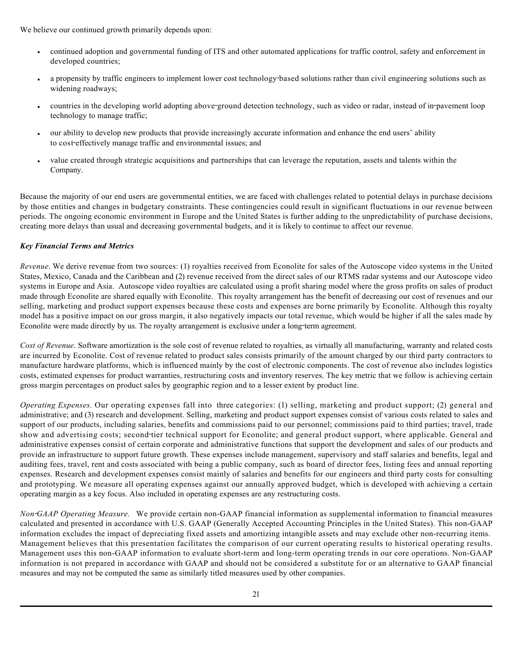We believe our continued growth primarily depends upon:

- continued adoption and governmental funding of ITS and other automated applications for traffic control, safety and enforcement in developed countries;
- a propensity by traffic engineers to implement lower cost technology-based solutions rather than civil engineering solutions such as widening roadways;
- countries in the developing world adopting above-ground detection technology, such as video or radar, instead of in-pavement loop technology to manage traffic;
- our ability to develop new products that provide increasingly accurate information and enhance the end users' ability to cost-effectively manage traffic and environmental issues; and
- value created through strategic acquisitions and partnerships that can leverage the reputation, assets and talents within the Company.

Because the majority of our end users are governmental entities, we are faced with challenges related to potential delays in purchase decisions by those entities and changes in budgetary constraints. These contingencies could result in significant fluctuations in our revenue between periods. The ongoing economic environment in Europe and the United States is further adding to the unpredictability of purchase decisions, creating more delays than usual and decreasing governmental budgets, and it is likely to continue to affect our revenue.

#### *Key Financial Terms and Metrics*

*Revenue*. We derive revenue from two sources: (1) royalties received from Econolite for sales of the Autoscope video systems in the United States, Mexico, Canada and the Caribbean and (2) revenue received from the direct sales of our RTMS radar systems and our Autoscope video systems in Europe and Asia. Autoscope video royalties are calculated using a profit sharing model where the gross profits on sales of product made through Econolite are shared equally with Econolite. This royalty arrangement has the benefit of decreasing our cost of revenues and our selling, marketing and product support expenses because these costs and expenses are borne primarily by Econolite. Although this royalty model has a positive impact on our gross margin, it also negatively impacts our total revenue, which would be higher if all the sales made by Econolite were made directly by us. The royalty arrangement is exclusive under a long-term agreement.

*Cost of Revenue*. Software amortization is the sole cost of revenue related to royalties, as virtually all manufacturing, warranty and related costs are incurred by Econolite. Cost of revenue related to product sales consists primarily of the amount charged by our third party contractors to manufacture hardware platforms, which is influenced mainly by the cost of electronic components. The cost of revenue also includes logistics costs, estimated expenses for product warranties, restructuring costs and inventory reserves. The key metric that we follow is achieving certain gross margin percentages on product sales by geographic region and to a lesser extent by product line.

*Operating Expenses*. Our operating expenses fall into three categories: (1) selling, marketing and product support; (2) general and administrative; and (3) research and development. Selling, marketing and product support expenses consist of various costs related to sales and support of our products, including salaries, benefits and commissions paid to our personnel; commissions paid to third parties; travel, trade show and advertising costs; second-tier technical support for Econolite; and general product support, where applicable. General and administrative expenses consist of certain corporate and administrative functions that support the development and sales of our products and provide an infrastructure to support future growth. These expenses include management, supervisory and staff salaries and benefits, legal and auditing fees, travel, rent and costs associated with being a public company, such as board of director fees, listing fees and annual reporting expenses. Research and development expenses consist mainly of salaries and benefits for our engineers and third party costs for consulting and prototyping. We measure all operating expenses against our annually approved budget, which is developed with achieving a certain operating margin as a key focus. Also included in operating expenses are any restructuring costs.

*Non*‑*GAAP Operating Measure.* We provide certain non-GAAP financial information as supplemental information to financial measures calculated and presented in accordance with U.S. GAAP (Generally Accepted Accounting Principles in the United States). This non-GAAP information excludes the impact of depreciating fixed assets and amortizing intangible assets and may exclude other non-recurring items. Management believes that this presentation facilitates the comparison of our current operating results to historical operating results. Management uses this non-GAAP information to evaluate short-term and long-term operating trends in our core operations. Non-GAAP information is not prepared in accordance with GAAP and should not be considered a substitute for or an alternative to GAAP financial measures and may not be computed the same as similarly titled measures used by other companies.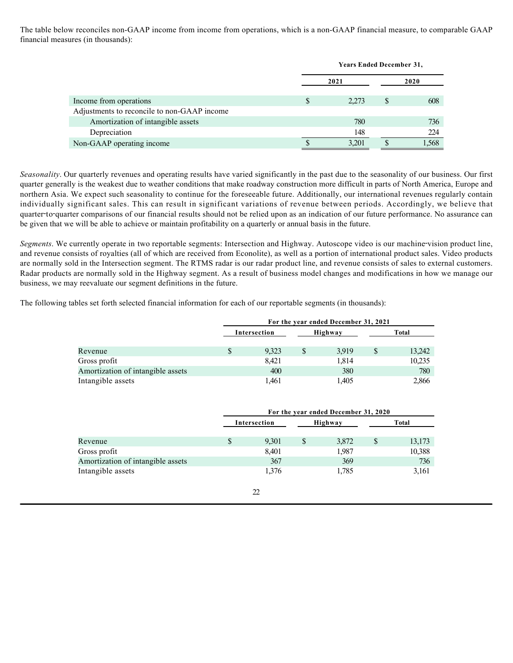The table below reconciles non-GAAP income from income from operations, which is a non-GAAP financial measure, to comparable GAAP financial measures (in thousands):

|                                             | <b>Years Ended December 31,</b> |  |       |  |  |  |
|---------------------------------------------|---------------------------------|--|-------|--|--|--|
|                                             | 2021                            |  | 2020  |  |  |  |
| Income from operations                      | 2,273                           |  | 608   |  |  |  |
| Adjustments to reconcile to non-GAAP income |                                 |  |       |  |  |  |
| Amortization of intangible assets           | 780                             |  | 736   |  |  |  |
| Depreciation                                | 148                             |  | 224   |  |  |  |
| Non-GAAP operating income                   | 3,201                           |  | 1.568 |  |  |  |

*Seasonality*. Our quarterly revenues and operating results have varied significantly in the past due to the seasonality of our business. Our first quarter generally is the weakest due to weather conditions that make roadway construction more difficult in parts of North America, Europe and northern Asia. We expect such seasonality to continue for the foreseeable future. Additionally, our international revenues regularly contain individually significant sales. This can result in significant variations of revenue between periods. Accordingly, we believe that quarter-to-quarter comparisons of our financial results should not be relied upon as an indication of our future performance. No assurance can be given that we will be able to achieve or maintain profitability on a quarterly or annual basis in the future.

*Segments*. We currently operate in two reportable segments: Intersection and Highway. Autoscope video is our machine-vision product line, and revenue consists of royalties (all of which are received from Econolite), as well as a portion of international product sales. Video products are normally sold in the Intersection segment. The RTMS radar is our radar product line, and revenue consists of sales to external customers. Radar products are normally sold in the Highway segment. As a result of business model changes and modifications in how we manage our business, we may reevaluate our segment definitions in the future.

The following tables set forth selected financial information for each of our reportable segments (in thousands):

|                                   | For the year ended December 31, 2021 |              |  |         |       |        |  |  |
|-----------------------------------|--------------------------------------|--------------|--|---------|-------|--------|--|--|
|                                   |                                      | Intersection |  | Highway | Total |        |  |  |
| Revenue                           | S                                    | 9.323        |  | 3.919   | P     | 13,242 |  |  |
| Gross profit                      |                                      | 8,421        |  | 1.814   |       | 10,235 |  |  |
| Amortization of intangible assets |                                      | 400          |  | 380     |       | 780    |  |  |
| Intangible assets                 |                                      | 1.461        |  | 1,405   |       | 2,866  |  |  |

|                                   | For the year ended December 31, 2020 |       |   |         |       |        |  |  |
|-----------------------------------|--------------------------------------|-------|---|---------|-------|--------|--|--|
|                                   | Intersection                         |       |   | Highway | Total |        |  |  |
| Revenue                           | S                                    | 9.301 | S | 3,872   | S     | 13,173 |  |  |
| Gross profit                      |                                      | 8,401 |   | 1,987   |       | 10,388 |  |  |
| Amortization of intangible assets |                                      | 367   |   | 369     |       | 736    |  |  |
| Intangible assets                 |                                      | 1,376 |   | 1,785   |       | 3,161  |  |  |

22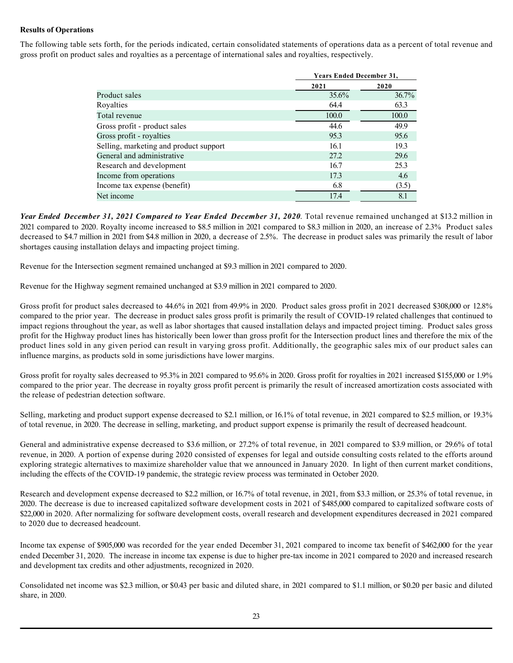#### **Results of Operations**

The following table sets forth, for the periods indicated, certain consolidated statements of operations data as a percent of total revenue and gross profit on product sales and royalties as a percentage of international sales and royalties, respectively.

|                                        | <b>Years Ended December 31,</b> |          |
|----------------------------------------|---------------------------------|----------|
|                                        | 2021                            | 2020     |
| Product sales                          | 35.6%                           | $36.7\%$ |
| Royalties                              | 64.4                            | 63.3     |
| Total revenue                          | 100.0                           | 100.0    |
| Gross profit - product sales           | 44.6                            | 49.9     |
| Gross profit - royalties               | 95.3                            | 95.6     |
| Selling, marketing and product support | 16.1                            | 19.3     |
| General and administrative             | 27.2                            | 29.6     |
| Research and development               | 16.7                            | 25.3     |
| Income from operations                 | 17.3                            | 4.6      |
| Income tax expense (benefit)           | 6.8                             | (3.5)    |
| Net income                             | 17.4                            | 8.1      |

*Year Ended December 31, 2021 Compared to Year Ended December 31, 2020*. Total revenue remained unchanged at \$13.2 million in 2021 compared to 2020. Royalty income increased to \$8.5 million in 2021 compared to \$8.3 million in 2020, an increase of 2.3% Product sales decreased to \$4.7 million in 2021 from \$4.8 million in 2020, a decrease of 2.5%. The decrease in product sales was primarily the result of labor shortages causing installation delays and impacting project timing.

Revenue for the Intersection segment remained unchanged at \$9.3 million in 2021 compared to 2020.

Revenue for the Highway segment remained unchanged at \$3.9 million in 2021 compared to 2020.

Gross profit for product sales decreased to 44.6% in 2021 from 49.9% in 2020. Product sales gross profit in 2021 decreased \$308,000 or 12.8% compared to the prior year. The decrease in product sales gross profit is primarily the result of COVID-19 related challenges that continued to impact regions throughout the year, as well as labor shortages that caused installation delays and impacted project timing. Product sales gross profit for the Highway product lines has historically been lower than gross profit for the Intersection product lines and therefore the mix of the product lines sold in any given period can result in varying gross profit. Additionally, the geographic sales mix of our product sales can influence margins, as products sold in some jurisdictions have lower margins.

Gross profit for royalty sales decreased to 95.3% in 2021 compared to 95.6% in 2020. Gross profit for royalties in 2021 increased \$155,000 or 1.9% compared to the prior year. The decrease in royalty gross profit percent is primarily the result of increased amortization costs associated with the release of pedestrian detection software.

Selling, marketing and product support expense decreased to \$2.1 million, or 16.1% of total revenue, in 2021 compared to \$2.5 million, or 19.3% of total revenue, in 2020. The decrease in selling, marketing, and product support expense is primarily the result of decreased headcount.

General and administrative expense decreased to \$3.6 million, or 27.2% of total revenue, in 2021 compared to \$3.9 million, or 29.6% of total revenue, in 2020. A portion of expense during 2020 consisted of expenses for legal and outside consulting costs related to the efforts around exploring strategic alternatives to maximize shareholder value that we announced in January 2020. In light of then current market conditions, including the effects of the COVID-19 pandemic, the strategic review process was terminated in October 2020.

Research and development expense decreased to \$2.2 million, or 16.7% of total revenue, in 2021, from \$3.3 million, or 25.3% of total revenue, in 2020. The decrease is due to increased capitalized software development costs in 2021 of \$485,000 compared to capitalized software costs of \$22,000 in 2020. After normalizing for software development costs, overall research and development expenditures decreased in 2021 compared to 2020 due to decreased headcount.

Income tax expense of \$905,000 was recorded for the year ended December 31, 2021 compared to income tax benefit of \$462,000 for the year ended December 31, 2020. The increase in income tax expense is due to higher pre-tax income in 2021 compared to 2020 and increased research and development tax credits and other adjustments, recognized in 2020.

Consolidated net income was \$2.3 million, or \$0.43 per basic and diluted share, in 2021 compared to \$1.1 million, or \$0.20 per basic and diluted share, in 2020.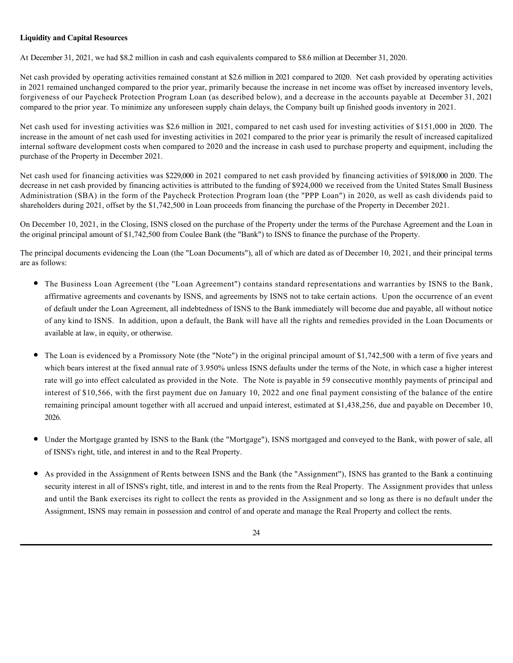#### **Liquidity and Capital Resources**

At December 31, 2021, we had \$8.2 million in cash and cash equivalents compared to \$8.6 million at December 31, 2020.

Net cash provided by operating activities remained constant at \$2.6 million in 2021 compared to 2020. Net cash provided by operating activities in 2021 remained unchanged compared to the prior year, primarily because the increase in net income was offset by increased inventory levels, forgiveness of our Paycheck Protection Program Loan (as described below), and a decrease in the accounts payable at December 31, 2021 compared to the prior year. To minimize any unforeseen supply chain delays, the Company built up finished goods inventory in 2021.

Net cash used for investing activities was \$2.6 million in 2021, compared to net cash used for investing activities of \$151,000 in 2020. The increase in the amount of net cash used for investing activities in 2021 compared to the prior year is primarily the result of increased capitalized internal software development costs when compared to 2020 and the increase in cash used to purchase property and equipment, including the purchase of the Property in December 2021.

Net cash used for financing activities was \$229,000 in 2021 compared to net cash provided by financing activities of \$918,000 in 2020. The decrease in net cash provided by financing activities is attributed to the funding of \$924,000 we received from the United States Small Business Administration (SBA) in the form of the Paycheck Protection Program loan (the "PPP Loan") in 2020, as well as cash dividends paid to shareholders during 2021, offset by the \$1,742,500 in Loan proceeds from financing the purchase of the Property in December 2021.

On December 10, 2021, in the Closing, ISNS closed on the purchase of the Property under the terms of the Purchase Agreement and the Loan in the original principal amount of \$1,742,500 from Coulee Bank (the "Bank") to ISNS to finance the purchase of the Property.

The principal documents evidencing the Loan (the "Loan Documents"), all of which are dated as of December 10, 2021, and their principal terms are as follows:

- The Business Loan Agreement (the "Loan Agreement") contains standard representations and warranties by ISNS to the Bank, affirmative agreements and covenants by ISNS, and agreements by ISNS not to take certain actions. Upon the occurrence of an event of default under the Loan Agreement, all indebtedness of ISNS to the Bank immediately will become due and payable, all without notice of any kind to ISNS. In addition, upon a default, the Bank will have all the rights and remedies provided in the Loan Documents or available at law, in equity, or otherwise.
- The Loan is evidenced by a Promissory Note (the "Note") in the original principal amount of \$1,742,500 with a term of five years and which bears interest at the fixed annual rate of 3.950% unless ISNS defaults under the terms of the Note, in which case a higher interest rate will go into effect calculated as provided in the Note. The Note is payable in 59 consecutive monthly payments of principal and interest of \$10,566, with the first payment due on January 10, 2022 and one final payment consisting of the balance of the entire remaining principal amount together with all accrued and unpaid interest, estimated at \$1,438,256, due and payable on December 10, 2026.
- Under the Mortgage granted by ISNS to the Bank (the "Mortgage"), ISNS mortgaged and conveyed to the Bank, with power of sale, all of ISNS's right, title, and interest in and to the Real Property.
- As provided in the Assignment of Rents between ISNS and the Bank (the "Assignment"), ISNS has granted to the Bank a continuing security interest in all of ISNS's right, title, and interest in and to the rents from the Real Property. The Assignment provides that unless and until the Bank exercises its right to collect the rents as provided in the Assignment and so long as there is no default under the Assignment, ISNS may remain in possession and control of and operate and manage the Real Property and collect the rents.

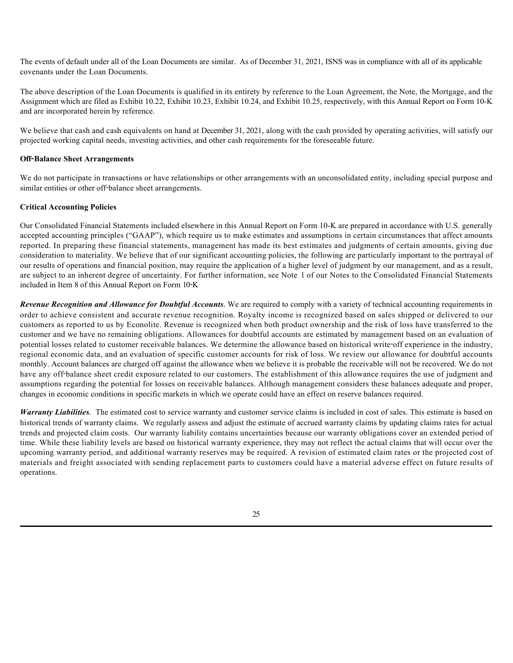The events of default under all of the Loan Documents are similar. As of December 31, 2021, ISNS was in compliance with all of its applicable covenants under the Loan Documents.

The above description of the Loan Documents is qualified in its entirety by reference to the Loan Agreement, the Note, the Mortgage, and the Assignment which are filed as Exhibit 10.22, Exhibit 10.23, Exhibit 10.24, and Exhibit 10.25, respectively, with this Annual Report on Form 10-K and are incorporated herein by reference.

We believe that cash and cash equivalents on hand at December 31, 2021, along with the cash provided by operating activities, will satisfy our projected working capital needs, investing activities, and other cash requirements for the foreseeable future.

#### **Off**‑**Balance Sheet Arrangements**

We do not participate in transactions or have relationships or other arrangements with an unconsolidated entity, including special purpose and similar entities or other off-balance sheet arrangements.

#### **Critical Accounting Policies**

Our Consolidated Financial Statements included elsewhere in this Annual Report on Form 10-K are prepared in accordance with U.S. generally accepted accounting principles ("GAAP"), which require us to make estimates and assumptions in certain circumstances that affect amounts reported. In preparing these financial statements, management has made its best estimates and judgments of certain amounts, giving due consideration to materiality. We believe that of our significant accounting policies, the following are particularly important to the portrayal of our results of operations and financial position, may require the application of a higher level of judgment by our management, and as a result, are subject to an inherent degree of uncertainty. For further information, see Note 1 of our Notes to the Consolidated Financial Statements included in Item 8 of this Annual Report on Form 10‑K

*Revenue Recognition and Allowance for Doubtful Accounts*. We are required to comply with a variety of technical accounting requirements in order to achieve consistent and accurate revenue recognition. Royalty income is recognized based on sales shipped or delivered to our customers as reported to us by Econolite. Revenue is recognized when both product ownership and the risk of loss have transferred to the customer and we have no remaining obligations. Allowances for doubtful accounts are estimated by management based on an evaluation of potential losses related to customer receivable balances. We determine the allowance based on historical write-off experience in the industry, regional economic data, and an evaluation of specific customer accounts for risk of loss. We review our allowance for doubtful accounts monthly. Account balances are charged off against the allowance when we believe it is probable the receivable will not be recovered. We do not have any off-balance sheet credit exposure related to our customers. The establishment of this allowance requires the use of judgment and assumptions regarding the potential for losses on receivable balances. Although management considers these balances adequate and proper, changes in economic conditions in specific markets in which we operate could have an effect on reserve balances required.

*Warranty Liabilities*. The estimated cost to service warranty and customer service claims is included in cost of sales. This estimate is based on historical trends of warranty claims. We regularly assess and adjust the estimate of accrued warranty claims by updating claims rates for actual trends and projected claim costs. Our warranty liability contains uncertainties because our warranty obligations cover an extended period of time. While these liability levels are based on historical warranty experience, they may not reflect the actual claims that will occur over the upcoming warranty period, and additional warranty reserves may be required. A revision of estimated claim rates or the projected cost of materials and freight associated with sending replacement parts to customers could have a material adverse effect on future results of operations.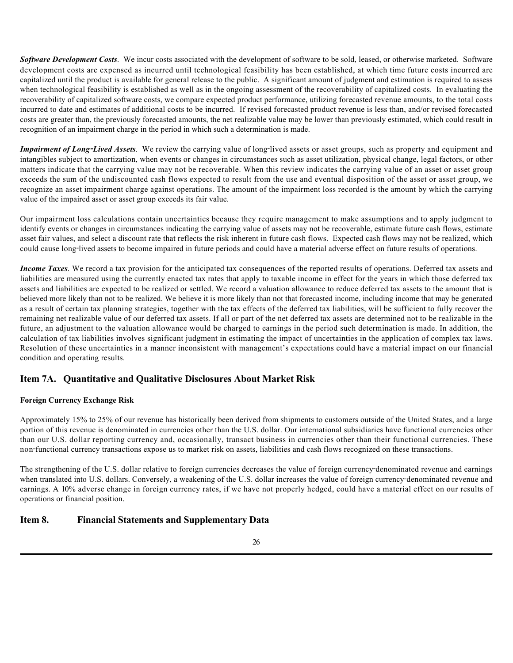*Software Development Costs*. We incur costs associated with the development of software to be sold, leased, or otherwise marketed. Software development costs are expensed as incurred until technological feasibility has been established, at which time future costs incurred are capitalized until the product is available for general release to the public. A significant amount of judgment and estimation is required to assess when technological feasibility is established as well as in the ongoing assessment of the recoverability of capitalized costs. In evaluating the recoverability of capitalized software costs, we compare expected product performance, utilizing forecasted revenue amounts, to the total costs incurred to date and estimates of additional costs to be incurred. If revised forecasted product revenue is less than, and/or revised forecasted costs are greater than, the previously forecasted amounts, the net realizable value may be lower than previously estimated, which could result in recognition of an impairment charge in the period in which such a determination is made.

*Impairment of Long-Lived Assets*. We review the carrying value of long-lived assets or asset groups, such as property and equipment and intangibles subject to amortization, when events or changes in circumstances such as asset utilization, physical change, legal factors, or other matters indicate that the carrying value may not be recoverable. When this review indicates the carrying value of an asset or asset group exceeds the sum of the undiscounted cash flows expected to result from the use and eventual disposition of the asset or asset group, we recognize an asset impairment charge against operations. The amount of the impairment loss recorded is the amount by which the carrying value of the impaired asset or asset group exceeds its fair value.

Our impairment loss calculations contain uncertainties because they require management to make assumptions and to apply judgment to identify events or changes in circumstances indicating the carrying value of assets may not be recoverable, estimate future cash flows, estimate asset fair values, and select a discount rate that reflects the risk inherent in future cash flows. Expected cash flows may not be realized, which could cause long‑lived assets to become impaired in future periods and could have a material adverse effect on future results of operations.

*Income Taxes*. We record a tax provision for the anticipated tax consequences of the reported results of operations. Deferred tax assets and liabilities are measured using the currently enacted tax rates that apply to taxable income in effect for the years in which those deferred tax assets and liabilities are expected to be realized or settled. We record a valuation allowance to reduce deferred tax assets to the amount that is believed more likely than not to be realized. We believe it is more likely than not that forecasted income, including income that may be generated as a result of certain tax planning strategies, together with the tax effects of the deferred tax liabilities, will be sufficient to fully recover the remaining net realizable value of our deferred tax assets. If all or part of the net deferred tax assets are determined not to be realizable in the future, an adjustment to the valuation allowance would be charged to earnings in the period such determination is made. In addition, the calculation of tax liabilities involves significant judgment in estimating the impact of uncertainties in the application of complex tax laws. Resolution of these uncertainties in a manner inconsistent with management's expectations could have a material impact on our financial condition and operating results.

## <span id="page-28-0"></span>**[Item 7A. Quantitative and Qualitative Disclosures About Market Risk](file:///C:/BackGroundJobs/LiveBackgroundServices/PublishPkgNEW/App_Data/HTML/1e1f32b4-53b6-44a4-b414-231e3a02ea6c/Main.htm#)**

#### **Foreign Currency Exchange Risk**

Approximately 15% to 25% of our revenue has historically been derived from shipments to customers outside of the United States, and a large portion of this revenue is denominated in currencies other than the U.S. dollar. Our international subsidiaries have functional currencies other than our U.S. dollar reporting currency and, occasionally, transact business in currencies other than their functional currencies. These non-functional currency transactions expose us to market risk on assets, liabilities and cash flows recognized on these transactions.

The strengthening of the U.S. dollar relative to foreign currencies decreases the value of foreign currency-denominated revenue and earnings when translated into U.S. dollars. Conversely, a weakening of the U.S. dollar increases the value of foreign currency-denominated revenue and earnings. A 10% adverse change in foreign currency rates, if we have not properly hedged, could have a material effect on our results of operations or financial position.

# <span id="page-28-1"></span>**[Item 8. Financial Statements and Supplementary Data](file:///C:/BackGroundJobs/LiveBackgroundServices/PublishPkgNEW/App_Data/HTML/1e1f32b4-53b6-44a4-b414-231e3a02ea6c/Main.htm#)**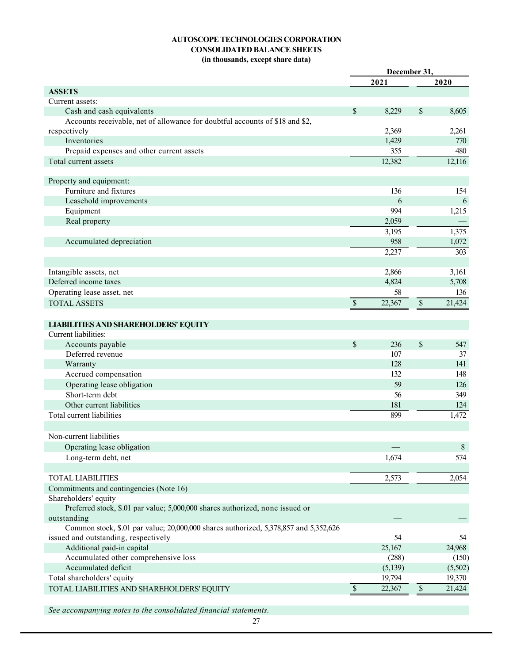## **AUTOSCOPE TECHNOLOGIES CORPORATION CONSOLIDATED BALANCE SHEETS (in thousands, except share data)**

|                                                                                      | December 31, |         |                      |            |
|--------------------------------------------------------------------------------------|--------------|---------|----------------------|------------|
|                                                                                      |              | 2021    |                      | 2020       |
| <b>ASSETS</b>                                                                        |              |         |                      |            |
| Current assets:                                                                      |              |         |                      |            |
| Cash and cash equivalents                                                            | \$           | 8,229   | \$                   | 8,605      |
| Accounts receivable, net of allowance for doubtful accounts of \$18 and \$2,         |              |         |                      |            |
| respectively                                                                         |              | 2,369   |                      | 2,261      |
| Inventories                                                                          |              | 1,429   |                      | 770        |
| Prepaid expenses and other current assets                                            |              | 355     |                      | 480        |
| Total current assets                                                                 |              | 12,382  |                      | 12,116     |
| Property and equipment:                                                              |              |         |                      |            |
| Furniture and fixtures                                                               |              | 136     |                      | 154        |
| Leasehold improvements                                                               |              | 6       |                      | $\sqrt{6}$ |
| Equipment                                                                            |              | 994     |                      | 1,215      |
| Real property                                                                        |              | 2,059   |                      |            |
|                                                                                      |              | 3,195   |                      | 1,375      |
| Accumulated depreciation                                                             |              | 958     |                      | 1,072      |
|                                                                                      |              | 2,237   |                      | 303        |
|                                                                                      |              |         |                      |            |
| Intangible assets, net                                                               |              | 2,866   |                      | 3,161      |
| Deferred income taxes                                                                |              | 4,824   |                      | 5,708      |
| Operating lease asset, net                                                           |              | 58      |                      | 136        |
| <b>TOTAL ASSETS</b>                                                                  | $\mathbb{S}$ | 22,367  | $\sqrt{\frac{2}{3}}$ | 21,424     |
|                                                                                      |              |         |                      |            |
| <b>LIABILITIES AND SHAREHOLDERS' EQUITY</b>                                          |              |         |                      |            |
| Current liabilities:                                                                 |              |         |                      |            |
| Accounts payable                                                                     | \$           | 236     | \$                   | 547        |
| Deferred revenue                                                                     |              | 107     |                      | 37         |
| Warranty                                                                             |              | 128     |                      | 141        |
| Accrued compensation                                                                 |              | 132     |                      | 148        |
| Operating lease obligation                                                           |              | 59      |                      | 126        |
| Short-term debt                                                                      |              | 56      |                      | 349        |
| Other current liabilities                                                            |              | 181     |                      | 124        |
| Total current liabilities                                                            |              | 899     |                      | 1,472      |
|                                                                                      |              |         |                      |            |
| Non-current liabilities                                                              |              |         |                      |            |
| Operating lease obligation                                                           |              |         |                      | $8\,$      |
| Long-term debt, net                                                                  |              | 1,674   |                      | 574        |
|                                                                                      |              |         |                      |            |
| <b>TOTAL LIABILITIES</b>                                                             |              | 2,573   |                      | 2,054      |
| Commitments and contingencies (Note 16)                                              |              |         |                      |            |
| Shareholders' equity                                                                 |              |         |                      |            |
| Preferred stock, \$.01 par value; 5,000,000 shares authorized, none issued or        |              |         |                      |            |
| outstanding                                                                          |              |         |                      |            |
| Common stock, \$.01 par value; 20,000,000 shares authorized, 5,378,857 and 5,352,626 |              |         |                      |            |
| issued and outstanding, respectively                                                 |              | 54      |                      | 54         |
| Additional paid-in capital                                                           |              | 25,167  |                      | 24,968     |
| Accumulated other comprehensive loss                                                 |              | (288)   |                      | (150)      |
| Accumulated deficit                                                                  |              | (5,139) |                      | (5,502)    |
| Total shareholders' equity                                                           |              | 19,794  |                      | 19,370     |
| TOTAL LIABILITIES AND SHAREHOLDERS' EQUITY                                           | $\mathbb{S}$ | 22,367  | $\mathbb{S}$         | 21,424     |
|                                                                                      |              |         |                      |            |

*See accompanying notes to the consolidated financial statements.*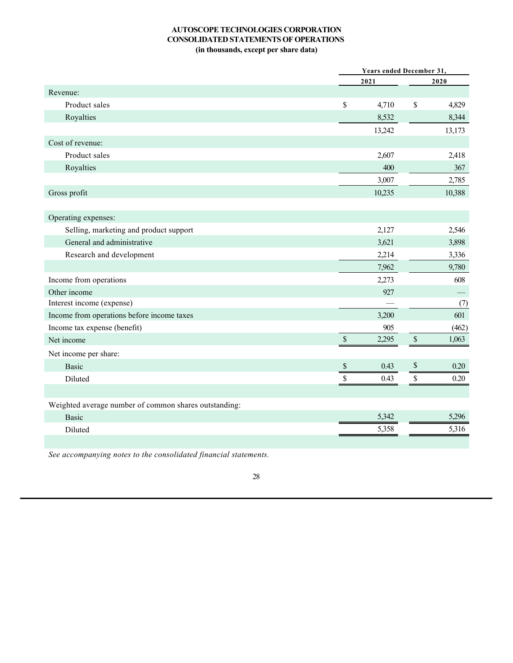#### **AUTOSCOPE TECHNOLOGIES CORPORATION CONSOLIDATED STATEMENTS OF OPERATIONS (in thousands, except per share data)**

|                                                       |              | Years ended December 31, |             |        |
|-------------------------------------------------------|--------------|--------------------------|-------------|--------|
|                                                       |              | 2021                     |             | 2020   |
| Revenue:                                              |              |                          |             |        |
| Product sales                                         | $\mathbb{S}$ | 4,710                    | \$          | 4,829  |
| Royalties                                             |              | 8,532                    |             | 8,344  |
|                                                       |              | 13,242                   |             | 13,173 |
| Cost of revenue:                                      |              |                          |             |        |
| Product sales                                         |              | 2,607                    |             | 2,418  |
| Royalties                                             |              | 400                      |             | 367    |
|                                                       |              | 3,007                    |             | 2,785  |
| Gross profit                                          |              | 10,235                   |             | 10,388 |
|                                                       |              |                          |             |        |
| Operating expenses:                                   |              |                          |             |        |
| Selling, marketing and product support                |              | 2,127                    |             | 2,546  |
| General and administrative                            |              | 3,621                    |             | 3,898  |
| Research and development                              |              | 2,214                    |             | 3,336  |
|                                                       |              | 7,962                    |             | 9,780  |
| Income from operations                                |              | 2,273                    |             | 608    |
| Other income                                          |              | 927                      |             |        |
| Interest income (expense)                             |              |                          |             | (7)    |
| Income from operations before income taxes            |              | 3,200                    |             | 601    |
| Income tax expense (benefit)                          |              | 905                      |             | (462)  |
| Net income                                            | $\mathbb S$  | 2,295                    | $\mathbb S$ | 1,063  |
| Net income per share:                                 |              |                          |             |        |
| <b>Basic</b>                                          | $\mathbb S$  | 0.43                     | \$          | 0.20   |
| Diluted                                               | \$           | 0.43                     | \$          | 0.20   |
|                                                       |              |                          |             |        |
| Weighted average number of common shares outstanding: |              |                          |             |        |
| <b>Basic</b>                                          |              | 5,342                    |             | 5,296  |
| Diluted                                               |              | 5,358                    |             | 5,316  |
|                                                       |              |                          |             |        |

*See accompanying notes to the consolidated financial statements.*

# 28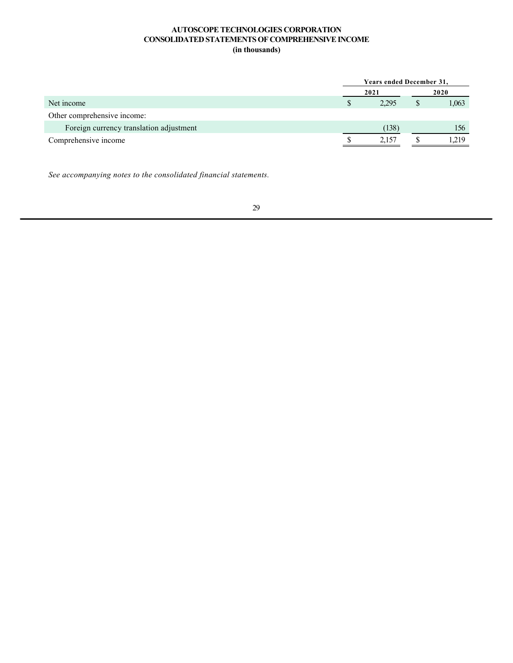#### **AUTOSCOPE TECHNOLOGIES CORPORATION CONSOLIDATED STATEMENTS OF COMPREHENSIVE INCOME (in thousands)**

|                                         | Years ended December 31, |       |  |       |  |
|-----------------------------------------|--------------------------|-------|--|-------|--|
|                                         |                          | 2021  |  | 2020  |  |
| Net income                              |                          | 2.295 |  | 1,063 |  |
| Other comprehensive income:             |                          |       |  |       |  |
| Foreign currency translation adjustment |                          | (138) |  | 156   |  |
| Comprehensive income                    |                          | 2.157 |  | 1.219 |  |

*See accompanying notes to the consolidated financial statements.*

## 29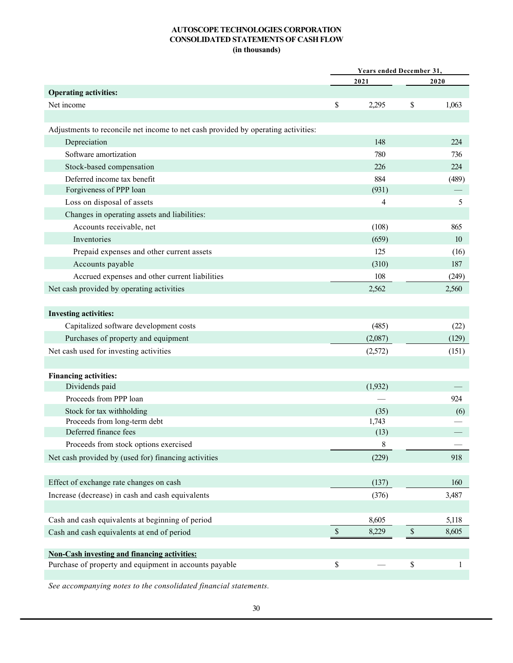#### **AUTOSCOPE TECHNOLOGIES CORPORATION CONSOLIDATED STATEMENTS OF CASH FLOW (in thousands)**

|                                                                                   | Years ended December 31, |         |    |       |
|-----------------------------------------------------------------------------------|--------------------------|---------|----|-------|
|                                                                                   |                          | 2021    |    | 2020  |
| <b>Operating activities:</b>                                                      |                          |         |    |       |
| Net income                                                                        | \$                       | 2,295   | \$ | 1,063 |
|                                                                                   |                          |         |    |       |
| Adjustments to reconcile net income to net cash provided by operating activities: |                          |         |    |       |
| Depreciation                                                                      |                          | 148     |    | 224   |
| Software amortization                                                             |                          | 780     |    | 736   |
| Stock-based compensation                                                          |                          | 226     |    | 224   |
| Deferred income tax benefit                                                       |                          | 884     |    | (489) |
| Forgiveness of PPP loan                                                           |                          | (931)   |    |       |
| Loss on disposal of assets                                                        |                          | 4       |    | 5     |
| Changes in operating assets and liabilities:                                      |                          |         |    |       |
| Accounts receivable, net                                                          |                          | (108)   |    | 865   |
| Inventories                                                                       |                          | (659)   |    | 10    |
| Prepaid expenses and other current assets                                         |                          | 125     |    | (16)  |
| Accounts payable                                                                  |                          | (310)   |    | 187   |
| Accrued expenses and other current liabilities                                    |                          | 108     |    | (249) |
| Net cash provided by operating activities                                         |                          | 2,562   |    | 2,560 |
|                                                                                   |                          |         |    |       |
| <b>Investing activities:</b>                                                      |                          |         |    |       |
| Capitalized software development costs                                            |                          | (485)   |    | (22)  |
| Purchases of property and equipment                                               |                          | (2,087) |    | (129) |
| Net cash used for investing activities                                            |                          | (2,572) |    | (151) |
|                                                                                   |                          |         |    |       |
| <b>Financing activities:</b>                                                      |                          |         |    |       |
| Dividends paid                                                                    |                          | (1,932) |    |       |
| Proceeds from PPP loan                                                            |                          |         |    | 924   |
| Stock for tax withholding                                                         |                          | (35)    |    | (6)   |
| Proceeds from long-term debt                                                      |                          | 1,743   |    |       |
| Deferred finance fees                                                             |                          | (13)    |    |       |
| Proceeds from stock options exercised                                             |                          | 8       |    |       |
| Net cash provided by (used for) financing activities                              |                          | (229)   |    | 918   |
|                                                                                   |                          |         |    |       |
| Effect of exchange rate changes on cash                                           |                          | (137)   |    | 160   |
| Increase (decrease) in cash and cash equivalents                                  |                          | (376)   |    | 3,487 |
|                                                                                   |                          |         |    |       |
| Cash and cash equivalents at beginning of period                                  |                          | 8,605   |    | 5,118 |
| Cash and cash equivalents at end of period                                        | $\mathbb{S}$             | 8,229   | \$ | 8,605 |
|                                                                                   |                          |         |    |       |
| <b>Non-Cash investing and financing activities:</b>                               |                          |         |    |       |
| Purchase of property and equipment in accounts payable                            | \$                       |         | \$ | 1     |

*See accompanying notes to the consolidated financial statements.*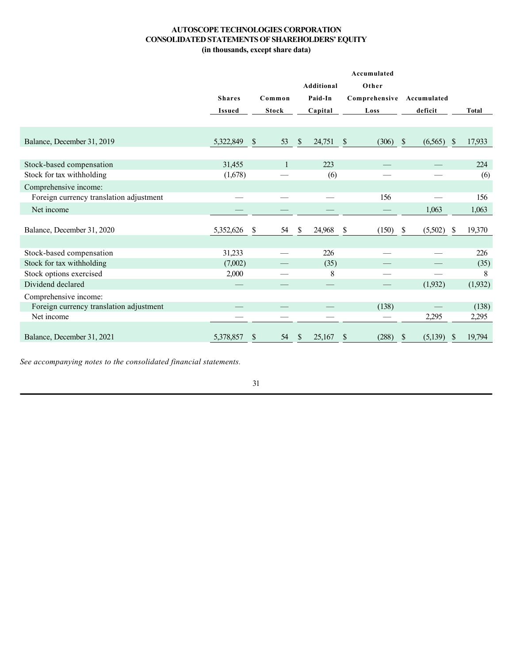#### **AUTOSCOPE TECHNOLOGIES CORPORATION CONSOLIDATED STATEMENTS OF SHAREHOLDERS' EQUITY (in thousands, except share data)**

|                                         |               |               |              |    |                   |              | Accumulated |                           |    |              |
|-----------------------------------------|---------------|---------------|--------------|----|-------------------|--------------|-------------|---------------------------|----|--------------|
|                                         |               |               |              |    | <b>Additional</b> |              | Other       |                           |    |              |
|                                         | <b>Shares</b> |               | Common       |    | Paid-In           |              |             | Comprehensive Accumulated |    |              |
|                                         | <b>Issued</b> |               | <b>Stock</b> |    | Capital           |              | Loss        | deficit                   |    | <b>Total</b> |
|                                         |               |               |              |    |                   |              |             |                           |    |              |
|                                         |               |               |              |    |                   |              |             |                           |    |              |
| Balance, December 31, 2019              | 5,322,849     | $\mathcal{S}$ | 53           | \$ | 24,751            | $\mathbb{S}$ | (306)       | $\$$<br>$(6,565)$ \$      |    | 17,933       |
| Stock-based compensation                | 31,455        |               | $\mathbf{1}$ |    | 223               |              |             |                           |    | 224          |
| Stock for tax withholding               | (1,678)       |               |              |    | (6)               |              |             |                           |    | (6)          |
| Comprehensive income:                   |               |               |              |    |                   |              |             |                           |    |              |
| Foreign currency translation adjustment |               |               |              |    |                   |              | 156         |                           |    | 156          |
| Net income                              |               |               |              |    |                   |              |             | 1,063                     |    | 1,063        |
|                                         |               |               |              |    |                   |              |             |                           |    |              |
| Balance, December 31, 2020              | 5,352,626     | <sup>S</sup>  | 54           | S  | 24,968            | S            | (150)       | \$<br>(5,502)             | -S | 19,370       |
| Stock-based compensation                | 31,233        |               |              |    | 226               |              |             |                           |    | 226          |
| Stock for tax withholding               | (7,002)       |               |              |    | (35)              |              |             |                           |    | (35)         |
| Stock options exercised                 | 2,000         |               |              |    | 8                 |              |             |                           |    | 8            |
| Dividend declared                       |               |               |              |    |                   |              |             | (1,932)                   |    | (1,932)      |
| Comprehensive income:                   |               |               |              |    |                   |              |             |                           |    |              |
| Foreign currency translation adjustment |               |               |              |    |                   |              | (138)       |                           |    | (138)        |
| Net income                              |               |               |              |    |                   |              |             | 2,295                     |    | 2,295        |
|                                         |               |               |              |    |                   |              |             |                           |    |              |
| Balance, December 31, 2021              | 5,378,857     | S             | 54           | \$ | 25,167            | S            | (288)       | (5,139)<br>\$             | S  | 19,794       |

*See accompanying notes to the consolidated financial statements.*

31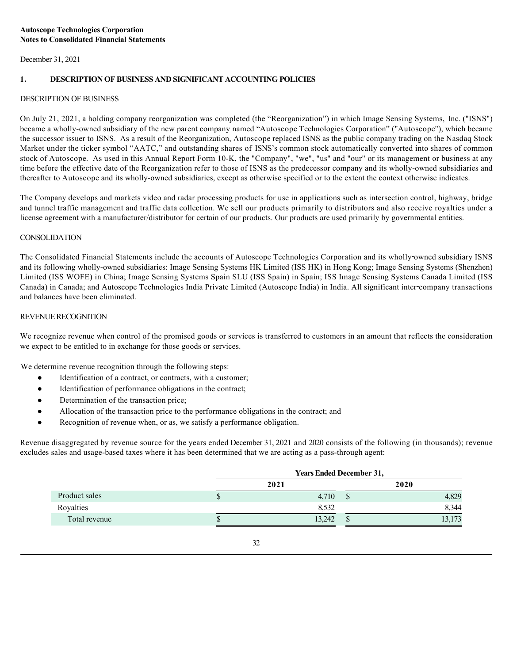December 31, 2021

#### **1. DESCRIPTION OF BUSINESS AND SIGNIFICANT ACCOUNTING POLICIES**

#### DESCRIPTION OF BUSINESS

On July 21, 2021, a holding company reorganization was completed (the "Reorganization") in which Image Sensing Systems, Inc. ("ISNS") became a wholly-owned subsidiary of the new parent company named "Autoscope Technologies Corporation" ("Autoscope"), which became the successor issuer to ISNS. As a result of the Reorganization, Autoscope replaced ISNS as the public company trading on the Nasdaq Stock Market under the ticker symbol "AATC," and outstanding shares of ISNS's common stock automatically converted into shares of common stock of Autoscope. As used in this Annual Report Form 10-K, the "Company", "we", "us" and "our" or its management or business at any time before the effective date of the Reorganization refer to those of ISNS as the predecessor company and its wholly-owned subsidiaries and thereafter to Autoscope and its wholly-owned subsidiaries, except as otherwise specified or to the extent the context otherwise indicates.

The Company develops and markets video and radar processing products for use in applications such as intersection control, highway, bridge and tunnel traffic management and traffic data collection. We sell our products primarily to distributors and also receive royalties under a license agreement with a manufacturer/distributor for certain of our products. Our products are used primarily by governmental entities.

#### CONSOLIDATION

The Consolidated Financial Statements include the accounts of Autoscope Technologies Corporation and its wholly-owned subsidiary ISNS and its following wholly-owned subsidiaries: Image Sensing Systems HK Limited (ISS HK) in Hong Kong; Image Sensing Systems (Shenzhen) Limited (ISS WOFE) in China; Image Sensing Systems Spain SLU (ISS Spain) in Spain; ISS Image Sensing Systems Canada Limited (ISS Canada) in Canada; and Autoscope Technologies India Private Limited (Autoscope India) in India. All significant inter-company transactions and balances have been eliminated.

#### REVENUE RECOGNITION

We recognize revenue when control of the promised goods or services is transferred to customers in an amount that reflects the consideration we expect to be entitled to in exchange for those goods or services.

We determine revenue recognition through the following steps:

- Identification of a contract, or contracts, with a customer;
- Identification of performance obligations in the contract;
- Determination of the transaction price;
- Allocation of the transaction price to the performance obligations in the contract; and
- Recognition of revenue when, or as, we satisfy a performance obligation.

Revenue disaggregated by revenue source for the years ended December 31, 2021 and 2020 consists of the following (in thousands); revenue excludes sales and usage-based taxes where it has been determined that we are acting as a pass-through agent:

|               |    | <b>Years Ended December 31,</b> |    |        |  |  |  |
|---------------|----|---------------------------------|----|--------|--|--|--|
|               |    | 2021                            |    | 2020   |  |  |  |
| Product sales | P  | 4.710                           | \$ | 4,829  |  |  |  |
| Royalties     |    | 8,532                           |    | 8,344  |  |  |  |
| Total revenue | ۵D | 13,242                          |    | 13,173 |  |  |  |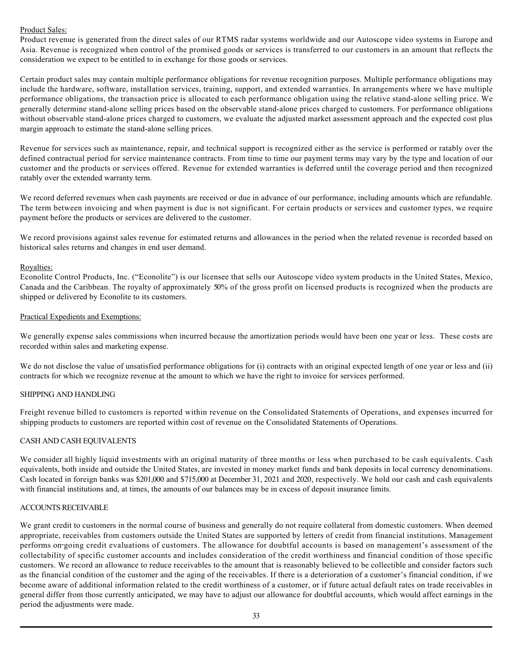#### Product Sales:

Product revenue is generated from the direct sales of our RTMS radar systems worldwide and our Autoscope video systems in Europe and Asia. Revenue is recognized when control of the promised goods or services is transferred to our customers in an amount that reflects the consideration we expect to be entitled to in exchange for those goods or services.

Certain product sales may contain multiple performance obligations for revenue recognition purposes. Multiple performance obligations may include the hardware, software, installation services, training, support, and extended warranties. In arrangements where we have multiple performance obligations, the transaction price is allocated to each performance obligation using the relative stand-alone selling price. We generally determine stand-alone selling prices based on the observable stand-alone prices charged to customers. For performance obligations without observable stand-alone prices charged to customers, we evaluate the adjusted market assessment approach and the expected cost plus margin approach to estimate the stand-alone selling prices.

Revenue for services such as maintenance, repair, and technical support is recognized either as the service is performed or ratably over the defined contractual period for service maintenance contracts. From time to time our payment terms may vary by the type and location of our customer and the products or services offered. Revenue for extended warranties is deferred until the coverage period and then recognized ratably over the extended warranty term.

We record deferred revenues when cash payments are received or due in advance of our performance, including amounts which are refundable. The term between invoicing and when payment is due is not significant. For certain products or services and customer types, we require payment before the products or services are delivered to the customer.

We record provisions against sales revenue for estimated returns and allowances in the period when the related revenue is recorded based on historical sales returns and changes in end user demand.

#### Royalties:

Econolite Control Products, Inc. ("Econolite") is our licensee that sells our Autoscope video system products in the United States, Mexico, Canada and the Caribbean. The royalty of approximately 50% of the gross profit on licensed products is recognized when the products are shipped or delivered by Econolite to its customers.

#### Practical Expedients and Exemptions:

We generally expense sales commissions when incurred because the amortization periods would have been one year or less. These costs are recorded within sales and marketing expense.

We do not disclose the value of unsatisfied performance obligations for (i) contracts with an original expected length of one year or less and (ii) contracts for which we recognize revenue at the amount to which we have the right to invoice for services performed.

#### SHIPPING AND HANDLING

Freight revenue billed to customers is reported within revenue on the Consolidated Statements of Operations, and expenses incurred for shipping products to customers are reported within cost of revenue on the Consolidated Statements of Operations.

#### CASH AND CASH EQUIVALENTS

We consider all highly liquid investments with an original maturity of three months or less when purchased to be cash equivalents. Cash equivalents, both inside and outside the United States, are invested in money market funds and bank deposits in local currency denominations. Cash located in foreign banks was \$201,000 and \$715,000 at December 31, 2021 and 2020, respectively. We hold our cash and cash equivalents with financial institutions and, at times, the amounts of our balances may be in excess of deposit insurance limits.

#### ACCOUNTS RECEIVABLE

We grant credit to customers in the normal course of business and generally do not require collateral from domestic customers. When deemed appropriate, receivables from customers outside the United States are supported by letters of credit from financial institutions. Management performs on‑going credit evaluations of customers. The allowance for doubtful accounts is based on management's assessment of the collectability of specific customer accounts and includes consideration of the credit worthiness and financial condition of those specific customers. We record an allowance to reduce receivables to the amount that is reasonably believed to be collectible and consider factors such as the financial condition of the customer and the aging of the receivables. If there is a deterioration of a customer's financial condition, if we become aware of additional information related to the credit worthiness of a customer, or if future actual default rates on trade receivables in general differ from those currently anticipated, we may have to adjust our allowance for doubtful accounts, which would affect earnings in the period the adjustments were made.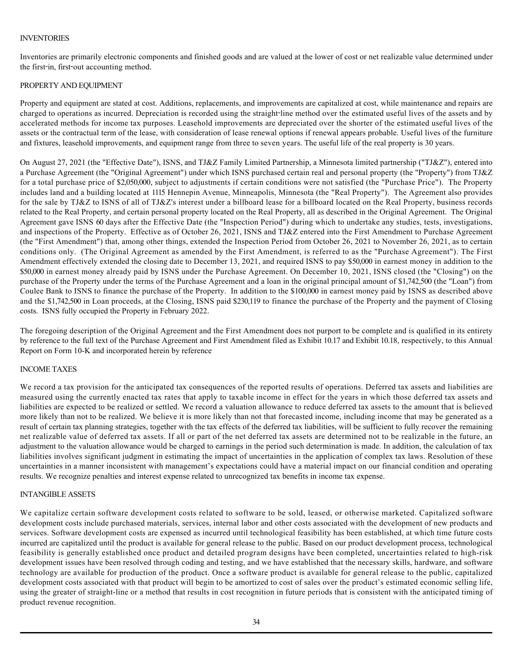#### **INVENTORIES**

Inventories are primarily electronic components and finished goods and are valued at the lower of cost or net realizable value determined under the first-in, first-out accounting method.

#### PROPERTY AND EQUIPMENT

Property and equipment are stated at cost. Additions, replacements, and improvements are capitalized at cost, while maintenance and repairs are charged to operations as incurred. Depreciation is recorded using the straight‑line method over the estimated useful lives of the assets and by accelerated methods for income tax purposes. Leasehold improvements are depreciated over the shorter of the estimated useful lives of the assets or the contractual term of the lease, with consideration of lease renewal options if renewal appears probable. Useful lives of the furniture and fixtures, leasehold improvements, and equipment range from three to seven years. The useful life of the real property is 30 years.

On August 27, 2021 (the "Effective Date"), ISNS, and TJ&Z Family Limited Partnership, a Minnesota limited partnership ("TJ&Z"), entered into a Purchase Agreement (the "Original Agreement") under which ISNS purchased certain real and personal property (the "Property") from TJ&Z for a total purchase price of \$2,050,000, subject to adjustments if certain conditions were not satisfied (the "Purchase Price"). The Property includes land and a building located at 1115 Hennepin Avenue, Minneapolis, Minnesota (the "Real Property"). The Agreement also provides for the sale by TJ&Z to ISNS of all of TJ&Z's interest under a billboard lease for a billboard located on the Real Property, business records related to the Real Property, and certain personal property located on the Real Property, all as described in the Original Agreement. The Original Agreement gave ISNS 60 days after the Effective Date (the "Inspection Period") during which to undertake any studies, tests, investigations, and inspections of the Property. Effective as of October 26, 2021, ISNS and TJ&Z entered into the First Amendment to Purchase Agreement (the "First Amendment") that, among other things, extended the Inspection Period from October 26, 2021 to November 26, 2021, as to certain conditions only. (The Original Agreement as amended by the First Amendment, is referred to as the "Purchase Agreement"). The First Amendment effectively extended the closing date to December 13, 2021, and required ISNS to pay \$50,000 in earnest money in addition to the \$50,000 in earnest money already paid by ISNS under the Purchase Agreement. On December 10, 2021, ISNS closed (the "Closing") on the purchase of the Property under the terms of the Purchase Agreement and a loan in the original principal amount of \$1,742,500 (the "Loan") from Coulee Bank to ISNS to finance the purchase of the Property. In addition to the \$100,000 in earnest money paid by ISNS as described above and the \$1,742,500 in Loan proceeds, at the Closing, ISNS paid \$230,119 to finance the purchase of the Property and the payment of Closing costs. ISNS fully occupied the Property in February 2022.

The foregoing description of the Original Agreement and the First Amendment does not purport to be complete and is qualified in its entirety by reference to the full text of the Purchase Agreement and First Amendment filed as Exhibit 10.17 and Exhibit 10.18, respectively, to this Annual Report on Form 10-K and incorporated herein by reference

#### INCOME TAXES

We record a tax provision for the anticipated tax consequences of the reported results of operations. Deferred tax assets and liabilities are measured using the currently enacted tax rates that apply to taxable income in effect for the years in which those deferred tax assets and liabilities are expected to be realized or settled. We record a valuation allowance to reduce deferred tax assets to the amount that is believed more likely than not to be realized. We believe it is more likely than not that forecasted income, including income that may be generated as a result of certain tax planning strategies, together with the tax effects of the deferred tax liabilities, will be sufficient to fully recover the remaining net realizable value of deferred tax assets. If all or part of the net deferred tax assets are determined not to be realizable in the future, an adjustment to the valuation allowance would be charged to earnings in the period such determination is made. In addition, the calculation of tax liabilities involves significant judgment in estimating the impact of uncertainties in the application of complex tax laws. Resolution of these uncertainties in a manner inconsistent with management's expectations could have a material impact on our financial condition and operating results. We recognize penalties and interest expense related to unrecognized tax benefits in income tax expense.

#### INTANGIBLE ASSETS

We capitalize certain software development costs related to software to be sold, leased, or otherwise marketed. Capitalized software development costs include purchased materials, services, internal labor and other costs associated with the development of new products and services. Software development costs are expensed as incurred until technological feasibility has been established, at which time future costs incurred are capitalized until the product is available for general release to the public. Based on our product development process, technological feasibility is generally established once product and detailed program designs have been completed, uncertainties related to high-risk development issues have been resolved through coding and testing, and we have established that the necessary skills, hardware, and software technology are available for production of the product. Once a software product is available for general release to the public, capitalized development costs associated with that product will begin to be amortized to cost of sales over the product's estimated economic selling life, using the greater of straight-line or a method that results in cost recognition in future periods that is consistent with the anticipated timing of product revenue recognition.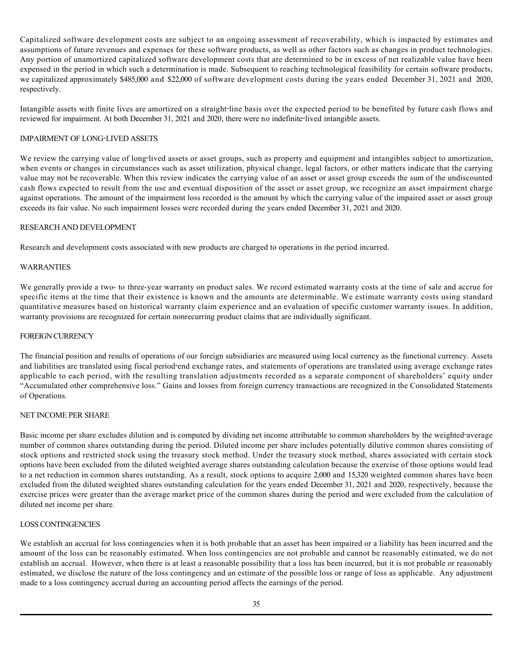Capitalized software development costs are subject to an ongoing assessment of recoverability, which is impacted by estimates and assumptions of future revenues and expenses for these software products, as well as other factors such as changes in product technologies. Any portion of unamortized capitalized software development costs that are determined to be in excess of net realizable value have been expensed in the period in which such a determination is made. Subsequent to reaching technological feasibility for certain software products, we capitalized approximately \$485,000 and \$22,000 of software development costs during the years ended December 31, 2021 and 2020, respectively.

Intangible assets with finite lives are amortized on a straight-line basis over the expected period to be benefited by future cash flows and reviewed for impairment. At both December 31, 2021 and 2020, there were no indefinite-lived intangible assets.

#### IMPAIRMENT OF LONG‑LIVED ASSETS

We review the carrying value of long-lived assets or asset groups, such as property and equipment and intangibles subject to amortization, when events or changes in circumstances such as asset utilization, physical change, legal factors, or other matters indicate that the carrying value may not be recoverable. When this review indicates the carrying value of an asset or asset group exceeds the sum of the undiscounted cash flows expected to result from the use and eventual disposition of the asset or asset group, we recognize an asset impairment charge against operations. The amount of the impairment loss recorded is the amount by which the carrying value of the impaired asset or asset group exceeds its fair value. No such impairment losses were recorded during the years ended December 31, 2021 and 2020.

#### RESEARCH AND DEVELOPMENT

Research and development costs associated with new products are charged to operations in the period incurred.

#### WARRANTIES

We generally provide a two- to three-year warranty on product sales. We record estimated warranty costs at the time of sale and accrue for specific items at the time that their existence is known and the amounts are determinable. We estimate warranty costs using standard quantitative measures based on historical warranty claim experience and an evaluation of specific customer warranty issues. In addition, warranty provisions are recognized for certain nonrecurring product claims that are individually significant.

#### FOREIGN CURRENCY

The financial position and results of operations of our foreign subsidiaries are measured using local currency as the functional currency. Assets and liabilities are translated using fiscal period-end exchange rates, and statements of operations are translated using average exchange rates applicable to each period, with the resulting translation adjustments recorded as a separate component of shareholders' equity under "Accumulated other comprehensive loss." Gains and losses from foreign currency transactions are recognized in the Consolidated Statements of Operations.

#### NET INCOME PER SHARE

Basic income per share excludes dilution and is computed by dividing net income attributable to common shareholders by the weighted-average number of common shares outstanding during the period. Diluted income per share includes potentially dilutive common shares consisting of stock options and restricted stock using the treasury stock method. Under the treasury stock method, shares associated with certain stock options have been excluded from the diluted weighted average shares outstanding calculation because the exercise of those options would lead to a net reduction in common shares outstanding. As a result, stock options to acquire 2,000 and 15,320 weighted common shares have been excluded from the diluted weighted shares outstanding calculation for the years ended December 31, 2021 and 2020, respectively, because the exercise prices were greater than the average market price of the common shares during the period and were excluded from the calculation of diluted net income per share.

#### LOSS CONTINGENCIES

We establish an accrual for loss contingencies when it is both probable that an asset has been impaired or a liability has been incurred and the amount of the loss can be reasonably estimated. When loss contingencies are not probable and cannot be reasonably estimated, we do not establish an accrual. However, when there is at least a reasonable possibility that a loss has been incurred, but it is not probable or reasonably estimated, we disclose the nature of the loss contingency and an estimate of the possible loss or range of loss as applicable. Any adjustment made to a loss contingency accrual during an accounting period affects the earnings of the period.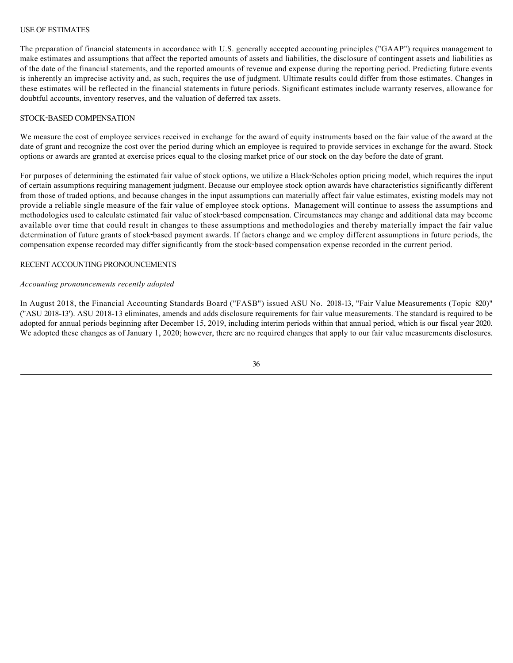#### USE OF ESTIMATES

The preparation of financial statements in accordance with U.S. generally accepted accounting principles ("GAAP") requires management to make estimates and assumptions that affect the reported amounts of assets and liabilities, the disclosure of contingent assets and liabilities as of the date of the financial statements, and the reported amounts of revenue and expense during the reporting period. Predicting future events is inherently an imprecise activity and, as such, requires the use of judgment. Ultimate results could differ from those estimates. Changes in these estimates will be reflected in the financial statements in future periods. Significant estimates include warranty reserves, allowance for doubtful accounts, inventory reserves, and the valuation of deferred tax assets.

#### STOCK‑BASED COMPENSATION

We measure the cost of employee services received in exchange for the award of equity instruments based on the fair value of the award at the date of grant and recognize the cost over the period during which an employee is required to provide services in exchange for the award. Stock options or awards are granted at exercise prices equal to the closing market price of our stock on the day before the date of grant.

For purposes of determining the estimated fair value of stock options, we utilize a Black-Scholes option pricing model, which requires the input of certain assumptions requiring management judgment. Because our employee stock option awards have characteristics significantly different from those of traded options, and because changes in the input assumptions can materially affect fair value estimates, existing models may not provide a reliable single measure of the fair value of employee stock options. Management will continue to assess the assumptions and methodologies used to calculate estimated fair value of stock-based compensation. Circumstances may change and additional data may become available over time that could result in changes to these assumptions and methodologies and thereby materially impact the fair value determination of future grants of stock-based payment awards. If factors change and we employ different assumptions in future periods, the compensation expense recorded may differ significantly from the stock‑based compensation expense recorded in the current period.

#### RECENT ACCOUNTING PRONOUNCEMENTS

#### *Accounting pronouncements recently adopted*

In August 2018, the Financial Accounting Standards Board ("FASB") issued ASU No. 2018-13, "Fair Value Measurements (Topic 820)" ("ASU 2018-13'). ASU 2018-13 eliminates, amends and adds disclosure requirements for fair value measurements. The standard is required to be adopted for annual periods beginning after December 15, 2019, including interim periods within that annual period, which is our fiscal year 2020. We adopted these changes as of January 1, 2020; however, there are no required changes that apply to our fair value measurements disclosures.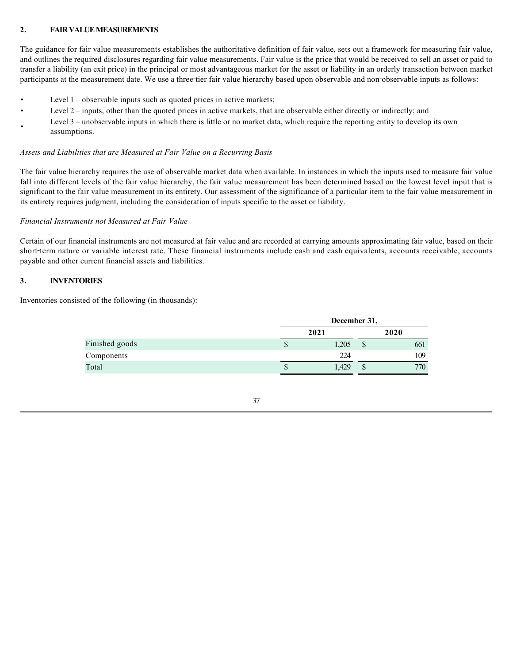### **2. FAIR VALUE MEASUREMENTS**

The guidance for fair value measurements establishes the authoritative definition of fair value, sets out a framework for measuring fair value, and outlines the required disclosures regarding fair value measurements. Fair value is the price that would be received to sell an asset or paid to transfer a liability (an exit price) in the principal or most advantageous market for the asset or liability in an orderly transaction between market participants at the measurement date. We use a three-tier fair value hierarchy based upon observable and non-observable inputs as follows:

- Level 1 observable inputs such as quoted prices in active markets;
- Level 2 inputs, other than the quoted prices in active markets, that are observable either directly or indirectly; and
- Level 3 – unobservable inputs in which there is little or no market data, which require the reporting entity to develop its own assumptions.

#### *Assets and Liabilities that are Measured at Fair Value on a Recurring Basis*

The fair value hierarchy requires the use of observable market data when available. In instances in which the inputs used to measure fair value fall into different levels of the fair value hierarchy, the fair value measurement has been determined based on the lowest level input that is significant to the fair value measurement in its entirety. Our assessment of the significance of a particular item to the fair value measurement in its entirety requires judgment, including the consideration of inputs specific to the asset or liability.

#### *Financial Instruments not Measured at Fair Value*

Certain of our financial instruments are not measured at fair value and are recorded at carrying amounts approximating fair value, based on their short-term nature or variable interest rate. These financial instruments include cash and cash equivalents, accounts receivable, accounts payable and other current financial assets and liabilities.

#### **3. INVENTORIES**

Inventories consisted of the following (in thousands):

|                |   | December 31, |   |      |  |  |
|----------------|---|--------------|---|------|--|--|
|                |   | 2021         |   | 2020 |  |  |
| Finished goods | S | 1,205        | D | 661  |  |  |
| Components     |   | 224          |   | 109  |  |  |
| Total          | S | .429         |   | 770  |  |  |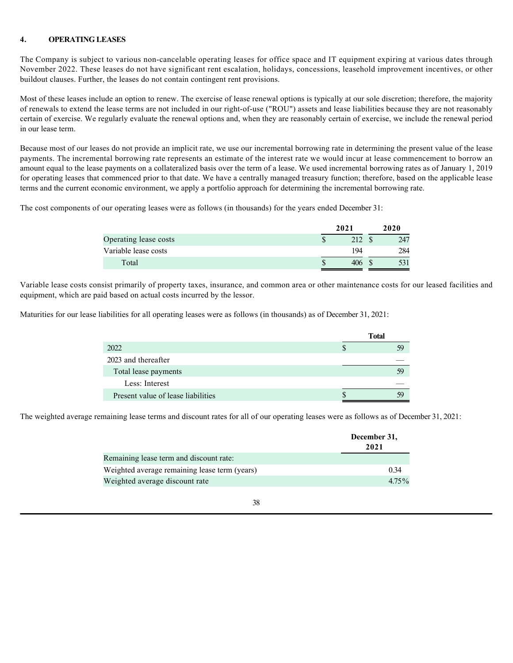## **4. OPERATING LEASES**

The Company is subject to various non-cancelable operating leases for office space and IT equipment expiring at various dates through November 2022. These leases do not have significant rent escalation, holidays, concessions, leasehold improvement incentives, or other buildout clauses. Further, the leases do not contain contingent rent provisions.

Most of these leases include an option to renew. The exercise of lease renewal options is typically at our sole discretion; therefore, the majority of renewals to extend the lease terms are not included in our right-of-use ("ROU") assets and lease liabilities because they are not reasonably certain of exercise. We regularly evaluate the renewal options and, when they are reasonably certain of exercise, we include the renewal period in our lease term.

Because most of our leases do not provide an implicit rate, we use our incremental borrowing rate in determining the present value of the lease payments. The incremental borrowing rate represents an estimate of the interest rate we would incur at lease commencement to borrow an amount equal to the lease payments on a collateralized basis over the term of a lease. We used incremental borrowing rates as of January 1, 2019 for operating leases that commenced prior to that date. We have a centrally managed treasury function; therefore, based on the applicable lease terms and the current economic environment, we apply a portfolio approach for determining the incremental borrowing rate.

The cost components of our operating leases were as follows (in thousands) for the years ended December 31:

|                       | 2021 | 2020 |
|-----------------------|------|------|
| Operating lease costs | 212  | 247  |
| Variable lease costs  | 194  | 284  |
| Total                 | 406  |      |

Variable lease costs consist primarily of property taxes, insurance, and common area or other maintenance costs for our leased facilities and equipment, which are paid based on actual costs incurred by the lessor.

Maturities for our lease liabilities for all operating leases were as follows (in thousands) as of December 31, 2021:

| <b>Total</b>                       |  |
|------------------------------------|--|
| 2022                               |  |
| 2023 and thereafter                |  |
| Total lease payments               |  |
| Less: Interest                     |  |
| Present value of lease liabilities |  |

The weighted average remaining lease terms and discount rates for all of our operating leases were as follows as of December 31, 2021:

|                                               | December 31,<br>2021 |
|-----------------------------------------------|----------------------|
| Remaining lease term and discount rate:       |                      |
| Weighted average remaining lease term (years) | 0.34                 |
| Weighted average discount rate                | 4.75%                |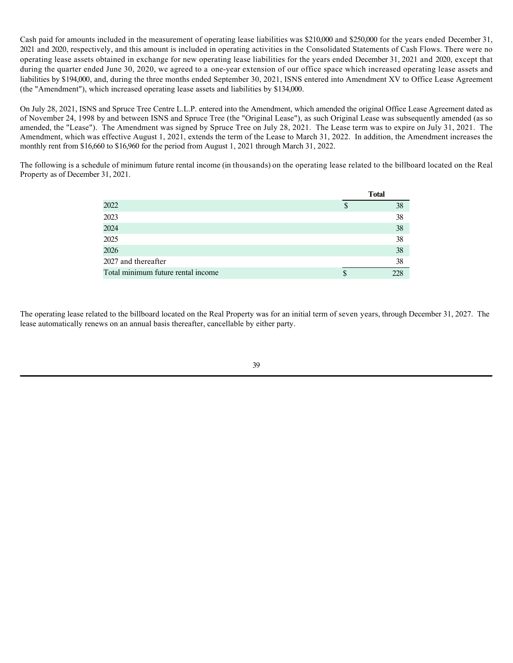Cash paid for amounts included in the measurement of operating lease liabilities was \$210,000 and \$250,000 for the years ended December 31, 2021 and 2020, respectively, and this amount is included in operating activities in the Consolidated Statements of Cash Flows. There were no operating lease assets obtained in exchange for new operating lease liabilities for the years ended December 31, 2021 and 2020, except that during the quarter ended June 30, 2020, we agreed to a one-year extension of our office space which increased operating lease assets and liabilities by \$194,000, and, during the three months ended September 30, 2021, ISNS entered into Amendment XV to Office Lease Agreement (the "Amendment"), which increased operating lease assets and liabilities by \$134,000.

On July 28, 2021, ISNS and Spruce Tree Centre L.L.P. entered into the Amendment, which amended the original Office Lease Agreement dated as of November 24, 1998 by and between ISNS and Spruce Tree (the "Original Lease"), as such Original Lease was subsequently amended (as so amended, the "Lease"). The Amendment was signed by Spruce Tree on July 28, 2021. The Lease term was to expire on July 31, 2021. The Amendment, which was effective August 1, 2021, extends the term of the Lease to March 31, 2022. In addition, the Amendment increases the monthly rent from \$16,660 to \$16,960 for the period from August 1, 2021 through March 31, 2022.

The following is a schedule of minimum future rental income (in thousands) on the operating lease related to the billboard located on the Real Property as of December 31, 2021.

|                                    | <b>Total</b> |     |
|------------------------------------|--------------|-----|
| 2022                               | J            | 38  |
| 2023                               |              | 38  |
| 2024                               |              | 38  |
| 2025                               |              | 38  |
| 2026                               |              | 38  |
| 2027 and thereafter                |              | 38  |
| Total minimum future rental income |              | 228 |

The operating lease related to the billboard located on the Real Property was for an initial term of seven years, through December 31, 2027. The lease automatically renews on an annual basis thereafter, cancellable by either party.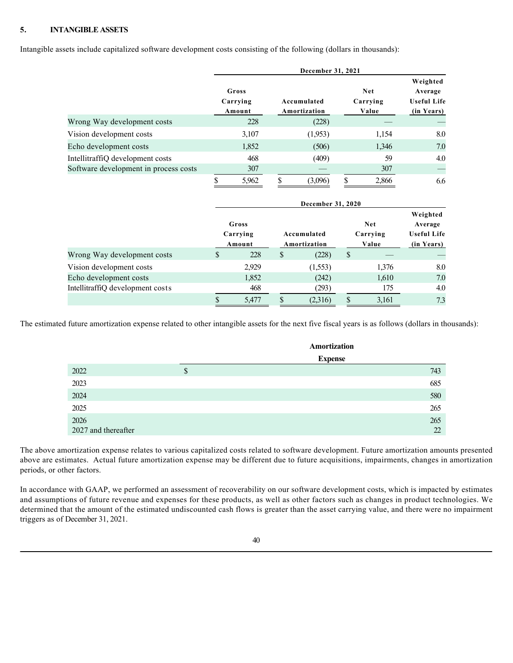## **5. INTANGIBLE ASSETS**

Intangible assets include capitalized software development costs consisting of the following (dollars in thousands):

|                                       | December 31, 2021 |                             |  |                             |  |                                 |                                                         |
|---------------------------------------|-------------------|-----------------------------|--|-----------------------------|--|---------------------------------|---------------------------------------------------------|
|                                       |                   | Gross<br>Carrying<br>Amount |  | Accumulated<br>Amortization |  | <b>Net</b><br>Carrying<br>Value | Weighted<br>Average<br><b>Useful Life</b><br>(in Years) |
| Wrong Way development costs           |                   | 228                         |  | (228)                       |  |                                 |                                                         |
| Vision development costs              |                   | 3,107                       |  | (1,953)                     |  | 1,154                           | 8.0                                                     |
| Echo development costs                |                   | 1,852                       |  | (506)                       |  | 1,346                           | 7.0                                                     |
| IntellitraffiQ development costs      |                   | 468                         |  | (409)                       |  | 59                              | 4.0                                                     |
| Software development in process costs |                   | 307                         |  |                             |  | 307                             |                                                         |
|                                       |                   | 5,962                       |  | (3,096)                     |  | 2,866                           | 6.6                                                     |

|                                  | December 31, 2020           |       |                             |          |                                 |       |                                                         |  |
|----------------------------------|-----------------------------|-------|-----------------------------|----------|---------------------------------|-------|---------------------------------------------------------|--|
|                                  | Gross<br>Carrying<br>Amount |       | Accumulated<br>Amortization |          | <b>Net</b><br>Carrying<br>Value |       | Weighted<br>Average<br><b>Useful Life</b><br>(in Years) |  |
| Wrong Way development costs      | \$                          | 228   | \$                          | (228)    | \$                              |       |                                                         |  |
| Vision development costs         |                             | 2,929 |                             | (1, 553) |                                 | 1,376 | 8.0                                                     |  |
| Echo development costs           |                             | 1,852 |                             | (242)    |                                 | 1,610 | 7.0                                                     |  |
| IntellitraffiQ development costs |                             | 468   |                             | (293)    |                                 | 175   | 4.0                                                     |  |
|                                  |                             | 5,477 | \$                          | (2,316)  |                                 | 3,161 | 7.3                                                     |  |

The estimated future amortization expense related to other intangible assets for the next five fiscal years is as follows (dollars in thousands):

|                             | Amortization   |           |
|-----------------------------|----------------|-----------|
|                             | <b>Expense</b> |           |
| 2022                        | \$             | 743       |
| 2023                        |                | 685       |
| 2024                        |                | 580       |
| 2025                        |                | 265       |
| 2026<br>2027 and thereafter |                | 265<br>22 |

The above amortization expense relates to various capitalized costs related to software development. Future amortization amounts presented above are estimates. Actual future amortization expense may be different due to future acquisitions, impairments, changes in amortization periods, or other factors.

In accordance with GAAP, we performed an assessment of recoverability on our software development costs, which is impacted by estimates and assumptions of future revenue and expenses for these products, as well as other factors such as changes in product technologies. We determined that the amount of the estimated undiscounted cash flows is greater than the asset carrying value, and there were no impairment triggers as of December 31, 2021.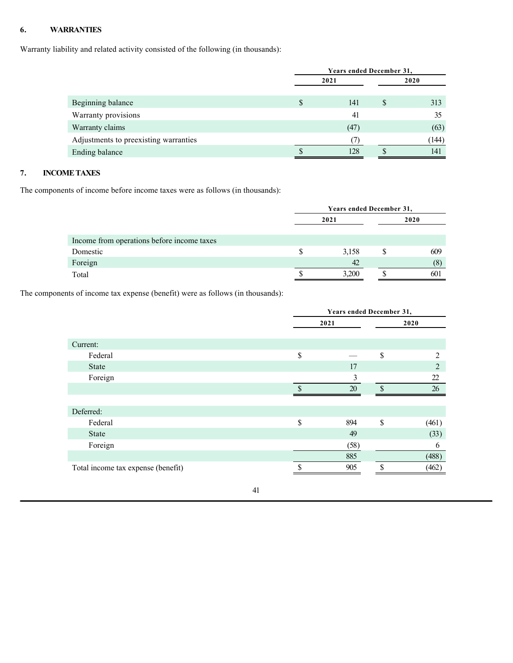## **6. WARRANTIES**

Warranty liability and related activity consisted of the following (in thousands):

|                                       | Years ended December 31, |      |      |       |  |
|---------------------------------------|--------------------------|------|------|-------|--|
|                                       | 2021                     |      | 2020 |       |  |
|                                       |                          |      |      |       |  |
| Beginning balance                     | \$                       | 141  | D    | 313   |  |
| Warranty provisions                   |                          | 41   |      | 35    |  |
| Warranty claims                       |                          | (47) |      | (63)  |  |
| Adjustments to preexisting warranties |                          |      |      | (144) |  |
| Ending balance                        |                          | 128  |      | 141   |  |

## **7. INCOME TAXES**

The components of income before income taxes were as follows (in thousands):

|                                            | Years ended December 31, |       |  |      |  |
|--------------------------------------------|--------------------------|-------|--|------|--|
|                                            |                          | 2021  |  | 2020 |  |
| Income from operations before income taxes |                          |       |  |      |  |
| Domestic                                   |                          | 3,158 |  | 609  |  |
| Foreign                                    |                          | 42    |  | (8)  |  |
| Total                                      |                          | 3,200 |  | 601  |  |

The components of income tax expense (benefit) were as follows (in thousands):

|                                    |               | Years ended December 31, |               |                |  |
|------------------------------------|---------------|--------------------------|---------------|----------------|--|
|                                    | 2021          |                          | 2020          |                |  |
|                                    |               |                          |               |                |  |
| Current:                           |               |                          |               |                |  |
| Federal                            | \$            |                          | \$            | $\mathfrak{D}$ |  |
| State                              |               | 17                       |               | $\overline{2}$ |  |
| Foreign                            |               | 3                        |               | 22             |  |
|                                    | <sup>\$</sup> | 20                       | $\mathcal{S}$ | 26             |  |
|                                    |               |                          |               |                |  |
| Deferred:                          |               |                          |               |                |  |
| Federal                            | \$            | 894                      | \$            | (461)          |  |
| State                              |               | 49                       |               | (33)           |  |
| Foreign                            |               | (58)                     |               | 6              |  |
|                                    |               | 885                      |               | (488)          |  |
| Total income tax expense (benefit) | S             | 905                      | S             | (462)          |  |
|                                    |               |                          |               |                |  |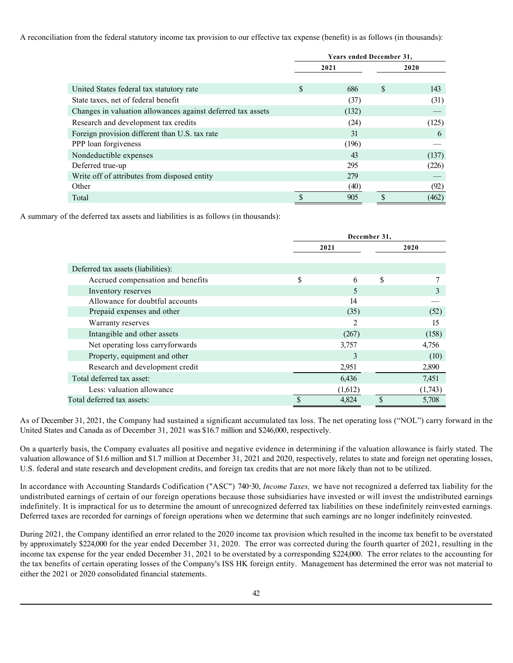A reconciliation from the federal statutory income tax provision to our effective tax expense (benefit) is as follows (in thousands):

|                                                             | Years ended December 31, |       |      |       |
|-------------------------------------------------------------|--------------------------|-------|------|-------|
|                                                             |                          | 2021  | 2020 |       |
|                                                             |                          |       |      |       |
| United States federal tax statutory rate                    | S                        | 686   | S    | 143   |
| State taxes, net of federal benefit                         |                          | (37)  |      | (31)  |
| Changes in valuation allowances against deferred tax assets |                          | (132) |      |       |
| Research and development tax credits                        |                          | (24)  |      | (125) |
| Foreign provision different than U.S. tax rate              |                          | 31    |      | 6     |
| PPP loan forgiveness                                        |                          | (196) |      |       |
| Nondeductible expenses                                      |                          | 43    |      | (137) |
| Deferred true-up                                            |                          | 295   |      | (226) |
| Write off of attributes from disposed entity                |                          | 279   |      |       |
| Other                                                       |                          | (40)  |      | (92)  |
| Total                                                       |                          | 905   |      | (462) |

A summary of the deferred tax assets and liabilities is as follows (in thousands):

|                                    | December 31,   |      |         |  |  |
|------------------------------------|----------------|------|---------|--|--|
|                                    | 2021           | 2020 |         |  |  |
|                                    |                |      |         |  |  |
| Deferred tax assets (liabilities): |                |      |         |  |  |
| Accrued compensation and benefits  | \$<br>6        | \$   |         |  |  |
| Inventory reserves                 | 5              |      | 3       |  |  |
| Allowance for doubtful accounts    | 14             |      |         |  |  |
| Prepaid expenses and other         | (35)           |      | (52)    |  |  |
| Warranty reserves                  | $\overline{2}$ |      | 15      |  |  |
| Intangible and other assets        | (267)          |      | (158)   |  |  |
| Net operating loss carryforwards   | 3,757          |      | 4,756   |  |  |
| Property, equipment and other      | 3              |      | (10)    |  |  |
| Research and development credit    | 2,951          |      | 2,890   |  |  |
| Total deferred tax asset:          | 6,436          |      | 7,451   |  |  |
| Less: valuation allowance          | (1,612)        |      | (1,743) |  |  |
| Total deferred tax assets:         | 4,824          | \$   | 5,708   |  |  |

As of December 31, 2021, the Company had sustained a significant accumulated tax loss. The net operating loss ("NOL") carry forward in the United States and Canada as of December 31, 2021 was \$16.7 million and \$246,000, respectively.

On a quarterly basis, the Company evaluates all positive and negative evidence in determining if the valuation allowance is fairly stated. The valuation allowance of \$1.6 million and \$1.7 million at December 31, 2021 and 2020, respectively, relates to state and foreign net operating losses, U.S. federal and state research and development credits, and foreign tax credits that are not more likely than not to be utilized.

In accordance with Accounting Standards Codification ("ASC") 740‑30, *Income Taxes,* we have not recognized a deferred tax liability for the undistributed earnings of certain of our foreign operations because those subsidiaries have invested or will invest the undistributed earnings indefinitely. It is impractical for us to determine the amount of unrecognized deferred tax liabilities on these indefinitely reinvested earnings. Deferred taxes are recorded for earnings of foreign operations when we determine that such earnings are no longer indefinitely reinvested.

During 2021, the Company identified an error related to the 2020 income tax provision which resulted in the income tax benefit to be overstated by approximately \$224,000 for the year ended December 31, 2020. The error was corrected during the fourth quarter of 2021, resulting in the income tax expense for the year ended December 31, 2021 to be overstated by a corresponding \$224,000. The error relates to the accounting for the tax benefits of certain operating losses of the Company's ISS HK foreign entity. Management has determined the error was not material to either the 2021 or 2020 consolidated financial statements.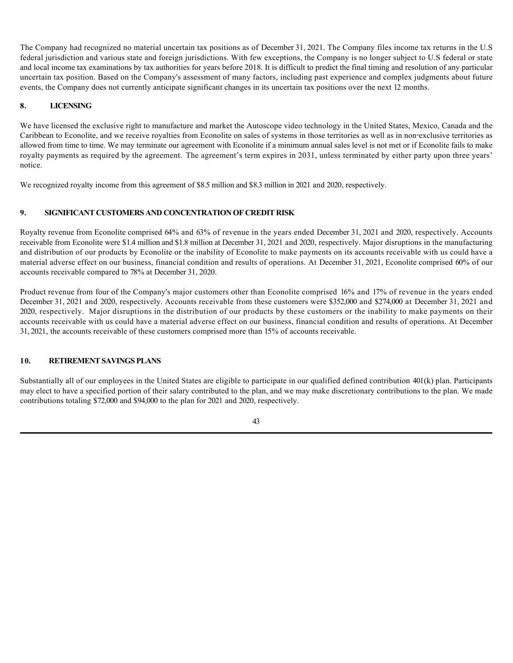The Company had recognized no material uncertain tax positions as of December 31, 2021. The Company files income tax returns in the U.S federal jurisdiction and various state and foreign jurisdictions. With few exceptions, the Company is no longer subject to U.S federal or state and local income tax examinations by tax authorities for years before 2018. It is difficult to predict the final timing and resolution of any particular uncertain tax position. Based on the Company's assessment of many factors, including past experience and complex judgments about future events, the Company does not currently anticipate significant changes in its uncertain tax positions over the next 12 months.

### **8. LICENSING**

We have licensed the exclusive right to manufacture and market the Autoscope video technology in the United States, Mexico, Canada and the Caribbean to Econolite, and we receive royalties from Econolite on sales of systems in those territories as well as in non-exclusive territories as allowed from time to time. We may terminate our agreement with Econolite if a minimum annual sales level is not met or if Econolite fails to make royalty payments as required by the agreement. The agreement's term expires in 2031, unless terminated by either party upon three years' notice.

We recognized royalty income from this agreement of \$8.5 million and \$8.3 million in 2021 and 2020, respectively.

## **9. SIGNIFICANT CUSTOMERS AND CONCENTRATION OF CREDIT RISK**

Royalty revenue from Econolite comprised 64% and 63% of revenue in the years ended December 31, 2021 and 2020, respectively. Accounts receivable from Econolite were \$1.4 million and \$1.8 million at December 31, 2021 and 2020, respectively. Major disruptions in the manufacturing and distribution of our products by Econolite or the inability of Econolite to make payments on its accounts receivable with us could have a material adverse effect on our business, financial condition and results of operations. At December 31, 2021, Econolite comprised 60% of our accounts receivable compared to 78% at December 31, 2020.

Product revenue from four of the Company's major customers other than Econolite comprised 16% and 17% of revenue in the years ended December 31, 2021 and 2020, respectively. Accounts receivable from these customers were \$352,000 and \$274,000 at December 31, 2021 and 2020, respectively. Major disruptions in the distribution of our products by these customers or the inability to make payments on their accounts receivable with us could have a material adverse effect on our business, financial condition and results of operations. At December 31, 2021, the accounts receivable of these customers comprised more than 15% of accounts receivable.

### **10. RETIREMENT SAVINGS PLANS**

Substantially all of our employees in the United States are eligible to participate in our qualified defined contribution 401(k) plan. Participants may elect to have a specified portion of their salary contributed to the plan, and we may make discretionary contributions to the plan. We made contributions totaling \$72,000 and \$94,000 to the plan for 2021 and 2020, respectively.

<sup>43</sup>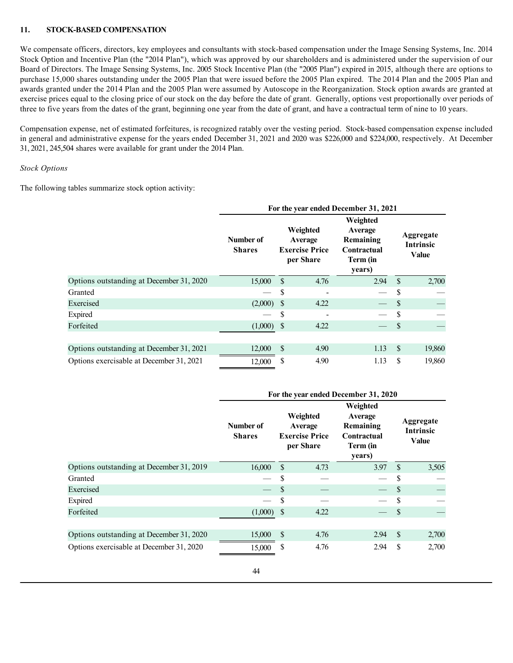#### **11. STOCK-BASED COMPENSATION**

We compensate officers, directors, key employees and consultants with stock-based compensation under the Image Sensing Systems, Inc. 2014 Stock Option and Incentive Plan (the "2014 Plan"), which was approved by our shareholders and is administered under the supervision of our Board of Directors. The Image Sensing Systems, Inc. 2005 Stock Incentive Plan (the "2005 Plan") expired in 2015, although there are options to purchase 15,000 shares outstanding under the 2005 Plan that were issued before the 2005 Plan expired. The 2014 Plan and the 2005 Plan and awards granted under the 2014 Plan and the 2005 Plan were assumed by Autoscope in the Reorganization. Stock option awards are granted at exercise prices equal to the closing price of our stock on the day before the date of grant. Generally, options vest proportionally over periods of three to five years from the dates of the grant, beginning one year from the date of grant, and have a contractual term of nine to 10 years.

Compensation expense, net of estimated forfeitures, is recognized ratably over the vesting period. Stock-based compensation expense included in general and administrative expense for the years ended December 31, 2021 and 2020 was \$226,000 and \$224,000, respectively. At December 31, 2021, 245,504 shares were available for grant under the 2014 Plan.

#### *Stock Options*

The following tables summarize stock option activity:

|                                          | For the year ended December 31, 2021 |               |                                                           |                                                                       |               |                                               |
|------------------------------------------|--------------------------------------|---------------|-----------------------------------------------------------|-----------------------------------------------------------------------|---------------|-----------------------------------------------|
|                                          | Number of<br><b>Shares</b>           |               | Weighted<br>Average<br><b>Exercise Price</b><br>per Share | Weighted<br>Average<br>Remaining<br>Contractual<br>Term (in<br>years) |               | Aggregate<br><b>Intrinsic</b><br><b>Value</b> |
| Options outstanding at December 31, 2020 | 15,000                               | <sup>\$</sup> | 4.76                                                      | 2.94                                                                  | <sup>\$</sup> | 2,700                                         |
| Granted                                  |                                      | S             |                                                           |                                                                       | S             |                                               |
| Exercised                                | (2,000)                              | <sup>\$</sup> | 4.22                                                      |                                                                       | S             |                                               |
| Expired                                  |                                      | S             |                                                           |                                                                       | S             |                                               |
| Forfeited                                | (1,000)                              | -S            | 4.22                                                      |                                                                       | S             |                                               |
|                                          |                                      |               |                                                           |                                                                       |               |                                               |
| Options outstanding at December 31, 2021 | 12,000                               | <sup>\$</sup> | 4.90                                                      | 1.13                                                                  | <sup>\$</sup> | 19,860                                        |
| Options exercisable at December 31, 2021 | 12,000                               | \$            | 4.90                                                      | 1.13                                                                  | S             | 19,860                                        |

|                                          | For the year ended December 31, 2020 |               |                                                           |                                                                       |               |                                        |
|------------------------------------------|--------------------------------------|---------------|-----------------------------------------------------------|-----------------------------------------------------------------------|---------------|----------------------------------------|
|                                          | Number of<br><b>Shares</b>           |               | Weighted<br>Average<br><b>Exercise Price</b><br>per Share | Weighted<br>Average<br>Remaining<br>Contractual<br>Term (in<br>years) |               | Aggregate<br><b>Intrinsic</b><br>Value |
| Options outstanding at December 31, 2019 | 16,000                               | <sup>\$</sup> | 4.73                                                      | 3.97                                                                  | $\mathcal{S}$ | 3,505                                  |
| Granted                                  |                                      | \$            |                                                           |                                                                       | S             |                                        |
| Exercised                                |                                      | \$            |                                                           |                                                                       | \$            |                                        |
| Expired                                  |                                      | \$            |                                                           |                                                                       | S             |                                        |
| Forfeited                                | (1,000)                              | <sup>\$</sup> | 4.22                                                      |                                                                       | S             |                                        |
|                                          |                                      |               |                                                           |                                                                       |               |                                        |
| Options outstanding at December 31, 2020 | 15,000                               | <sup>\$</sup> | 4.76                                                      | 2.94                                                                  | <sup>\$</sup> | 2,700                                  |
| Options exercisable at December 31, 2020 | 15,000                               | S             | 4.76                                                      | 2.94                                                                  | \$            | 2,700                                  |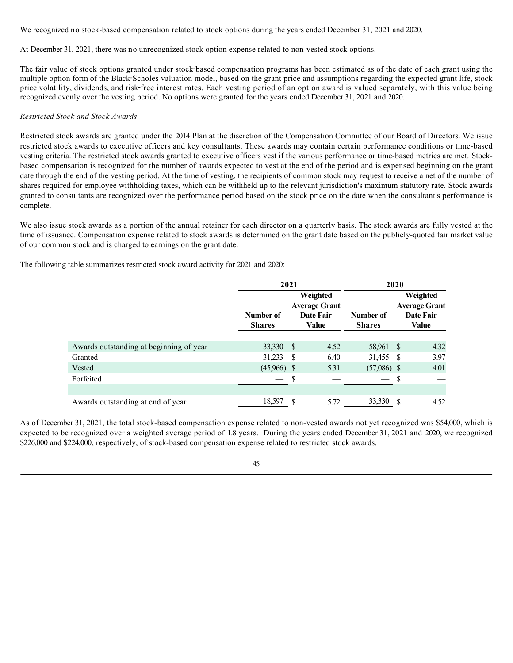We recognized no stock-based compensation related to stock options during the years ended December 31, 2021 and 2020.

At December 31, 2021, there was no unrecognized stock option expense related to non-vested stock options.

The fair value of stock options granted under stock-based compensation programs has been estimated as of the date of each grant using the multiple option form of the Black‑Scholes valuation model, based on the grant price and assumptions regarding the expected grant life, stock price volatility, dividends, and risk-free interest rates. Each vesting period of an option award is valued separately, with this value being recognized evenly over the vesting period. No options were granted for the years ended December 31, 2021 and 2020.

#### *Restricted Stock and Stock Awards*

Restricted stock awards are granted under the 2014 Plan at the discretion of the Compensation Committee of our Board of Directors. We issue restricted stock awards to executive officers and key consultants. These awards may contain certain performance conditions or time-based vesting criteria. The restricted stock awards granted to executive officers vest if the various performance or time-based metrics are met. Stockbased compensation is recognized for the number of awards expected to vest at the end of the period and is expensed beginning on the grant date through the end of the vesting period. At the time of vesting, the recipients of common stock may request to receive a net of the number of shares required for employee withholding taxes, which can be withheld up to the relevant jurisdiction's maximum statutory rate. Stock awards granted to consultants are recognized over the performance period based on the stock price on the date when the consultant's performance is complete.

We also issue stock awards as a portion of the annual retainer for each director on a quarterly basis. The stock awards are fully vested at the time of issuance. Compensation expense related to stock awards is determined on the grant date based on the publicly-quoted fair market value of our common stock and is charged to earnings on the grant date.

The following table summarizes restricted stock award activity for 2021 and 2020:

|                                         | 2021                       |               |                                                               | 2020                       |   |                                                        |
|-----------------------------------------|----------------------------|---------------|---------------------------------------------------------------|----------------------------|---|--------------------------------------------------------|
|                                         | Number of<br><b>Shares</b> |               | Weighted<br><b>Average Grant</b><br><b>Date Fair</b><br>Value | Number of<br><b>Shares</b> |   | Weighted<br><b>Average Grant</b><br>Date Fair<br>Value |
| Awards outstanding at beginning of year | 33,330 \$                  |               | 4.52                                                          | 58,961 \$                  |   | 4.32                                                   |
| Granted                                 | 31,233                     | <sup>\$</sup> | 6.40                                                          | 31,455 \$                  |   | 3.97                                                   |
| Vested                                  | $(45,966)$ \$              |               | 5.31                                                          | $(57,086)$ \$              |   | 4.01                                                   |
| Forfeited                               |                            | \$            |                                                               |                            | S |                                                        |
|                                         |                            |               |                                                               |                            |   |                                                        |
| Awards outstanding at end of year       | 18,597                     | S             | 5.72                                                          | 33,330                     |   | 4.52                                                   |

As of December 31, 2021, the total stock-based compensation expense related to non-vested awards not yet recognized was \$54,000, which is expected to be recognized over a weighted average period of 1.8 years. During the years ended December 31, 2021 and 2020, we recognized \$226,000 and \$224,000, respectively, of stock-based compensation expense related to restricted stock awards.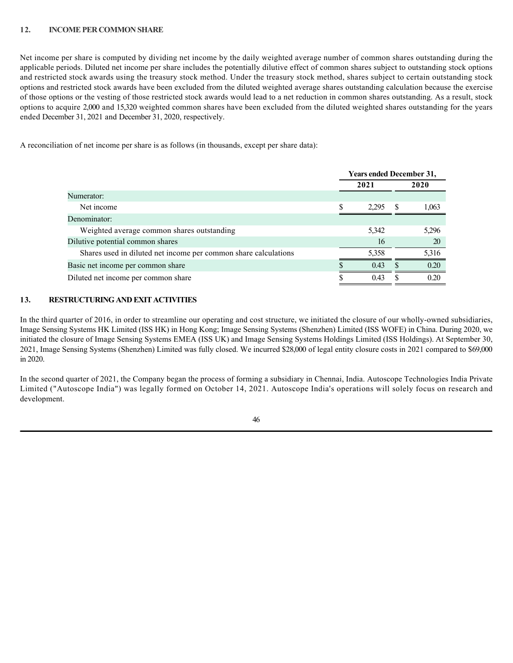## **12. INCOME PER COMMON SHARE**

Net income per share is computed by dividing net income by the daily weighted average number of common shares outstanding during the applicable periods. Diluted net income per share includes the potentially dilutive effect of common shares subject to outstanding stock options and restricted stock awards using the treasury stock method. Under the treasury stock method, shares subject to certain outstanding stock options and restricted stock awards have been excluded from the diluted weighted average shares outstanding calculation because the exercise of those options or the vesting of those restricted stock awards would lead to a net reduction in common shares outstanding. As a result, stock options to acquire 2,000 and 15,320 weighted common shares have been excluded from the diluted weighted shares outstanding for the years ended December 31, 2021 and December 31, 2020, respectively.

A reconciliation of net income per share is as follows (in thousands, except per share data):

|                                                                 | <b>Years ended December 31,</b> |       |   |       |
|-----------------------------------------------------------------|---------------------------------|-------|---|-------|
|                                                                 |                                 | 2021  |   | 2020  |
| Numerator:                                                      |                                 |       |   |       |
| Net income                                                      | \$                              | 2.295 | S | 1,063 |
| Denominator:                                                    |                                 |       |   |       |
| Weighted average common shares outstanding                      |                                 | 5,342 |   | 5,296 |
| Dilutive potential common shares                                |                                 | 16    |   | 20    |
| Shares used in diluted net income per common share calculations |                                 | 5,358 |   | 5,316 |
| Basic net income per common share                               |                                 | 0.43  |   | 0.20  |
| Diluted net income per common share                             |                                 | 0.43  |   | 0.20  |

## **13. RESTRUCTURING AND EXIT ACTIVITIES**

In the third quarter of 2016, in order to streamline our operating and cost structure, we initiated the closure of our wholly-owned subsidiaries, Image Sensing Systems HK Limited (ISS HK) in Hong Kong; Image Sensing Systems (Shenzhen) Limited (ISS WOFE) in China. During 2020, we initiated the closure of Image Sensing Systems EMEA (ISS UK) and Image Sensing Systems Holdings Limited (ISS Holdings). At September 30, 2021, Image Sensing Systems (Shenzhen) Limited was fully closed. We incurred \$28,000 of legal entity closure costs in 2021 compared to \$69,000 in 2020.

In the second quarter of 2021, the Company began the process of forming a subsidiary in Chennai, India. Autoscope Technologies India Private Limited ("Autoscope India") was legally formed on October 14, 2021. Autoscope India's operations will solely focus on research and development.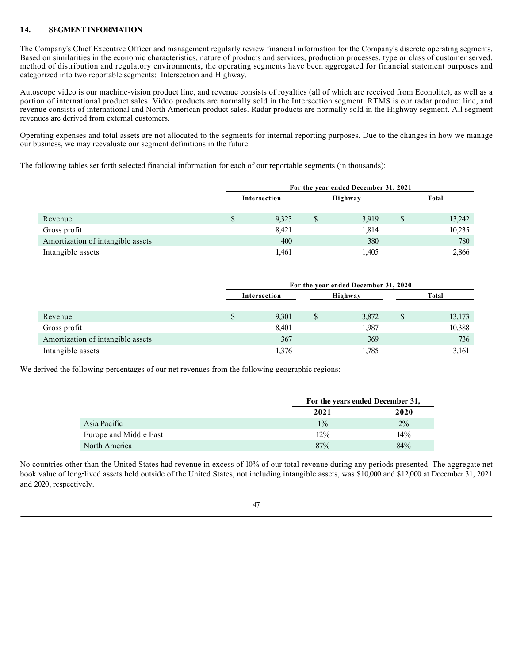#### **14. SEGMENT INFORMATION**

The Company's Chief Executive Officer and management regularly review financial information for the Company's discrete operating segments. Based on similarities in the economic characteristics, nature of products and services, production processes, type or class of customer served, method of distribution and regulatory environments, the operating segments have been aggregated for financial statement purposes and categorized into two reportable segments: Intersection and Highway.

Autoscope video is our machine-vision product line, and revenue consists of royalties (all of which are received from Econolite), as well as a portion of international product sales. Video products are normally sold in the Intersection segment. RTMS is our radar product line, and revenue consists of international and North American product sales. Radar products are normally sold in the Highway segment. All segment revenues are derived from external customers.

Operating expenses and total assets are not allocated to the segments for internal reporting purposes. Due to the changes in how we manage our business, we may reevaluate our segment definitions in the future.

The following tables set forth selected financial information for each of our reportable segments (in thousands):

|                                   |   | For the year ended December 31, 2021 |   |         |    |        |  |
|-----------------------------------|---|--------------------------------------|---|---------|----|--------|--|
|                                   |   | Intersection                         |   | Highway |    | Total  |  |
|                                   |   |                                      |   |         |    |        |  |
| Revenue                           | P | 9,323                                | S | 3.919   | \$ | 13,242 |  |
| Gross profit                      |   | 8,421                                |   | 1,814   |    | 10,235 |  |
| Amortization of intangible assets |   | 400                                  |   | 380     |    | 780    |  |
| Intangible assets                 |   | 1,461                                |   | 1,405   |    | 2,866  |  |

|                                   | For the year ended December 31, 2020 |  |                |    |        |  |
|-----------------------------------|--------------------------------------|--|----------------|----|--------|--|
|                                   | Intersection                         |  | <b>Highway</b> |    | Total  |  |
|                                   |                                      |  |                |    |        |  |
| Revenue                           | 9.301                                |  | 3,872          | \$ | 13,173 |  |
| Gross profit                      | 8,401                                |  | 1.987          |    | 10,388 |  |
| Amortization of intangible assets | 367                                  |  | 369            |    | 736    |  |
| Intangible assets                 | 1,376                                |  | 1,785          |    | 3,161  |  |

We derived the following percentages of our net revenues from the following geographic regions:

|                        |       | For the years ended December 31, |
|------------------------|-------|----------------------------------|
|                        | 2021  | 2020                             |
| Asia Pacific           | $1\%$ | $2\%$                            |
| Europe and Middle East | 12%   | 14%                              |
| North America          | 87%   | 84%                              |

No countries other than the United States had revenue in excess of 10% of our total revenue during any periods presented. The aggregate net book value of long-lived assets held outside of the United States, not including intangible assets, was \$10,000 and \$12,000 at December 31, 2021 and 2020, respectively.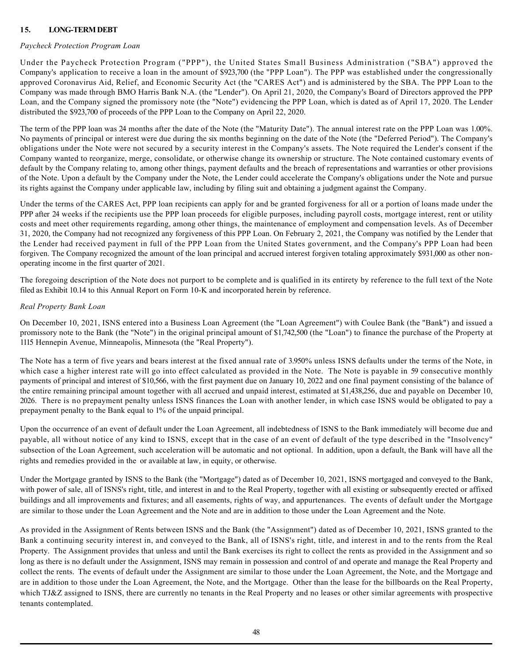## **15. LONG-TERM DEBT**

#### *Paycheck Protection Program Loan*

Under the Paycheck Protection Program ("PPP"), the United States Small Business Administration ("SBA") approved the Company's application to receive a loan in the amount of \$923,700 (the "PPP Loan"). The PPP was established under the congressionally approved Coronavirus Aid, Relief, and Economic Security Act (the "CARES Act") and is administered by the SBA. The PPP Loan to the Company was made through BMO Harris Bank N.A. (the "Lender"). On April 21, 2020, the Company's Board of Directors approved the PPP Loan, and the Company signed the promissory note (the "Note") evidencing the PPP Loan, which is dated as of April 17, 2020. The Lender distributed the \$923,700 of proceeds of the PPP Loan to the Company on April 22, 2020.

The term of the PPP loan was 24 months after the date of the Note (the "Maturity Date"). The annual interest rate on the PPP Loan was 1.00%. No payments of principal or interest were due during the six months beginning on the date of the Note (the "Deferred Period"). The Company's obligations under the Note were not secured by a security interest in the Company's assets. The Note required the Lender's consent if the Company wanted to reorganize, merge, consolidate, or otherwise change its ownership or structure. The Note contained customary events of default by the Company relating to, among other things, payment defaults and the breach of representations and warranties or other provisions of the Note. Upon a default by the Company under the Note, the Lender could accelerate the Company's obligations under the Note and pursue its rights against the Company under applicable law, including by filing suit and obtaining a judgment against the Company.

Under the terms of the CARES Act, PPP loan recipients can apply for and be granted forgiveness for all or a portion of loans made under the PPP after 24 weeks if the recipients use the PPP loan proceeds for eligible purposes, including payroll costs, mortgage interest, rent or utility costs and meet other requirements regarding, among other things, the maintenance of employment and compensation levels. As of December 31, 2020, the Company had not recognized any forgiveness of this PPP Loan. On February 2, 2021, the Company was notified by the Lender that the Lender had received payment in full of the PPP Loan from the United States government, and the Company's PPP Loan had been forgiven. The Company recognized the amount of the loan principal and accrued interest forgiven totaling approximately \$931,000 as other nonoperating income in the first quarter of 2021.

The foregoing description of the Note does not purport to be complete and is qualified in its entirety by reference to the full text of the Note filed as Exhibit 10.14 to this Annual Report on Form 10-K and incorporated herein by reference.

#### *Real Property Bank Loan*

On December 10, 2021, ISNS entered into a Business Loan Agreement (the "Loan Agreement") with Coulee Bank (the "Bank") and issued a promissory note to the Bank (the "Note") in the original principal amount of \$1,742,500 (the "Loan") to finance the purchase of the Property at 1115 Hennepin Avenue, Minneapolis, Minnesota (the "Real Property").

The Note has a term of five years and bears interest at the fixed annual rate of 3.950% unless ISNS defaults under the terms of the Note, in which case a higher interest rate will go into effect calculated as provided in the Note. The Note is payable in 59 consecutive monthly payments of principal and interest of \$10,566, with the first payment due on January 10, 2022 and one final payment consisting of the balance of the entire remaining principal amount together with all accrued and unpaid interest, estimated at \$1,438,256, due and payable on December 10, 2026. There is no prepayment penalty unless ISNS finances the Loan with another lender, in which case ISNS would be obligated to pay a prepayment penalty to the Bank equal to 1% of the unpaid principal.

Upon the occurrence of an event of default under the Loan Agreement, all indebtedness of ISNS to the Bank immediately will become due and payable, all without notice of any kind to ISNS, except that in the case of an event of default of the type described in the "Insolvency" subsection of the Loan Agreement, such acceleration will be automatic and not optional. In addition, upon a default, the Bank will have all the rights and remedies provided in the or available at law, in equity, or otherwise.

Under the Mortgage granted by ISNS to the Bank (the "Mortgage") dated as of December 10, 2021, ISNS mortgaged and conveyed to the Bank, with power of sale, all of ISNS's right, title, and interest in and to the Real Property, together with all existing or subsequently erected or affixed buildings and all improvements and fixtures; and all easements, rights of way, and appurtenances. The events of default under the Mortgage are similar to those under the Loan Agreement and the Note and are in addition to those under the Loan Agreement and the Note.

As provided in the Assignment of Rents between ISNS and the Bank (the "Assignment") dated as of December 10, 2021, ISNS granted to the Bank a continuing security interest in, and conveyed to the Bank, all of ISNS's right, title, and interest in and to the rents from the Real Property. The Assignment provides that unless and until the Bank exercises its right to collect the rents as provided in the Assignment and so long as there is no default under the Assignment, ISNS may remain in possession and control of and operate and manage the Real Property and collect the rents. The events of default under the Assignment are similar to those under the Loan Agreement, the Note, and the Mortgage and are in addition to those under the Loan Agreement, the Note, and the Mortgage. Other than the lease for the billboards on the Real Property, which TJ&Z assigned to ISNS, there are currently no tenants in the Real Property and no leases or other similar agreements with prospective tenants contemplated.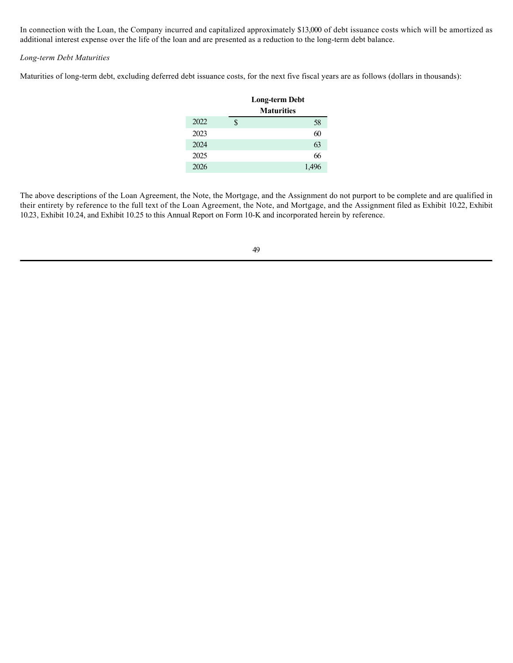In connection with the Loan, the Company incurred and capitalized approximately \$13,000 of debt issuance costs which will be amortized as additional interest expense over the life of the loan and are presented as a reduction to the long-term debt balance.

#### *Long-term Debt Maturities*

Maturities of long-term debt, excluding deferred debt issuance costs, for the next five fiscal years are as follows (dollars in thousands):

| <b>Long-term Debt</b> |
|-----------------------|
| <b>Maturities</b>     |
| \$<br>58              |
| 60                    |
| 63                    |
| 66                    |
| 1,496                 |
|                       |

The above descriptions of the Loan Agreement, the Note, the Mortgage, and the Assignment do not purport to be complete and are qualified in their entirety by reference to the full text of the Loan Agreement, the Note, and Mortgage, and the Assignment filed as Exhibit 10.22, Exhibit 10.23, Exhibit 10.24, and Exhibit 10.25 to this Annual Report on Form 10-K and incorporated herein by reference.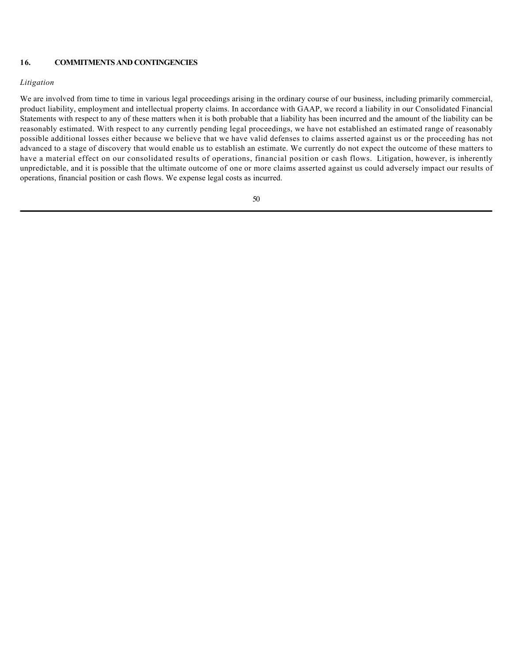#### **16. COMMITMENTS AND CONTINGENCIES**

#### *Litigation*

We are involved from time to time in various legal proceedings arising in the ordinary course of our business, including primarily commercial, product liability, employment and intellectual property claims. In accordance with GAAP, we record a liability in our Consolidated Financial Statements with respect to any of these matters when it is both probable that a liability has been incurred and the amount of the liability can be reasonably estimated. With respect to any currently pending legal proceedings, we have not established an estimated range of reasonably possible additional losses either because we believe that we have valid defenses to claims asserted against us or the proceeding has not advanced to a stage of discovery that would enable us to establish an estimate. We currently do not expect the outcome of these matters to have a material effect on our consolidated results of operations, financial position or cash flows. Litigation, however, is inherently unpredictable, and it is possible that the ultimate outcome of one or more claims asserted against us could adversely impact our results of operations, financial position or cash flows. We expense legal costs as incurred.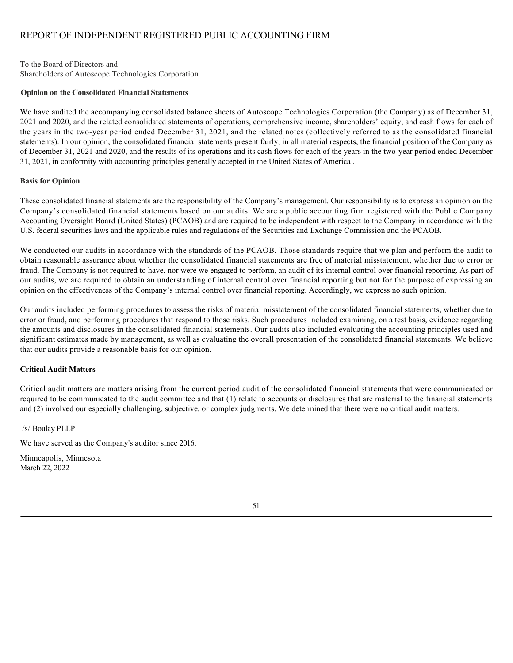## REPORT OF INDEPENDENT REGISTERED PUBLIC ACCOUNTING FIRM

## To the Board of Directors and Shareholders of Autoscope Technologies Corporation

#### **Opinion on the Consolidated Financial Statements**

We have audited the accompanying consolidated balance sheets of Autoscope Technologies Corporation (the Company) as of December 31, 2021 and 2020, and the related consolidated statements of operations, comprehensive income, shareholders' equity, and cash flows for each of the years in the two-year period ended December 31, 2021, and the related notes (collectively referred to as the consolidated financial statements). In our opinion, the consolidated financial statements present fairly, in all material respects, the financial position of the Company as of December 31, 2021 and 2020, and the results of its operations and its cash flows for each of the years in the two-year period ended December 31, 2021, in conformity with accounting principles generally accepted in the United States of America .

#### **Basis for Opinion**

These consolidated financial statements are the responsibility of the Company's management. Our responsibility is to express an opinion on the Company's consolidated financial statements based on our audits. We are a public accounting firm registered with the Public Company Accounting Oversight Board (United States) (PCAOB) and are required to be independent with respect to the Company in accordance with the U.S. federal securities laws and the applicable rules and regulations of the Securities and Exchange Commission and the PCAOB.

We conducted our audits in accordance with the standards of the PCAOB. Those standards require that we plan and perform the audit to obtain reasonable assurance about whether the consolidated financial statements are free of material misstatement, whether due to error or fraud. The Company is not required to have, nor were we engaged to perform, an audit of its internal control over financial reporting. As part of our audits, we are required to obtain an understanding of internal control over financial reporting but not for the purpose of expressing an opinion on the effectiveness of the Company's internal control over financial reporting. Accordingly, we express no such opinion.

Our audits included performing procedures to assess the risks of material misstatement of the consolidated financial statements, whether due to error or fraud, and performing procedures that respond to those risks. Such procedures included examining, on a test basis, evidence regarding the amounts and disclosures in the consolidated financial statements. Our audits also included evaluating the accounting principles used and significant estimates made by management, as well as evaluating the overall presentation of the consolidated financial statements. We believe that our audits provide a reasonable basis for our opinion.

### **Critical Audit Matters**

Critical audit matters are matters arising from the current period audit of the consolidated financial statements that were communicated or required to be communicated to the audit committee and that (1) relate to accounts or disclosures that are material to the financial statements and (2) involved our especially challenging, subjective, or complex judgments. We determined that there were no critical audit matters.

#### /s/ Boulay PLLP

We have served as the Company's auditor since 2016.

Minneapolis, Minnesota March 22, 2022

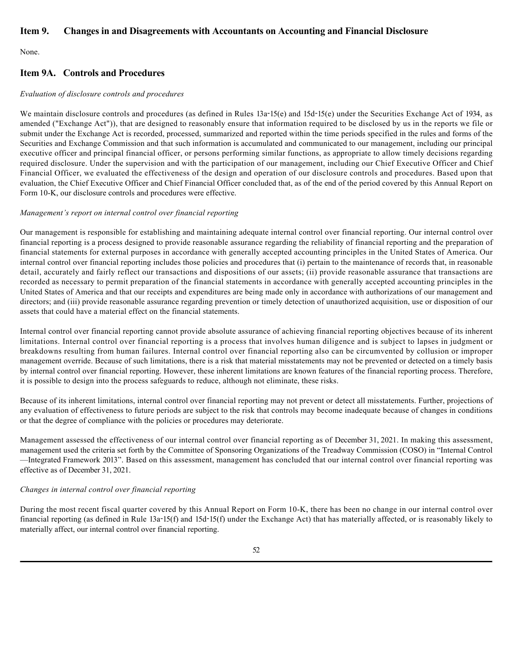## **[Item 9. Changes in and Disagreements with Accountants on Accounting and Financial Disclosure](#TOC)**

#### None.

## **[Item 9A. Controls and Procedures](#TOC)**

#### *Evaluation of disclosure controls and procedures*

We maintain disclosure controls and procedures (as defined in Rules 13a-15(e) and 15d-15(e) under the Securities Exchange Act of 1934, as amended ("Exchange Act")), that are designed to reasonably ensure that information required to be disclosed by us in the reports we file or submit under the Exchange Act is recorded, processed, summarized and reported within the time periods specified in the rules and forms of the Securities and Exchange Commission and that such information is accumulated and communicated to our management, including our principal executive officer and principal financial officer, or persons performing similar functions, as appropriate to allow timely decisions regarding required disclosure. Under the supervision and with the participation of our management, including our Chief Executive Officer and Chief Financial Officer, we evaluated the effectiveness of the design and operation of our disclosure controls and procedures. Based upon that evaluation, the Chief Executive Officer and Chief Financial Officer concluded that, as of the end of the period covered by this Annual Report on Form 10-K, our disclosure controls and procedures were effective.

#### *Management's report on internal control over financial reporting*

Our management is responsible for establishing and maintaining adequate internal control over financial reporting. Our internal control over financial reporting is a process designed to provide reasonable assurance regarding the reliability of financial reporting and the preparation of financial statements for external purposes in accordance with generally accepted accounting principles in the United States of America. Our internal control over financial reporting includes those policies and procedures that (i) pertain to the maintenance of records that, in reasonable detail, accurately and fairly reflect our transactions and dispositions of our assets; (ii) provide reasonable assurance that transactions are recorded as necessary to permit preparation of the financial statements in accordance with generally accepted accounting principles in the United States of America and that our receipts and expenditures are being made only in accordance with authorizations of our management and directors; and (iii) provide reasonable assurance regarding prevention or timely detection of unauthorized acquisition, use or disposition of our assets that could have a material effect on the financial statements.

Internal control over financial reporting cannot provide absolute assurance of achieving financial reporting objectives because of its inherent limitations. Internal control over financial reporting is a process that involves human diligence and is subject to lapses in judgment or breakdowns resulting from human failures. Internal control over financial reporting also can be circumvented by collusion or improper management override. Because of such limitations, there is a risk that material misstatements may not be prevented or detected on a timely basis by internal control over financial reporting. However, these inherent limitations are known features of the financial reporting process. Therefore, it is possible to design into the process safeguards to reduce, although not eliminate, these risks.

Because of its inherent limitations, internal control over financial reporting may not prevent or detect all misstatements. Further, projections of any evaluation of effectiveness to future periods are subject to the risk that controls may become inadequate because of changes in conditions or that the degree of compliance with the policies or procedures may deteriorate.

Management assessed the effectiveness of our internal control over financial reporting as of December 31, 2021. In making this assessment, management used the criteria set forth by the Committee of Sponsoring Organizations of the Treadway Commission (COSO) in "Internal Control —Integrated Framework 2013". Based on this assessment, management has concluded that our internal control over financial reporting was effective as of December 31, 2021.

#### *Changes in internal control over financial reporting*

During the most recent fiscal quarter covered by this Annual Report on Form 10-K, there has been no change in our internal control over financial reporting (as defined in Rule 13a-15(f) and 15d-15(f) under the Exchange Act) that has materially affected, or is reasonably likely to materially affect, our internal control over financial reporting.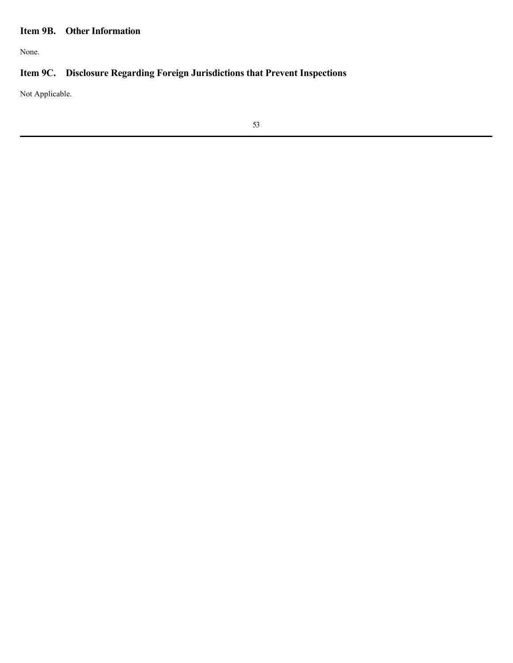## **[Item 9B. Other Information](#TOC)**

None.

## **[Item 9C. Disclosure Regarding Foreign Jurisdictions that Prevent Inspections](file:///C:/BackGroundJobs/LiveBackgroundServices/PublishPkgNEW/App_Data/HTML/1e1f32b4-53b6-44a4-b414-231e3a02ea6c/Main.htm#)**

Not Applicable.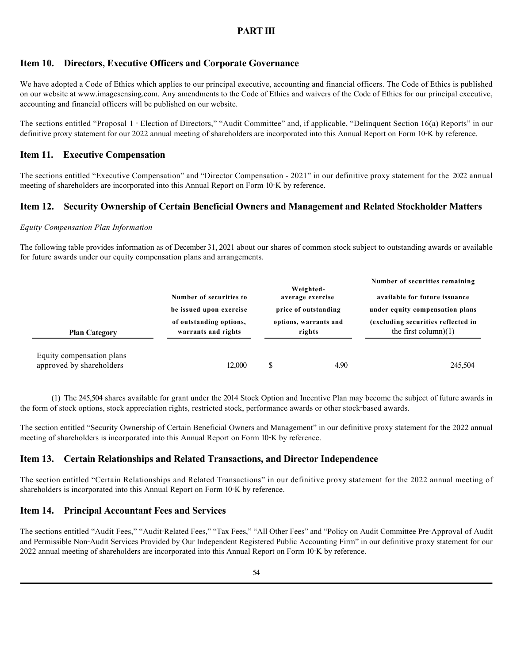## **[PART III](#TOC)**

## **[Item 10. Directors, Executive Officers and Corporate Governance](#TOC)**

We have adopted a Code of Ethics which applies to our principal executive, accounting and financial officers. The Code of Ethics is published on our website at www.imagesensing.com. Any amendments to the Code of Ethics and waivers of the Code of Ethics for our principal executive, accounting and financial officers will be published on our website.

The sections entitled "Proposal 1 ‑ Election of Directors," "Audit Committee" and, if applicable, "Delinquent Section 16(a) Reports" in our definitive proxy statement for our 2022 annual meeting of shareholders are incorporated into this Annual Report on Form 10-K by reference.

## **[Item 11. Executive Compensation](#TOC)**

The sections entitled "Executive Compensation" and "Director Compensation - 2021" in our definitive proxy statement for the 2022 annual meeting of shareholders are incorporated into this Annual Report on Form 10‑K by reference.

## **[Item 12. Security Ownership of Certain Beneficial Owners and Management and Related Stockholder Matters](#TOC)**

#### *Equity Compensation Plan Information*

The following table provides information as of December 31, 2021 about our shares of common stock subject to outstanding awards or available for future awards under our equity compensation plans and arrangements.

| <b>Plan Category</b>                                  | Number of securities to<br>be issued upon exercise<br>of outstanding options,<br>warrants and rights |   | Weighted-<br>average exercise<br>price of outstanding<br>options, warrants and<br>rights | Number of securities remaining<br>available for future issuance<br>under equity compensation plans<br>(excluding securities reflected in<br>the first column) $(1)$ |
|-------------------------------------------------------|------------------------------------------------------------------------------------------------------|---|------------------------------------------------------------------------------------------|---------------------------------------------------------------------------------------------------------------------------------------------------------------------|
| Equity compensation plans<br>approved by shareholders | 12.000                                                                                               | S | 4.90                                                                                     | 245,504                                                                                                                                                             |

(1) The 245,504 shares available for grant under the 2014 Stock Option and Incentive Plan may become the subject of future awards in the form of stock options, stock appreciation rights, restricted stock, performance awards or other stock-based awards.

The section entitled "Security Ownership of Certain Beneficial Owners and Management" in our definitive proxy statement for the 2022 annual meeting of shareholders is incorporated into this Annual Report on Form 10‑K by reference.

## **[Item 13. Certain Relationships and Related Transactions, and Director Independence](#TOC)**

The section entitled "Certain Relationships and Related Transactions" in our definitive proxy statement for the 2022 annual meeting of shareholders is incorporated into this Annual Report on Form 10-K by reference.

## **[Item 14. Principal Accountant Fees and Services](#TOC)**

The sections entitled "Audit Fees," "Audit-Related Fees," "Tax Fees," "All Other Fees" and "Policy on Audit Committee Pre-Approval of Audit and Permissible Non‑Audit Services Provided by Our Independent Registered Public Accounting Firm" in our definitive proxy statement for our 2022 annual meeting of shareholders are incorporated into this Annual Report on Form 10‑K by reference.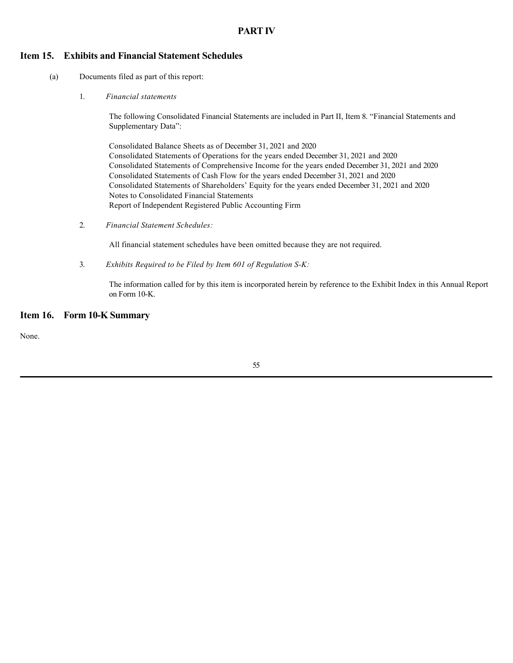## **[PART IV](#TOC)**

## **[Item 15. Exhibits and Financial Statement Schedules](#TOC)**

- (a) Documents filed as part of this report:
	- 1. *Financial statements*

The following Consolidated Financial Statements are included in Part II, Item 8. "Financial Statements and Supplementary Data":

Consolidated Balance Sheets as of December 31, 2021 and 2020 Consolidated Statements of Operations for the years ended December 31, 2021 and 2020 Consolidated Statements of Comprehensive Income for the years ended December 31, 2021 and 2020 Consolidated Statements of Cash Flow for the years ended December 31, 2021 and 2020 Consolidated Statements of Shareholders' Equity for the years ended December 31, 2021 and 2020 Notes to Consolidated Financial Statements Report of Independent Registered Public Accounting Firm

2. *Financial Statement Schedules:*

All financial statement schedules have been omitted because they are not required.

3. *Exhibits Required to be Filed by Item 601 of Regulation S-K:*

The information called for by this item is incorporated herein by reference to the Exhibit Index in this Annual Report on Form 10-K.

## **[Item 16. Form 10-K Summary](#TOC)**

None.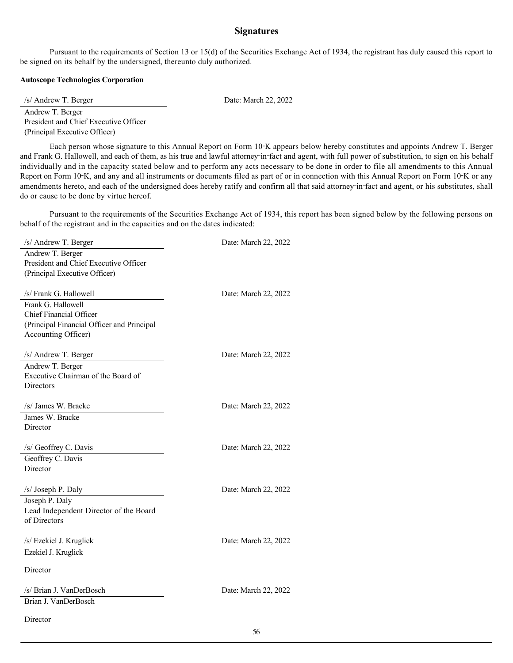#### **[Signatures](file:///C:/BackGroundJobs/LiveBackgroundServices/PublishPkgNEW/App_Data/HTML/1e1f32b4-53b6-44a4-b414-231e3a02ea6c/Main.htm#)**

Pursuant to the requirements of Section 13 or 15(d) of the Securities Exchange Act of 1934, the registrant has duly caused this report to be signed on its behalf by the undersigned, thereunto duly authorized.

#### **Autoscope Technologies Corporation**

/s/ Andrew T. Berger Date: March 22, 2022

Andrew T. Berger President and Chief Executive Officer (Principal Executive Officer)

Each person whose signature to this Annual Report on Form 10‑K appears below hereby constitutes and appoints Andrew T. Berger and Frank G. Hallowell, and each of them, as his true and lawful attorney-in-fact and agent, with full power of substitution, to sign on his behalf individually and in the capacity stated below and to perform any acts necessary to be done in order to file all amendments to this Annual Report on Form 10‑K, and any and all instruments or documents filed as part of or in connection with this Annual Report on Form 10‑K or any amendments hereto, and each of the undersigned does hereby ratify and confirm all that said attorney-in-fact and agent, or his substitutes, shall do or cause to be done by virtue hereof.

Pursuant to the requirements of the Securities Exchange Act of 1934, this report has been signed below by the following persons on behalf of the registrant and in the capacities and on the dates indicated:

| /s/ Andrew T. Berger                       | Date: March 22, 2022 |
|--------------------------------------------|----------------------|
| Andrew T. Berger                           |                      |
| President and Chief Executive Officer      |                      |
| (Principal Executive Officer)              |                      |
|                                            |                      |
| /s/ Frank G. Hallowell                     | Date: March 22, 2022 |
| Frank G. Hallowell                         |                      |
| <b>Chief Financial Officer</b>             |                      |
| (Principal Financial Officer and Principal |                      |
| Accounting Officer)                        |                      |
|                                            |                      |
| /s/ Andrew T. Berger                       | Date: March 22, 2022 |
| Andrew T. Berger                           |                      |
| Executive Chairman of the Board of         |                      |
| Directors                                  |                      |
|                                            |                      |
| /s/ James W. Bracke                        | Date: March 22, 2022 |
| James W. Bracke                            |                      |
| Director                                   |                      |
|                                            |                      |
| /s/ Geoffrey C. Davis                      | Date: March 22, 2022 |
| Geoffrey C. Davis                          |                      |
| Director                                   |                      |
|                                            |                      |
| /s/ Joseph P. Daly                         | Date: March 22, 2022 |
| Joseph P. Daly                             |                      |
| Lead Independent Director of the Board     |                      |
| of Directors                               |                      |
|                                            |                      |
| /s/ Ezekiel J. Kruglick                    | Date: March 22, 2022 |
| Ezekiel J. Kruglick                        |                      |
|                                            |                      |
| Director                                   |                      |
|                                            |                      |
| /s/ Brian J. VanDerBosch                   | Date: March 22, 2022 |
| Brian J. VanDerBosch                       |                      |
|                                            |                      |
| Director                                   |                      |
|                                            | 56                   |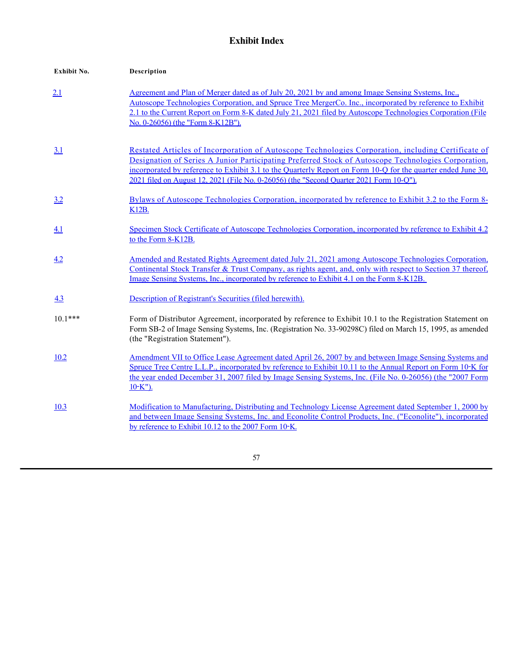## **[Exhibit Index](file:///C:/BackGroundJobs/LiveBackgroundServices/PublishPkgNEW/App_Data/HTML/1e1f32b4-53b6-44a4-b414-231e3a02ea6c/Main.htm#)**

| Exhibit No. | Description                                                                                                                                                                                                                                                                                                                                                                                                          |
|-------------|----------------------------------------------------------------------------------------------------------------------------------------------------------------------------------------------------------------------------------------------------------------------------------------------------------------------------------------------------------------------------------------------------------------------|
| 2.1         | Agreement and Plan of Merger dated as of July 20, 2021 by and among Image Sensing Systems, Inc.,<br>Autoscope Technologies Corporation, and Spruce Tree MergerCo. Inc., incorporated by reference to Exhibit<br>2.1 to the Current Report on Form 8-K dated July 21, 2021 filed by Autoscope Technologies Corporation (File<br>No. 0-26056) (the "Form 8-K12B").                                                     |
| 3.1         | Restated Articles of Incorporation of Autoscope Technologies Corporation, including Certificate of<br>Designation of Series A Junior Participating Preferred Stock of Autoscope Technologies Corporation,<br>incorporated by reference to Exhibit 3.1 to the Quarterly Report on Form 10-Q for the quarter ended June 30,<br>2021 filed on August 12, 2021 (File No. 0-26056) (the "Second Quarter 2021 Form 10-Q"). |
| 3.2         | Bylaws of Autoscope Technologies Corporation, incorporated by reference to Exhibit 3.2 to the Form 8-<br><b>K12B.</b>                                                                                                                                                                                                                                                                                                |
| 4.1         | Specimen Stock Certificate of Autoscope Technologies Corporation, incorporated by reference to Exhibit 4.2<br>to the Form 8-K12B.                                                                                                                                                                                                                                                                                    |
| 4.2         | Amended and Restated Rights Agreement dated July 21, 2021 among Autoscope Technologies Corporation,<br>Continental Stock Transfer & Trust Company, as rights agent, and, only with respect to Section 37 thereof,<br>Image Sensing Systems, Inc., incorporated by reference to Exhibit 4.1 on the Form 8-K12B.                                                                                                       |
| 4.3         | Description of Registrant's Securities (filed herewith).                                                                                                                                                                                                                                                                                                                                                             |
| $10.1***$   | Form of Distributor Agreement, incorporated by reference to Exhibit 10.1 to the Registration Statement on<br>Form SB-2 of Image Sensing Systems, Inc. (Registration No. 33-90298C) filed on March 15, 1995, as amended<br>(the "Registration Statement").                                                                                                                                                            |
| 10.2        | <u>Amendment VII to Office Lease Agreement dated April 26, 2007 by and between Image Sensing Systems and</u><br>Spruce Tree Centre L.L.P., incorporated by reference to Exhibit 10.11 to the Annual Report on Form 10-K for<br>the year ended December 31, 2007 filed by Image Sensing Systems, Inc. (File No. 0-26056) (the "2007 Form<br>$10-K$ ").                                                                |
| 10.3        | Modification to Manufacturing, Distributing and Technology License Agreement dated September 1, 2000 by<br>and between Image Sensing Systems, Inc. and Econolite Control Products, Inc. ("Econolite"), incorporated<br>by reference to Exhibit 10.12 to the 2007 Form 10-K.                                                                                                                                          |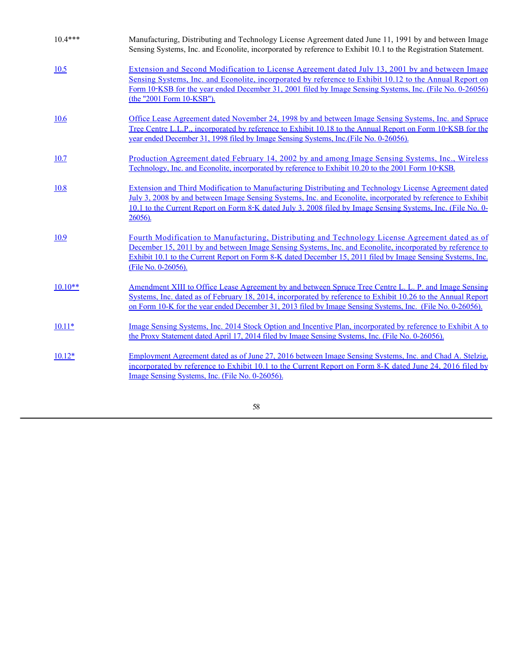| $10.4***$   | Manufacturing, Distributing and Technology License Agreement dated June 11, 1991 by and between Image<br>Sensing Systems, Inc. and Econolite, incorporated by reference to Exhibit 10.1 to the Registration Statement.                                                                                                                                     |
|-------------|------------------------------------------------------------------------------------------------------------------------------------------------------------------------------------------------------------------------------------------------------------------------------------------------------------------------------------------------------------|
| 10.5        | <u>Extension and Second Modification to License Agreement dated July 13, 2001 by and between Image</u><br>Sensing Systems, Inc. and Econolite, incorporated by reference to Exhibit 10.12 to the Annual Report on<br>Form 10-KSB for the year ended December 31, 2001 filed by Image Sensing Systems, Inc. (File No. 0-26056)<br>(the "2001 Form 10-KSB"). |
| 10.6        | Office Lease Agreement dated November 24, 1998 by and between Image Sensing Systems, Inc. and Spruce<br>Tree Centre L.L.P., incorporated by reference to Exhibit 10.18 to the Annual Report on Form 10-KSB for the<br>year ended December 31, 1998 filed by Image Sensing Systems, Inc.(File No. 0-26056).                                                 |
| 10.7        | <u>Production Agreement dated February 14, 2002 by and among Image Sensing Systems, Inc., Wireless</u><br>Technology, Inc. and Econolite, incorporated by reference to Exhibit 10.20 to the 2001 Form 10-KSB.                                                                                                                                              |
| <u>10.8</u> | Extension and Third Modification to Manufacturing Distributing and Technology License Agreement dated<br>July 3, 2008 by and between Image Sensing Systems, Inc. and Econolite, incorporated by reference to Exhibit<br>10.1 to the Current Report on Form 8-K dated July 3, 2008 filed by Image Sensing Systems, Inc. (File No. 0-<br>26056).             |
| 10.9        | Fourth Modification to Manufacturing, Distributing and Technology License Agreement dated as of<br>December 15, 2011 by and between Image Sensing Systems, Inc. and Econolite, incorporated by reference to<br>Exhibit 10.1 to the Current Report on Form 8-K dated December 15, 2011 filed by Image Sensing Systems, Inc.<br>(File No. 0-26056).          |
| $10.10**$   | Amendment XIII to Office Lease Agreement by and between Spruce Tree Centre L. L. P. and Image Sensing<br>Systems, Inc. dated as of February 18, 2014, incorporated by reference to Exhibit 10.26 to the Annual Report<br>on Form 10-K for the year ended December 31, 2013 filed by Image Sensing Systems, Inc. (File No. 0-26056).                        |
| $10.11*$    | Image Sensing Systems, Inc. 2014 Stock Option and Incentive Plan, incorporated by reference to Exhibit A to<br>the Proxy Statement dated April 17, 2014 filed by Image Sensing Systems, Inc. (File No. 0-26056).                                                                                                                                           |
| $10.12*$    | Employment Agreement dated as of June 27, 2016 between Image Sensing Systems, Inc. and Chad A. Stelzig,<br>incorporated by reference to Exhibit 10.1 to the Current Report on Form 8-K dated June 24, 2016 filed by<br>Image Sensing Systems, Inc. (File No. 0-26056).                                                                                     |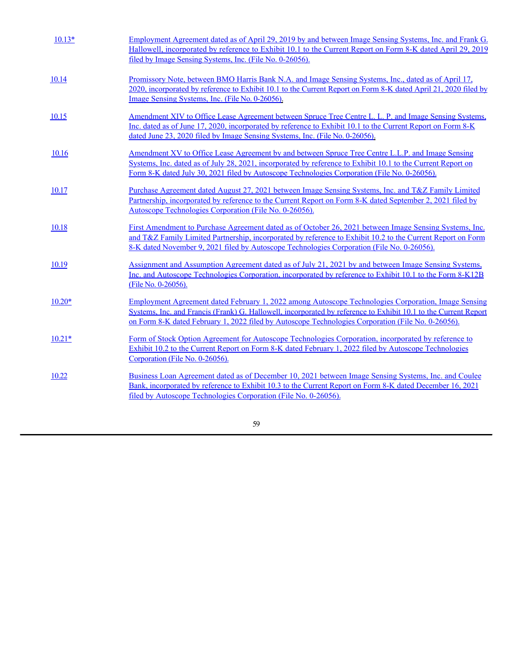| $10.13*$ | <u>Employment Agreement dated as of April 29, 2019 by and between Image Sensing Systems, Inc. and Frank G.</u><br>Hallowell, incorporated by reference to Exhibit 10.1 to the Current Report on Form 8-K dated April 29, 2019<br>filed by Image Sensing Systems, Inc. (File No. 0-26056).                                           |
|----------|-------------------------------------------------------------------------------------------------------------------------------------------------------------------------------------------------------------------------------------------------------------------------------------------------------------------------------------|
| 10.14    | Promissory Note, between BMO Harris Bank N.A. and Image Sensing Systems, Inc., dated as of April 17,<br>2020, incorporated by reference to Exhibit 10.1 to the Current Report on Form 8-K dated April 21, 2020 filed by<br>Image Sensing Systems, Inc. (File No. 0-26056).                                                          |
| 10.15    | Amendment XIV to Office Lease Agreement between Spruce Tree Centre L. L. P. and Image Sensing Systems,<br>Inc. dated as of June 17, 2020, incorporated by reference to Exhibit 10.1 to the Current Report on Form 8-K<br>dated June 23, 2020 filed by Image Sensing Systems, Inc. (File No. 0-26056).                               |
| 10.16    | <u>Amendment XV to Office Lease Agreement by and between Spruce Tree Centre L.L.P. and Image Sensing</u><br>Systems, Inc. dated as of July 28, 2021, incorporated by reference to Exhibit 10.1 to the Current Report on<br>Form 8-K dated July 30, 2021 filed by Autoscope Technologies Corporation (File No. 0-26056).             |
| 10.17    | Purchase Agreement dated August 27, 2021 between Image Sensing Systems, Inc. and T&Z Family Limited<br>Partnership, incorporated by reference to the Current Report on Form 8-K dated September 2, 2021 filed by<br>Autoscope Technologies Corporation (File No. 0-26056).                                                          |
| 10.18    | First Amendment to Purchase Agreement dated as of October 26, 2021 between Image Sensing Systems, Inc.<br>and T&Z Family Limited Partnership, incorporated by reference to Exhibit 10.2 to the Current Report on Form<br>8-K dated November 9, 2021 filed by Autoscope Technologies Corporation (File No. 0-26056).                 |
| 10.19    | Assignment and Assumption Agreement dated as of July 21, 2021 by and between Image Sensing Systems,<br>Inc. and Autoscope Technologies Corporation, incorporated by reference to Exhibit 10.1 to the Form 8-K12B<br>(File No. 0-26056).                                                                                             |
| $10.20*$ | <u>Employment Agreement dated February 1, 2022 among Autoscope Technologies Corporation, Image Sensing</u><br>Systems, Inc. and Francis (Frank) G. Hallowell, incorporated by reference to Exhibit 10.1 to the Current Report<br>on Form 8-K dated February 1, 2022 filed by Autoscope Technologies Corporation (File No. 0-26056). |
| $10.21*$ | Form of Stock Option Agreement for Autoscope Technologies Corporation, incorporated by reference to<br>Exhibit 10.2 to the Current Report on Form 8-K dated February 1, 2022 filed by Autoscope Technologies<br>Corporation (File No. 0-26056).                                                                                     |
| 10.22    | Business Loan Agreement dated as of December 10, 2021 between Image Sensing Systems, Inc. and Coulee<br>Bank, incorporated by reference to Exhibit 10.3 to the Current Report on Form 8-K dated December 16, 2021<br>filed by Autoscope Technologies Corporation (File No. 0-26056).                                                |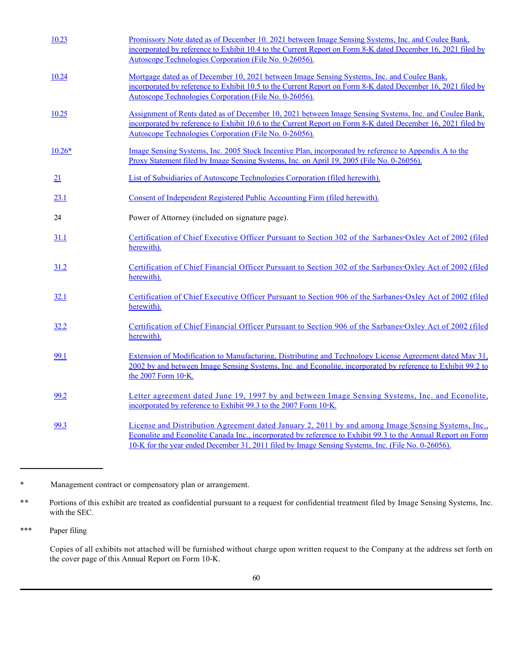| 10.23    | Promissory Note dated as of December 10, 2021 between Image Sensing Systems, Inc. and Coulee Bank,<br>incorporated by reference to Exhibit 10.4 to the Current Report on Form 8-K dated December 16, 2021 filed by<br>Autoscope Technologies Corporation (File No. 0-26056).                                            |
|----------|-------------------------------------------------------------------------------------------------------------------------------------------------------------------------------------------------------------------------------------------------------------------------------------------------------------------------|
| 10.24    | Mortgage dated as of December 10, 2021 between Image Sensing Systems, Inc. and Coulee Bank,<br>incorporated by reference to Exhibit 10.5 to the Current Report on Form 8-K dated December 16, 2021 filed by<br>Autoscope Technologies Corporation (File No. 0-26056).                                                   |
| 10.25    | Assignment of Rents dated as of December 10, 2021 between Image Sensing Systems, Inc. and Coulee Bank,<br>incorporated by reference to Exhibit 10.6 to the Current Report on Form 8-K dated December 16, 2021 filed by<br>Autoscope Technologies Corporation (File No. 0-26056).                                        |
| $10.26*$ | Image Sensing Systems, Inc. 2005 Stock Incentive Plan, incorporated by reference to Appendix A to the<br>Proxy Statement filed by Image Sensing Systems, Inc. on April 19, 2005 (File No. 0-26056).                                                                                                                     |
| 21       | List of Subsidiaries of Autoscope Technologies Corporation (filed herewith).                                                                                                                                                                                                                                            |
| 23.1     | Consent of Independent Registered Public Accounting Firm (filed herewith).                                                                                                                                                                                                                                              |
| 24       | Power of Attorney (included on signature page).                                                                                                                                                                                                                                                                         |
| 31.1     | Certification of Chief Executive Officer Pursuant to Section 302 of the Sarbanes-Oxley Act of 2002 (filed<br>herewith).                                                                                                                                                                                                 |
| 31.2     | Certification of Chief Financial Officer Pursuant to Section 302 of the Sarbanes-Oxley Act of 2002 (filed<br>herewith).                                                                                                                                                                                                 |
| 32.1     | Certification of Chief Executive Officer Pursuant to Section 906 of the Sarbanes-Oxley Act of 2002 (filed<br>herewith).                                                                                                                                                                                                 |
| 32.2     | Certification of Chief Financial Officer Pursuant to Section 906 of the Sarbanes-Oxley Act of 2002 (filed<br>herewith).                                                                                                                                                                                                 |
| 99.1     | Extension of Modification to Manufacturing, Distributing and Technology License Agreement dated May 31,<br>2002 by and between Image Sensing Systems, Inc. and Econolite, incorporated by reference to Exhibit 99.2 to<br>the 2007 Form 10-K.                                                                           |
| 99.2     | Letter agreement dated June 19, 1997 by and between Image Sensing Systems, Inc. and Econolite,<br>incorporated by reference to Exhibit 99.3 to the 2007 Form 10-K.                                                                                                                                                      |
| 99.3     | License and Distribution Agreement dated January 2, 2011 by and among Image Sensing Systems, Inc.,<br>Econolite and Econolite Canada Inc., incorporated by reference to Exhibit 99.3 to the Annual Report on Form<br>10-K for the year ended December 31, 2011 filed by Image Sensing Systems, Inc. (File No. 0-26056). |

\* Management contract or compensatory plan or arrangement.

\*\*\* Paper filing

<sup>\*\*</sup> Portions of this exhibit are treated as confidential pursuant to a request for confidential treatment filed by Image Sensing Systems, Inc. with the SEC.

Copies of all exhibits not attached will be furnished without charge upon written request to the Company at the address set forth on the cover page of this Annual Report on Form 10-K.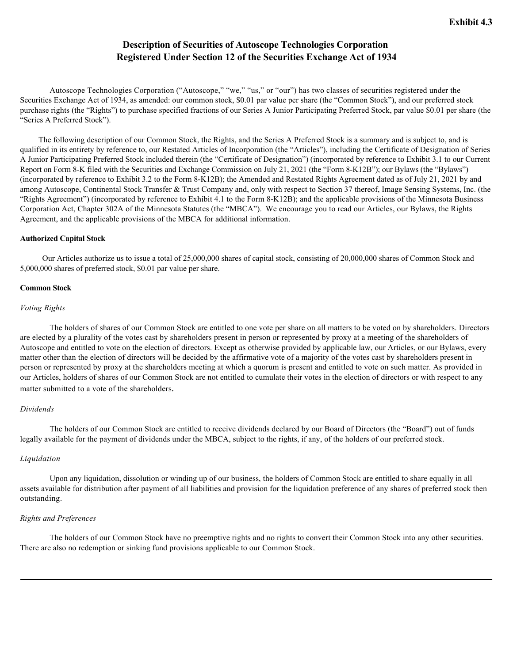## **Description of Securities of Autoscope Technologies Corporation Registered Under Section 12 of the Securities Exchange Act of 1934**

Autoscope Technologies Corporation ("Autoscope," "we," "us," or "our") has two classes of securities registered under the Securities Exchange Act of 1934, as amended: our common stock, \$0.01 par value per share (the "Common Stock"), and our preferred stock purchase rights (the "Rights") to purchase specified fractions of our Series A Junior Participating Preferred Stock, par value \$0.01 per share (the "Series A Preferred Stock").

 The following description of our Common Stock, the Rights, and the Series A Preferred Stock is a summary and is subject to, and is qualified in its entirety by reference to, our Restated Articles of Incorporation (the "Articles"), including the Certificate of Designation of Series A Junior Participating Preferred Stock included therein (the "Certificate of Designation") (incorporated by reference to Exhibit 3.1 to our Current Report on Form 8-K filed with the Securities and Exchange Commission on July 21, 2021 (the "Form 8-K12B"); our Bylaws (the "Bylaws") (incorporated by reference to Exhibit 3.2 to the Form 8-K12B); the Amended and Restated Rights Agreement dated as of July 21, 2021 by and among Autoscope, Continental Stock Transfer & Trust Company and, only with respect to Section 37 thereof, Image Sensing Systems, Inc. (the "Rights Agreement") (incorporated by reference to Exhibit 4.1 to the Form 8-K12B); and the applicable provisions of the Minnesota Business Corporation Act, Chapter 302A of the Minnesota Statutes (the "MBCA"). We encourage you to read our Articles, our Bylaws, the Rights Agreement, and the applicable provisions of the MBCA for additional information.

#### **Authorized Capital Stock**

 Our Articles authorize us to issue a total of 25,000,000 shares of capital stock, consisting of 20,000,000 shares of Common Stock and 5,000,000 shares of preferred stock, \$0.01 par value per share.

#### **Common Stock**

#### *Voting Rights*

The holders of shares of our Common Stock are entitled to one vote per share on all matters to be voted on by shareholders. Directors are elected by a plurality of the votes cast by shareholders present in person or represented by proxy at a meeting of the shareholders of Autoscope and entitled to vote on the election of directors. Except as otherwise provided by applicable law, our Articles, or our Bylaws, every matter other than the election of directors will be decided by the affirmative vote of a majority of the votes cast by shareholders present in person or represented by proxy at the shareholders meeting at which a quorum is present and entitled to vote on such matter. As provided in our Articles, holders of shares of our Common Stock are not entitled to cumulate their votes in the election of directors or with respect to any matter submitted to a vote of the shareholders.

#### *Dividends*

The holders of our Common Stock are entitled to receive dividends declared by our Board of Directors (the "Board") out of funds legally available for the payment of dividends under the MBCA, subject to the rights, if any, of the holders of our preferred stock.

#### *Liquidation*

Upon any liquidation, dissolution or winding up of our business, the holders of Common Stock are entitled to share equally in all assets available for distribution after payment of all liabilities and provision for the liquidation preference of any shares of preferred stock then outstanding.

#### *Rights and Preferences*

The holders of our Common Stock have no preemptive rights and no rights to convert their Common Stock into any other securities. There are also no redemption or sinking fund provisions applicable to our Common Stock.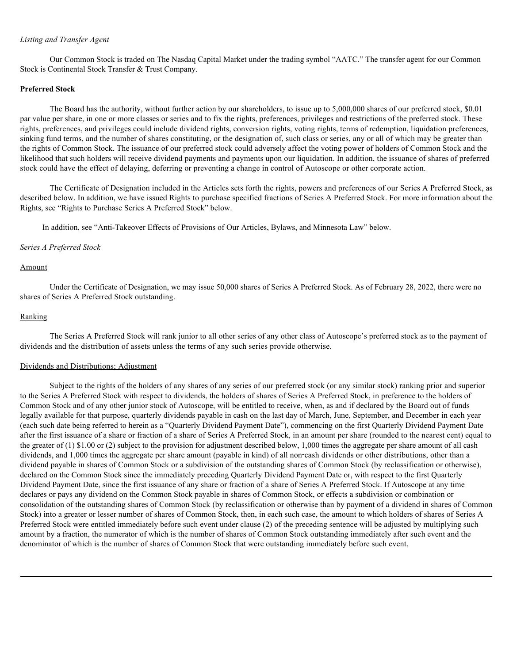#### *Listing and Transfer Agent*

Our Common Stock is traded on The Nasdaq Capital Market under the trading symbol "AATC." The transfer agent for our Common Stock is Continental Stock Transfer & Trust Company.

#### **Preferred Stock**

The Board has the authority, without further action by our shareholders, to issue up to 5,000,000 shares of our preferred stock, \$0.01 par value per share, in one or more classes or series and to fix the rights, preferences, privileges and restrictions of the preferred stock. These rights, preferences, and privileges could include dividend rights, conversion rights, voting rights, terms of redemption, liquidation preferences, sinking fund terms, and the number of shares constituting, or the designation of, such class or series, any or all of which may be greater than the rights of Common Stock. The issuance of our preferred stock could adversely affect the voting power of holders of Common Stock and the likelihood that such holders will receive dividend payments and payments upon our liquidation. In addition, the issuance of shares of preferred stock could have the effect of delaying, deferring or preventing a change in control of Autoscope or other corporate action.

The Certificate of Designation included in the Articles sets forth the rights, powers and preferences of our Series A Preferred Stock, as described below. In addition, we have issued Rights to purchase specified fractions of Series A Preferred Stock. For more information about the Rights, see "Rights to Purchase Series A Preferred Stock" below.

In addition, see "Anti-Takeover Effects of Provisions of Our Articles, Bylaws, and Minnesota Law" below.

#### *Series A Preferred Stock*

#### Amount

Under the Certificate of Designation, we may issue 50,000 shares of Series A Preferred Stock. As of February 28, 2022, there were no shares of Series A Preferred Stock outstanding.

#### Ranking

The Series A Preferred Stock will rank junior to all other series of any other class of Autoscope's preferred stock as to the payment of dividends and the distribution of assets unless the terms of any such series provide otherwise.

#### Dividends and Distributions; Adjustment

Subject to the rights of the holders of any shares of any series of our preferred stock (or any similar stock) ranking prior and superior to the Series A Preferred Stock with respect to dividends, the holders of shares of Series A Preferred Stock, in preference to the holders of Common Stock and of any other junior stock of Autoscope, will be entitled to receive, when, as and if declared by the Board out of funds legally available for that purpose, quarterly dividends payable in cash on the last day of March, June, September, and December in each year (each such date being referred to herein as a "Quarterly Dividend Payment Date"), commencing on the first Quarterly Dividend Payment Date after the first issuance of a share or fraction of a share of Series A Preferred Stock, in an amount per share (rounded to the nearest cent) equal to the greater of (1) \$1.00 or (2) subject to the provision for adjustment described below, 1,000 times the aggregate per share amount of all cash dividends, and 1,000 times the aggregate per share amount (payable in kind) of all non-cash dividends or other distributions, other than a dividend payable in shares of Common Stock or a subdivision of the outstanding shares of Common Stock (by reclassification or otherwise), declared on the Common Stock since the immediately preceding Quarterly Dividend Payment Date or, with respect to the first Quarterly Dividend Payment Date, since the first issuance of any share or fraction of a share of Series A Preferred Stock. If Autoscope at any time declares or pays any dividend on the Common Stock payable in shares of Common Stock, or effects a subdivision or combination or consolidation of the outstanding shares of Common Stock (by reclassification or otherwise than by payment of a dividend in shares of Common Stock) into a greater or lesser number of shares of Common Stock, then, in each such case, the amount to which holders of shares of Series A Preferred Stock were entitled immediately before such event under clause (2) of the preceding sentence will be adjusted by multiplying such amount by a fraction, the numerator of which is the number of shares of Common Stock outstanding immediately after such event and the denominator of which is the number of shares of Common Stock that were outstanding immediately before such event.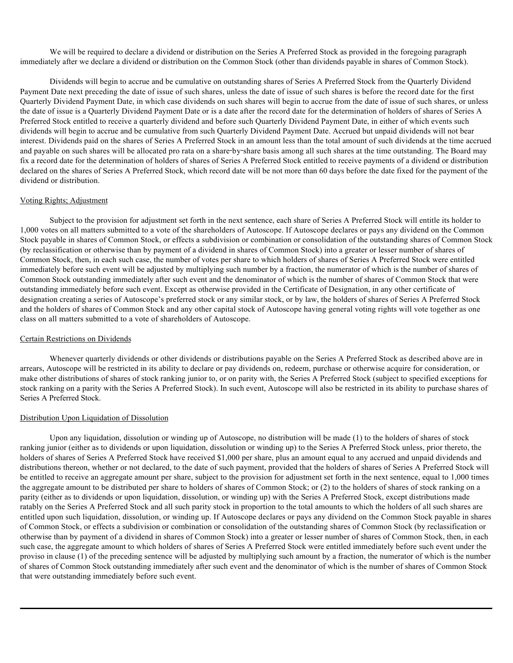We will be required to declare a dividend or distribution on the Series A Preferred Stock as provided in the foregoing paragraph immediately after we declare a dividend or distribution on the Common Stock (other than dividends payable in shares of Common Stock).

Dividends will begin to accrue and be cumulative on outstanding shares of Series A Preferred Stock from the Quarterly Dividend Payment Date next preceding the date of issue of such shares, unless the date of issue of such shares is before the record date for the first Quarterly Dividend Payment Date, in which case dividends on such shares will begin to accrue from the date of issue of such shares, or unless the date of issue is a Quarterly Dividend Payment Date or is a date after the record date for the determination of holders of shares of Series A Preferred Stock entitled to receive a quarterly dividend and before such Quarterly Dividend Payment Date, in either of which events such dividends will begin to accrue and be cumulative from such Quarterly Dividend Payment Date. Accrued but unpaid dividends will not bear interest. Dividends paid on the shares of Series A Preferred Stock in an amount less than the total amount of such dividends at the time accrued and payable on such shares will be allocated pro rata on a share-by-share basis among all such shares at the time outstanding. The Board may fix a record date for the determination of holders of shares of Series A Preferred Stock entitled to receive payments of a dividend or distribution declared on the shares of Series A Preferred Stock, which record date will be not more than 60 days before the date fixed for the payment of the dividend or distribution.

#### Voting Rights; Adjustment

Subject to the provision for adjustment set forth in the next sentence, each share of Series A Preferred Stock will entitle its holder to 1,000 votes on all matters submitted to a vote of the shareholders of Autoscope. If Autoscope declares or pays any dividend on the Common Stock payable in shares of Common Stock, or effects a subdivision or combination or consolidation of the outstanding shares of Common Stock (by reclassification or otherwise than by payment of a dividend in shares of Common Stock) into a greater or lesser number of shares of Common Stock, then, in each such case, the number of votes per share to which holders of shares of Series A Preferred Stock were entitled immediately before such event will be adjusted by multiplying such number by a fraction, the numerator of which is the number of shares of Common Stock outstanding immediately after such event and the denominator of which is the number of shares of Common Stock that were outstanding immediately before such event. Except as otherwise provided in the Certificate of Designation, in any other certificate of designation creating a series of Autoscope's preferred stock or any similar stock, or by law, the holders of shares of Series A Preferred Stock and the holders of shares of Common Stock and any other capital stock of Autoscope having general voting rights will vote together as one class on all matters submitted to a vote of shareholders of Autoscope.

#### Certain Restrictions on Dividends

Whenever quarterly dividends or other dividends or distributions payable on the Series A Preferred Stock as described above are in arrears, Autoscope will be restricted in its ability to declare or pay dividends on, redeem, purchase or otherwise acquire for consideration, or make other distributions of shares of stock ranking junior to, or on parity with, the Series A Preferred Stock (subject to specified exceptions for stock ranking on a parity with the Series A Preferred Stock). In such event, Autoscope will also be restricted in its ability to purchase shares of Series A Preferred Stock.

#### Distribution Upon Liquidation of Dissolution

Upon any liquidation, dissolution or winding up of Autoscope, no distribution will be made (1) to the holders of shares of stock ranking junior (either as to dividends or upon liquidation, dissolution or winding up) to the Series A Preferred Stock unless, prior thereto, the holders of shares of Series A Preferred Stock have received \$1,000 per share, plus an amount equal to any accrued and unpaid dividends and distributions thereon, whether or not declared, to the date of such payment, provided that the holders of shares of Series A Preferred Stock will be entitled to receive an aggregate amount per share, subject to the provision for adjustment set forth in the next sentence, equal to 1,000 times the aggregate amount to be distributed per share to holders of shares of Common Stock; or (2) to the holders of shares of stock ranking on a parity (either as to dividends or upon liquidation, dissolution, or winding up) with the Series A Preferred Stock, except distributions made ratably on the Series A Preferred Stock and all such parity stock in proportion to the total amounts to which the holders of all such shares are entitled upon such liquidation, dissolution, or winding up. If Autoscope declares or pays any dividend on the Common Stock payable in shares of Common Stock, or effects a subdivision or combination or consolidation of the outstanding shares of Common Stock (by reclassification or otherwise than by payment of a dividend in shares of Common Stock) into a greater or lesser number of shares of Common Stock, then, in each such case, the aggregate amount to which holders of shares of Series A Preferred Stock were entitled immediately before such event under the proviso in clause (1) of the preceding sentence will be adjusted by multiplying such amount by a fraction, the numerator of which is the number of shares of Common Stock outstanding immediately after such event and the denominator of which is the number of shares of Common Stock that were outstanding immediately before such event.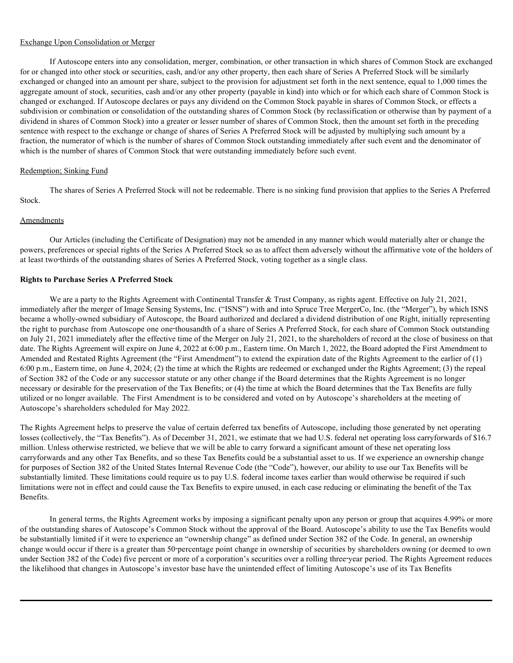#### Exchange Upon Consolidation or Merger

If Autoscope enters into any consolidation, merger, combination, or other transaction in which shares of Common Stock are exchanged for or changed into other stock or securities, cash, and/or any other property, then each share of Series A Preferred Stock will be similarly exchanged or changed into an amount per share, subject to the provision for adjustment set forth in the next sentence, equal to 1,000 times the aggregate amount of stock, securities, cash and/or any other property (payable in kind) into which or for which each share of Common Stock is changed or exchanged. If Autoscope declares or pays any dividend on the Common Stock payable in shares of Common Stock, or effects a subdivision or combination or consolidation of the outstanding shares of Common Stock (by reclassification or otherwise than by payment of a dividend in shares of Common Stock) into a greater or lesser number of shares of Common Stock, then the amount set forth in the preceding sentence with respect to the exchange or change of shares of Series A Preferred Stock will be adjusted by multiplying such amount by a fraction, the numerator of which is the number of shares of Common Stock outstanding immediately after such event and the denominator of which is the number of shares of Common Stock that were outstanding immediately before such event.

## Redemption; Sinking Fund

The shares of Series A Preferred Stock will not be redeemable. There is no sinking fund provision that applies to the Series A Preferred Stock.

#### Amendments

Our Articles (including the Certificate of Designation) may not be amended in any manner which would materially alter or change the powers, preferences or special rights of the Series A Preferred Stock so as to affect them adversely without the affirmative vote of the holders of at least two-thirds of the outstanding shares of Series A Preferred Stock, voting together as a single class.

#### **Rights to Purchase Series A Preferred Stock**

We are a party to the Rights Agreement with Continental Transfer & Trust Company, as rights agent. Effective on July 21, 2021, immediately after the merger of Image Sensing Systems, Inc. ("ISNS") with and into Spruce Tree MergerCo, Inc. (the "Merger"), by which ISNS became a wholly-owned subsidiary of Autoscope, the Board authorized and declared a dividend distribution of one Right, initially representing the right to purchase from Autoscope one one-thousandth of a share of Series A Preferred Stock, for each share of Common Stock outstanding on July 21, 2021 immediately after the effective time of the Merger on July 21, 2021, to the shareholders of record at the close of business on that date. The Rights Agreement will expire on June 4, 2022 at 6:00 p.m., Eastern time. On March 1, 2022, the Board adopted the First Amendment to Amended and Restated Rights Agreement (the "First Amendment") to extend the expiration date of the Rights Agreement to the earlier of (1) 6:00 p.m., Eastern time, on June 4, 2024; (2) the time at which the Rights are redeemed or exchanged under the Rights Agreement; (3) the repeal of Section 382 of the Code or any successor statute or any other change if the Board determines that the Rights Agreement is no longer necessary or desirable for the preservation of the Tax Benefits; or (4) the time at which the Board determines that the Tax Benefits are fully utilized or no longer available. The First Amendment is to be considered and voted on by Autoscope's shareholders at the meeting of Autoscope's shareholders scheduled for May 2022.

The Rights Agreement helps to preserve the value of certain deferred tax benefits of Autoscope, including those generated by net operating losses (collectively, the "Tax Benefits"). As of December 31, 2021, we estimate that we had U.S. federal net operating loss carryforwards of \$16.7 million. Unless otherwise restricted, we believe that we will be able to carry forward a significant amount of these net operating loss carryforwards and any other Tax Benefits, and so these Tax Benefits could be a substantial asset to us. If we experience an ownership change for purposes of Section 382 of the United States Internal Revenue Code (the "Code"), however, our ability to use our Tax Benefits will be substantially limited. These limitations could require us to pay U.S. federal income taxes earlier than would otherwise be required if such limitations were not in effect and could cause the Tax Benefits to expire unused, in each case reducing or eliminating the benefit of the Tax Benefits.

In general terms, the Rights Agreement works by imposing a significant penalty upon any person or group that acquires 4.99% or more of the outstanding shares of Autoscope's Common Stock without the approval of the Board. Autoscope's ability to use the Tax Benefits would be substantially limited if it were to experience an "ownership change" as defined under Section 382 of the Code. In general, an ownership change would occur if there is a greater than 50‑percentage point change in ownership of securities by shareholders owning (or deemed to own under Section 382 of the Code) five percent or more of a corporation's securities over a rolling three‑year period. The Rights Agreement reduces the likelihood that changes in Autoscope's investor base have the unintended effect of limiting Autoscope's use of its Tax Benefits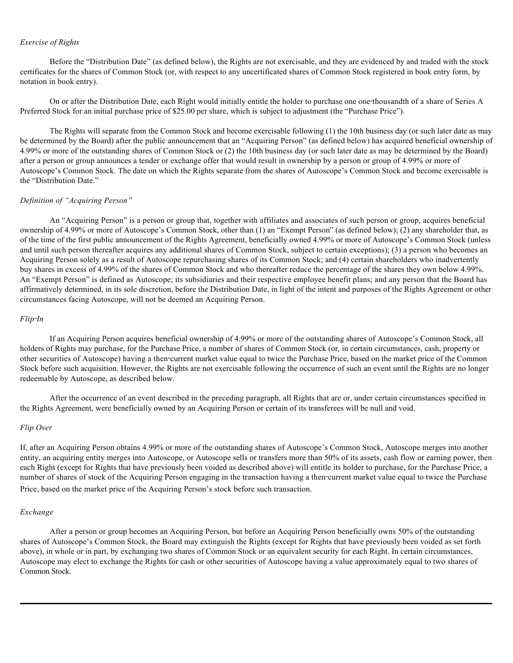#### *Exercise of Rights*

Before the "Distribution Date" (as defined below), the Rights are not exercisable, and they are evidenced by and traded with the stock certificates for the shares of Common Stock (or, with respect to any uncertificated shares of Common Stock registered in book entry form, by notation in book entry).

On or after the Distribution Date, each Right would initially entitle the holder to purchase one one‑thousandth of a share of Series A Preferred Stock for an initial purchase price of \$25.00 per share, which is subject to adjustment (the "Purchase Price").

The Rights will separate from the Common Stock and become exercisable following (1) the 10th business day (or such later date as may be determined by the Board) after the public announcement that an "Acquiring Person" (as defined below) has acquired beneficial ownership of 4.99% or more of the outstanding shares of Common Stock or (2) the 10th business day (or such later date as may be determined by the Board) after a person or group announces a tender or exchange offer that would result in ownership by a person or group of 4.99% or more of Autoscope's Common Stock. The date on which the Rights separate from the shares of Autoscope's Common Stock and become exercisable is the "Distribution Date."

#### *Definition of "Acquiring Person"*

An "Acquiring Person" is a person or group that, together with affiliates and associates of such person or group, acquires beneficial ownership of 4.99% or more of Autoscope's Common Stock, other than (1) an "Exempt Person" (as defined below); (2) any shareholder that, as of the time of the first public announcement of the Rights Agreement, beneficially owned 4.99% or more of Autoscope's Common Stock (unless and until such person thereafter acquires any additional shares of Common Stock, subject to certain exceptions); (3) a person who becomes an Acquiring Person solely as a result of Autoscope repurchasing shares of its Common Stock; and (4) certain shareholders who inadvertently buy shares in excess of 4.99% of the shares of Common Stock and who thereafter reduce the percentage of the shares they own below 4.99%. An "Exempt Person" is defined as Autoscope; its subsidiaries and their respective employee benefit plans; and any person that the Board has affirmatively determined, in its sole discretion, before the Distribution Date, in light of the intent and purposes of the Rights Agreement or other circumstances facing Autoscope, will not be deemed an Acquiring Person.

#### *Flip*‑*In*

If an Acquiring Person acquires beneficial ownership of 4.99% or more of the outstanding shares of Autoscope's Common Stock, all holders of Rights may purchase, for the Purchase Price, a number of shares of Common Stock (or, in certain circumstances, cash, property or other securities of Autoscope) having a then-current market value equal to twice the Purchase Price, based on the market price of the Common Stock before such acquisition. However, the Rights are not exercisable following the occurrence of such an event until the Rights are no longer redeemable by Autoscope, as described below.

After the occurrence of an event described in the preceding paragraph, all Rights that are or, under certain circumstances specified in the Rights Agreement, were beneficially owned by an Acquiring Person or certain of its transferees will be null and void.

#### *Flip Over*

If, after an Acquiring Person obtains 4.99% or more of the outstanding shares of Autoscope's Common Stock, Autoscope merges into another entity, an acquiring entity merges into Autoscope, or Autoscope sells or transfers more than 50% of its assets, cash flow or earning power, then each Right (except for Rights that have previously been voided as described above) will entitle its holder to purchase, for the Purchase Price, a number of shares of stock of the Acquiring Person engaging in the transaction having a then-current market value equal to twice the Purchase Price, based on the market price of the Acquiring Person's stock before such transaction.

#### *Exchange*

After a person or group becomes an Acquiring Person, but before an Acquiring Person beneficially owns 50% of the outstanding shares of Autoscope's Common Stock, the Board may extinguish the Rights (except for Rights that have previously been voided as set forth above), in whole or in part, by exchanging two shares of Common Stock or an equivalent security for each Right. In certain circumstances, Autoscope may elect to exchange the Rights for cash or other securities of Autoscope having a value approximately equal to two shares of Common Stock.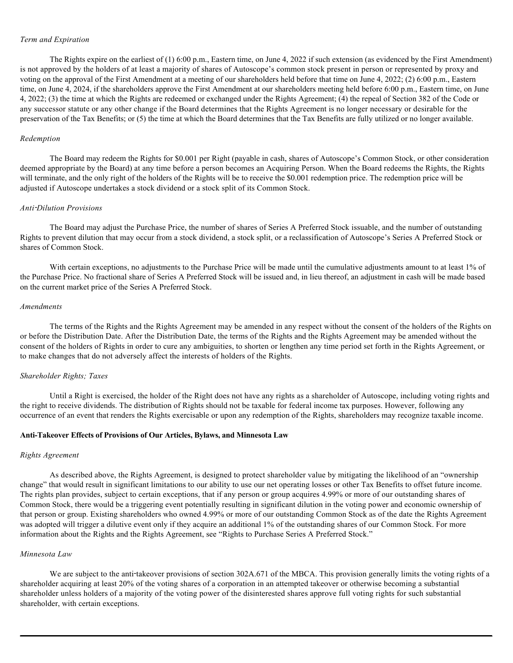#### *Term and Expiration*

The Rights expire on the earliest of (1) 6:00 p.m., Eastern time, on June 4, 2022 if such extension (as evidenced by the First Amendment) is not approved by the holders of at least a majority of shares of Autoscope's common stock present in person or represented by proxy and voting on the approval of the First Amendment at a meeting of our shareholders held before that time on June 4, 2022; (2) 6:00 p.m., Eastern time, on June 4, 2024, if the shareholders approve the First Amendment at our shareholders meeting held before 6:00 p.m., Eastern time, on June 4, 2022; (3) the time at which the Rights are redeemed or exchanged under the Rights Agreement; (4) the repeal of Section 382 of the Code or any successor statute or any other change if the Board determines that the Rights Agreement is no longer necessary or desirable for the preservation of the Tax Benefits; or (5) the time at which the Board determines that the Tax Benefits are fully utilized or no longer available.

#### *Redemption*

The Board may redeem the Rights for \$0.001 per Right (payable in cash, shares of Autoscope's Common Stock, or other consideration deemed appropriate by the Board) at any time before a person becomes an Acquiring Person. When the Board redeems the Rights, the Rights will terminate, and the only right of the holders of the Rights will be to receive the \$0.001 redemption price. The redemption price will be adjusted if Autoscope undertakes a stock dividend or a stock split of its Common Stock.

#### *Anti*‑*Dilution Provisions*

The Board may adjust the Purchase Price, the number of shares of Series A Preferred Stock issuable, and the number of outstanding Rights to prevent dilution that may occur from a stock dividend, a stock split, or a reclassification of Autoscope's Series A Preferred Stock or shares of Common Stock.

With certain exceptions, no adjustments to the Purchase Price will be made until the cumulative adjustments amount to at least 1% of the Purchase Price. No fractional share of Series A Preferred Stock will be issued and, in lieu thereof, an adjustment in cash will be made based on the current market price of the Series A Preferred Stock.

#### *Amendments*

The terms of the Rights and the Rights Agreement may be amended in any respect without the consent of the holders of the Rights on or before the Distribution Date. After the Distribution Date, the terms of the Rights and the Rights Agreement may be amended without the consent of the holders of Rights in order to cure any ambiguities, to shorten or lengthen any time period set forth in the Rights Agreement, or to make changes that do not adversely affect the interests of holders of the Rights.

#### *Shareholder Rights; Taxes*

Until a Right is exercised, the holder of the Right does not have any rights as a shareholder of Autoscope, including voting rights and the right to receive dividends. The distribution of Rights should not be taxable for federal income tax purposes. However, following any occurrence of an event that renders the Rights exercisable or upon any redemption of the Rights, shareholders may recognize taxable income.

#### **Anti-Takeover Effects of Provisions of Our Articles, Bylaws, and Minnesota Law**

#### *Rights Agreement*

As described above, the Rights Agreement, is designed to protect shareholder value by mitigating the likelihood of an "ownership change" that would result in significant limitations to our ability to use our net operating losses or other Tax Benefits to offset future income. The rights plan provides, subject to certain exceptions, that if any person or group acquires 4.99% or more of our outstanding shares of Common Stock, there would be a triggering event potentially resulting in significant dilution in the voting power and economic ownership of that person or group. Existing shareholders who owned 4.99% or more of our outstanding Common Stock as of the date the Rights Agreement was adopted will trigger a dilutive event only if they acquire an additional 1% of the outstanding shares of our Common Stock. For more information about the Rights and the Rights Agreement, see "Rights to Purchase Series A Preferred Stock."

#### *Minnesota Law*

We are subject to the anti-takeover provisions of section 302A.671 of the MBCA. This provision generally limits the voting rights of a shareholder acquiring at least 20% of the voting shares of a corporation in an attempted takeover or otherwise becoming a substantial shareholder unless holders of a majority of the voting power of the disinterested shares approve full voting rights for such substantial shareholder, with certain exceptions.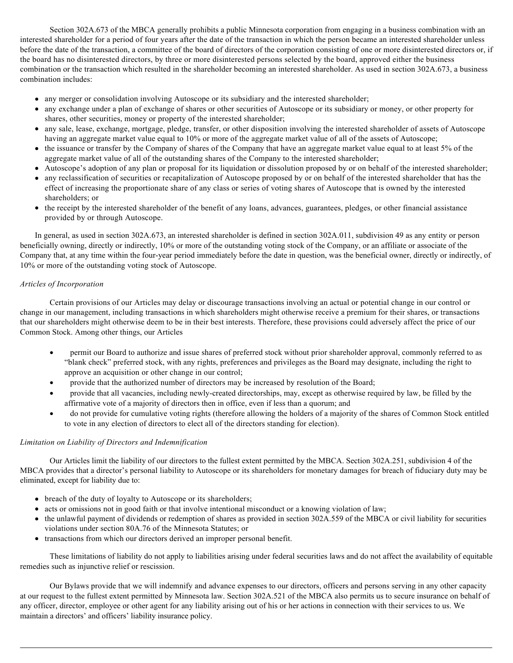Section 302A.673 of the MBCA generally prohibits a public Minnesota corporation from engaging in a business combination with an interested shareholder for a period of four years after the date of the transaction in which the person became an interested shareholder unless before the date of the transaction, a committee of the board of directors of the corporation consisting of one or more disinterested directors or, if the board has no disinterested directors, by three or more disinterested persons selected by the board, approved either the business combination or the transaction which resulted in the shareholder becoming an interested shareholder. As used in section 302A.673, a business combination includes:

- any merger or consolidation involving Autoscope or its subsidiary and the interested shareholder;
- any exchange under a plan of exchange of shares or other securities of Autoscope or its subsidiary or money, or other property for shares, other securities, money or property of the interested shareholder;
- any sale, lease, exchange, mortgage, pledge, transfer, or other disposition involving the interested shareholder of assets of Autoscope having an aggregate market value equal to 10% or more of the aggregate market value of all of the assets of Autoscope;
- the issuance or transfer by the Company of shares of the Company that have an aggregate market value equal to at least 5% of the aggregate market value of all of the outstanding shares of the Company to the interested shareholder;
- Autoscope's adoption of any plan or proposal for its liquidation or dissolution proposed by or on behalf of the interested shareholder;
- any reclassification of securities or recapitalization of Autoscope proposed by or on behalf of the interested shareholder that has the effect of increasing the proportionate share of any class or series of voting shares of Autoscope that is owned by the interested shareholders; or
- the receipt by the interested shareholder of the benefit of any loans, advances, guarantees, pledges, or other financial assistance provided by or through Autoscope.

In general, as used in section 302A.673, an interested shareholder is defined in section 302A.011, subdivision 49 as any entity or person beneficially owning, directly or indirectly, 10% or more of the outstanding voting stock of the Company, or an affiliate or associate of the Company that, at any time within the four-year period immediately before the date in question, was the beneficial owner, directly or indirectly, of 10% or more of the outstanding voting stock of Autoscope.

## *Articles of Incorporation*

Certain provisions of our Articles may delay or discourage transactions involving an actual or potential change in our control or change in our management, including transactions in which shareholders might otherwise receive a premium for their shares, or transactions that our shareholders might otherwise deem to be in their best interests. Therefore, these provisions could adversely affect the price of our Common Stock. Among other things, our Articles

- · permit our Board to authorize and issue shares of preferred stock without prior shareholder approval, commonly referred to as "blank check" preferred stock, with any rights, preferences and privileges as the Board may designate, including the right to approve an acquisition or other change in our control;
- provide that the authorized number of directors may be increased by resolution of the Board;
- · provide that all vacancies, including newly-created directorships, may, except as otherwise required by law, be filled by the affirmative vote of a majority of directors then in office, even if less than a quorum; and
- · do not provide for cumulative voting rights (therefore allowing the holders of a majority of the shares of Common Stock entitled to vote in any election of directors to elect all of the directors standing for election).

### *Limitation on Liability of Directors and Indemnification*

Our Articles limit the liability of our directors to the fullest extent permitted by the MBCA. Section 302A.251, subdivision 4 of the MBCA provides that a director's personal liability to Autoscope or its shareholders for monetary damages for breach of fiduciary duty may be eliminated, except for liability due to:

- breach of the duty of loyalty to Autoscope or its shareholders;
- acts or omissions not in good faith or that involve intentional misconduct or a knowing violation of law;
- the unlawful payment of dividends or redemption of shares as provided in section 302A.559 of the MBCA or civil liability for securities violations under section 80A.76 of the Minnesota Statutes; or
- transactions from which our directors derived an improper personal benefit.

These limitations of liability do not apply to liabilities arising under federal securities laws and do not affect the availability of equitable remedies such as injunctive relief or rescission.

Our Bylaws provide that we will indemnify and advance expenses to our directors, officers and persons serving in any other capacity at our request to the fullest extent permitted by Minnesota law. Section 302A.521 of the MBCA also permits us to secure insurance on behalf of any officer, director, employee or other agent for any liability arising out of his or her actions in connection with their services to us. We maintain a directors' and officers' liability insurance policy.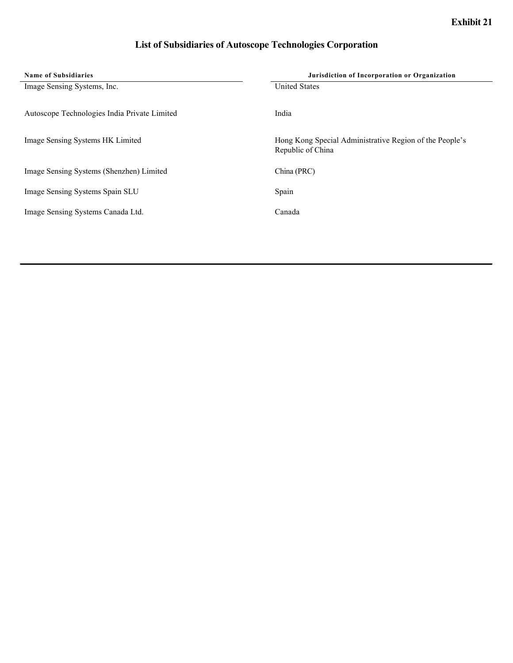# **List of Subsidiaries of Autoscope Technologies Corporation**

| <b>Name of Subsidiaries</b>                  | Jurisdiction of Incorporation or Organization           |
|----------------------------------------------|---------------------------------------------------------|
| Image Sensing Systems, Inc.                  | <b>United States</b>                                    |
|                                              |                                                         |
| Autoscope Technologies India Private Limited | India                                                   |
| Image Sensing Systems HK Limited             | Hong Kong Special Administrative Region of the People's |
|                                              | Republic of China                                       |
| Image Sensing Systems (Shenzhen) Limited     | China (PRC)                                             |
|                                              |                                                         |
| Image Sensing Systems Spain SLU              | Spain                                                   |
| Image Sensing Systems Canada Ltd.            | Canada                                                  |
|                                              |                                                         |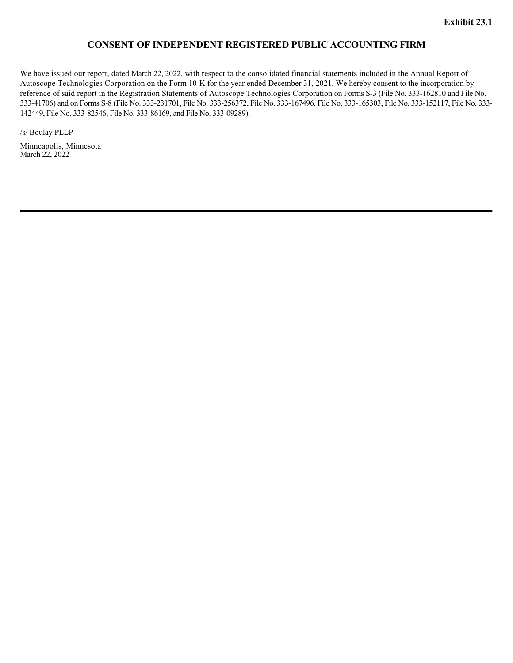## **CONSENT OF INDEPENDENT REGISTERED PUBLIC ACCOUNTING FIRM**

We have issued our report, dated March 22, 2022, with respect to the consolidated financial statements included in the Annual Report of Autoscope Technologies Corporation on the Form 10-K for the year ended December 31, 2021. We hereby consent to the incorporation by reference of said report in the Registration Statements of Autoscope Technologies Corporation on Forms S-3 (File No. 333-162810 and File No. 333-41706) and on Forms S-8 (File No. 333-231701, File No. 333-256372, File No. 333-167496, File No. 333-165303, File No. 333-152117, File No. 333- 142449, File No. 333-82546, File No. 333-86169, and File No. 333-09289).

/s/ Boulay PLLP

Minneapolis, Minnesota March 22, 2022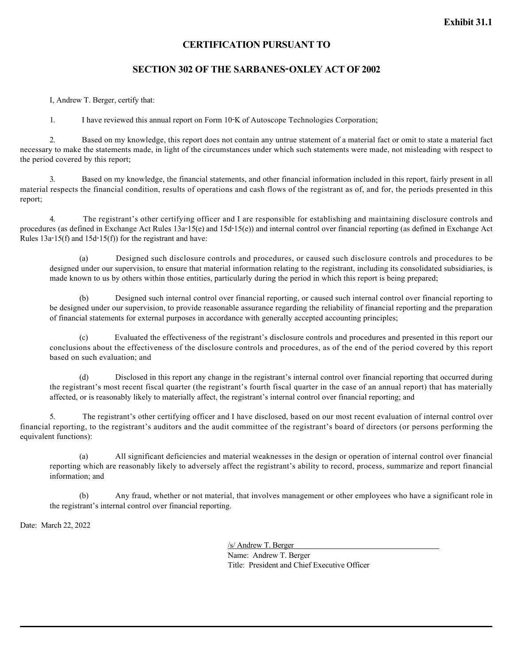## **SECTION 302 OF THE SARBANES**‑**OXLEY ACT OF 2002**

I, Andrew T. Berger, certify that:

1. I have reviewed this annual report on Form 10‑K of Autoscope Technologies Corporation;

2. Based on my knowledge, this report does not contain any untrue statement of a material fact or omit to state a material fact necessary to make the statements made, in light of the circumstances under which such statements were made, not misleading with respect to the period covered by this report;

3. Based on my knowledge, the financial statements, and other financial information included in this report, fairly present in all material respects the financial condition, results of operations and cash flows of the registrant as of, and for, the periods presented in this report;

4. The registrant's other certifying officer and I are responsible for establishing and maintaining disclosure controls and procedures (as defined in Exchange Act Rules 13a‑15(e) and 15d‑15(e)) and internal control over financial reporting (as defined in Exchange Act Rules  $13a-15(f)$  and  $15d-15(f)$  for the registrant and have:

(a) Designed such disclosure controls and procedures, or caused such disclosure controls and procedures to be designed under our supervision, to ensure that material information relating to the registrant, including its consolidated subsidiaries, is made known to us by others within those entities, particularly during the period in which this report is being prepared;

(b) Designed such internal control over financial reporting, or caused such internal control over financial reporting to be designed under our supervision, to provide reasonable assurance regarding the reliability of financial reporting and the preparation of financial statements for external purposes in accordance with generally accepted accounting principles;

(c) Evaluated the effectiveness of the registrant's disclosure controls and procedures and presented in this report our conclusions about the effectiveness of the disclosure controls and procedures, as of the end of the period covered by this report based on such evaluation; and

(d) Disclosed in this report any change in the registrant's internal control over financial reporting that occurred during the registrant's most recent fiscal quarter (the registrant's fourth fiscal quarter in the case of an annual report) that has materially affected, or is reasonably likely to materially affect, the registrant's internal control over financial reporting; and

5. The registrant's other certifying officer and I have disclosed, based on our most recent evaluation of internal control over financial reporting, to the registrant's auditors and the audit committee of the registrant's board of directors (or persons performing the equivalent functions):

(a) All significant deficiencies and material weaknesses in the design or operation of internal control over financial reporting which are reasonably likely to adversely affect the registrant's ability to record, process, summarize and report financial information; and

(b) Any fraud, whether or not material, that involves management or other employees who have a significant role in the registrant's internal control over financial reporting.

Date: March 22, 2022

/s/ Andrew T. Berger Name: Andrew T. Berger Title: President and Chief Executive Officer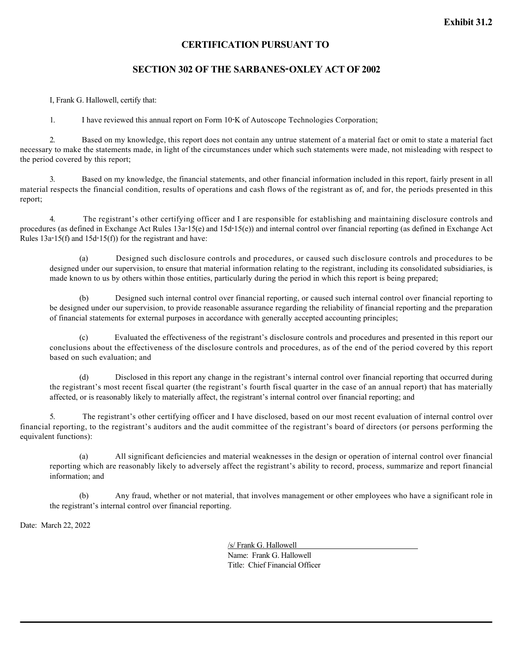## **SECTION 302 OF THE SARBANES**‑**OXLEY ACT OF 2002**

I, Frank G. Hallowell, certify that:

1. I have reviewed this annual report on Form 10‑K of Autoscope Technologies Corporation;

2. Based on my knowledge, this report does not contain any untrue statement of a material fact or omit to state a material fact necessary to make the statements made, in light of the circumstances under which such statements were made, not misleading with respect to the period covered by this report;

3. Based on my knowledge, the financial statements, and other financial information included in this report, fairly present in all material respects the financial condition, results of operations and cash flows of the registrant as of, and for, the periods presented in this report;

4. The registrant's other certifying officer and I are responsible for establishing and maintaining disclosure controls and procedures (as defined in Exchange Act Rules 13a‑15(e) and 15d‑15(e)) and internal control over financial reporting (as defined in Exchange Act Rules  $13a-15(f)$  and  $15d-15(f)$  for the registrant and have:

(a) Designed such disclosure controls and procedures, or caused such disclosure controls and procedures to be designed under our supervision, to ensure that material information relating to the registrant, including its consolidated subsidiaries, is made known to us by others within those entities, particularly during the period in which this report is being prepared;

(b) Designed such internal control over financial reporting, or caused such internal control over financial reporting to be designed under our supervision, to provide reasonable assurance regarding the reliability of financial reporting and the preparation of financial statements for external purposes in accordance with generally accepted accounting principles;

(c) Evaluated the effectiveness of the registrant's disclosure controls and procedures and presented in this report our conclusions about the effectiveness of the disclosure controls and procedures, as of the end of the period covered by this report based on such evaluation; and

(d) Disclosed in this report any change in the registrant's internal control over financial reporting that occurred during the registrant's most recent fiscal quarter (the registrant's fourth fiscal quarter in the case of an annual report) that has materially affected, or is reasonably likely to materially affect, the registrant's internal control over financial reporting; and

5. The registrant's other certifying officer and I have disclosed, based on our most recent evaluation of internal control over financial reporting, to the registrant's auditors and the audit committee of the registrant's board of directors (or persons performing the equivalent functions):

(a) All significant deficiencies and material weaknesses in the design or operation of internal control over financial reporting which are reasonably likely to adversely affect the registrant's ability to record, process, summarize and report financial information; and

(b) Any fraud, whether or not material, that involves management or other employees who have a significant role in the registrant's internal control over financial reporting.

Date: March 22, 2022

/s/ Frank G. Hallowell Name: Frank G. Hallowell Title: Chief Financial Officer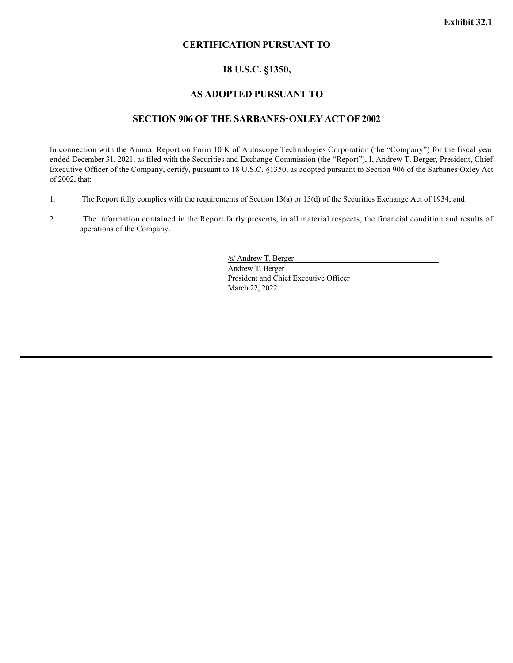# **18 U.S.C. §1350,**

### **AS ADOPTED PURSUANT TO**

# **SECTION 906 OF THE SARBANES**‑**OXLEY ACT OF 2002**

In connection with the Annual Report on Form 10-K of Autoscope Technologies Corporation (the "Company") for the fiscal year ended December 31, 2021, as filed with the Securities and Exchange Commission (the "Report"), I, Andrew T. Berger, President, Chief Executive Officer of the Company, certify, pursuant to 18 U.S.C. §1350, as adopted pursuant to Section 906 of the Sarbanes-Oxley Act of 2002, that:

- 1. The Report fully complies with the requirements of Section 13(a) or 15(d) of the Securities Exchange Act of 1934; and
- 2. The information contained in the Report fairly presents, in all material respects, the financial condition and results of operations of the Company.

/s/ Andrew T. Berger Andrew T. Berger President and Chief Executive Officer March 22, 2022